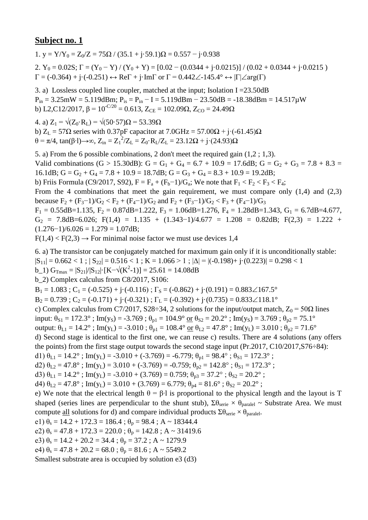1. y =  $Y/Y_0 = Z_0/Z = 75\Omega / (35.1 + i.59.1)\Omega = 0.557 - i.0.938$ 2.  $Y_0 = 0.02S$ ;  $\Gamma = (Y_0 - Y)/(Y_0 + Y) = [0.02 - (0.0344 + j \cdot 0.0215)]/(0.02 + 0.0344 + j \cdot 0.0215)$  $\Gamma = (-0.364) + j \cdot (-0.251) \leftrightarrow \text{Re}\Gamma + j \cdot \text{Im}\Gamma$  or  $\Gamma = 0.442 \angle -145.4^{\circ} \leftrightarrow |\Gamma| \angle \text{arg}(\Gamma)$ 

3. a) Lossless coupled line coupler, matched at the input; Isolation I =  $23.50$ dB  $P_{in} = 3.25 \text{mW} = 5.119 \text{dBm}; P_{is} = P_{in} - I = 5.119 \text{dBm} - 23.50 \text{dB} = -18.38 \text{dBm} = 14.517 \mu \text{W}$ b) L2,C12/2017,  $\beta = 10^{-C/20} = 0.613$ ,  $Z_{CE} = 102.09\Omega$ ,  $Z_{CO} = 24.49\Omega$ 

4. a)  $Z_1 = \sqrt{(Z_0 \cdot R_1)} = \sqrt{(50.57)}$ Ω = 53.39Ω b)  $Z_L$  = 57 $\Omega$  series with 0.37pF capacitor at 7.0GHz = 57.00 $\Omega$  + j·(-61.45) $\Omega$ θ = π/4, tan(β⋅l)→∞, Z<sub>in</sub> = Z<sub>1</sub><sup>2</sup>/Z<sub>L</sub> = Z<sub>0</sub>⋅R<sub>L</sub>/Z<sub>L</sub> = 23.12Ω + j⋅(24.93)Ω

5. a) From the 6 possible combinations, 2 don't meet the required gain (1,2 ; 1,3). Valid combinations (G > 15.30dB): G = G<sub>1</sub> + G<sub>4</sub> = 6.7 + 10.9 = 17.6dB; G = G<sub>2</sub> + G<sub>3</sub> = 7.8 + 8.3 = 16.1dB;  $G = G_2 + G_4 = 7.8 + 10.9 = 18.7$ dB;  $G = G_3 + G_4 = 8.3 + 10.9 = 19.2$ dB; b) Friis Formula (C9/2017, S92),  $F = F_a + (F_b - 1)/G_a$ ; We note that  $F_1 < F_2 < F_3 < F_4$ ; From the 4 combinations that meet the gain requirement, we must compare only  $(1,4)$  and  $(2,3)$ because  $F_2 + (F_3 - 1)/G_2 < F_2 + (F_4 - 1)/G_2$  and  $F_2 + (F_3 - 1)/G_2 < F_3 + (F_4 - 1)/G_3$  $F_1 = 0.55$ dB=1.135,  $F_2 = 0.87$ dB=1.222,  $F_3 = 1.06$ dB=1.276,  $F_4 = 1.28$ dB=1.343,  $G_1 = 6.7$ dB=4.677,  $G_2$  = 7.8dB=6.026; F(1,4) = 1.135 + (1.343-1)/4.677 = 1.208 = 0.82dB; F(2,3) = 1.222 +  $(1.276-1)/6.026 = 1.279 = 1.07dB;$ 

 $F(1,4) < F(2,3) \rightarrow$  For minimal noise factor we must use devices 1,4

6. a) The transistor can be conjugately matched for maximum gain only if it is unconditionally stable:

 $|S_{11}| = 0.662 < 1$ ;  $|S_{22}| = 0.516 < 1$ ;  $K = 1.066 > 1$ ;  $|\Delta| = |(-0.198) + (-0.223)| = 0.298 < 1$ 

b\_1)  $G_{\text{Tmax}} = |S_{21}|/|S_{12}| \cdot [K - \sqrt{(K^2 - 1)}] = 25.61 = 14.08dB$ 

b\_2) Complex calculus from C8/2017, S106:

 $B_1 = 1.083$ ;  $C_1 = (-0.525) + (-0.116)$ ;  $\Gamma_s = (-0.862) + (-0.191) = 0.883 \angle 167.5^\circ$ 

 $B_2 = 0.739$ ;  $C_2 = (-0.171) + (-0.321)$ ;  $\Gamma_L = (-0.392) + (-0.735) = 0.833 \measuredangle 118.1^\circ$ 

c) Complex calculus from C7/2017, S28÷34, 2 solutions for the input/output match,  $Z_0 = 50\Omega$  lines

input:  $\theta_{S1} = 172.3^\circ$ ; Im(y<sub>S</sub>) = -3.769;  $\theta_{p1} = 104.9^\circ$  <u>or</u>  $\theta_{S2} = 20.2^\circ$ ; Im(y<sub>S</sub>) = 3.769;  $\theta_{p2} = 75.1^\circ$ 

output:  $\theta_{L1} = 14.2^\circ$ ; Im(y<sub>L</sub>) = -3.010;  $\theta_{p1} = 108.4^\circ$  or  $\theta_{L2} = 47.8^\circ$ ; Im(y<sub>L</sub>) = 3.010;  $\theta_{p2} = 71.6^\circ$ 

d) Second stage is identical to the first one, we can reuse c) results. There are 4 solutions (any offers the points) from the first stage output towards the second stage input (Pr.2017, C10/2017,S76÷84):

d1)  $\theta_{L1} = 14.2^\circ$ ; Im(y<sub>L</sub>) = -3.010 + (-3.769) = -6.779;  $\theta_{p1} = 98.4^\circ$ ;  $\theta_{S1} = 172.3^\circ$ ;

d2)  $\theta_{L2} = 47.8^\circ$ ; Im(y<sub>L</sub>) = 3.010 + (-3.769) = -0.759;  $\theta_{p2} = 142.8^\circ$ ;  $\theta_{S1} = 172.3^\circ$ ;

d3)  $\theta_{L1} = 14.2^{\circ}$ ; Im(y<sub>L</sub>) = -3.010 + (3.769) = 0.759;  $\theta_{p3} = 37.2^{\circ}$ ;  $\theta_{S2} = 20.2^{\circ}$ ;

d4)  $\theta_{1,2} = 47.8^\circ$ ; Im(y<sub>L</sub>) = 3.010 + (3.769) = 6.779;  $\theta_{p4} = 81.6^\circ$ ;  $\theta_{S2} = 20.2^\circ$ ;

e) We note that the electrical length  $\theta = \beta \cdot 1$  is proportional to the physical length and the layout is T shaped (series lines are perpendicular to the shunt stub),  $\Sigma \theta_{\text{series}} \times \theta_{\text{parallel}} \sim$  Substrate Area. We must compute <u>all</u> solutions for d) and compare individual products  $\Sigma \theta_{\text{serie}} \times \theta_{\text{parallel}}$ .

e1)  $\theta_s = 14.2 + 172.3 = 186.4$ ;  $\theta_p = 98.4$ ; A ~ 18344.4

e2)  $\theta_s = 47.8 + 172.3 = 220.0$ ;  $\theta_p = 142.8$ ; A ~ 31419.6

e3)  $\theta_s = 14.2 + 20.2 = 34.4$ ;  $\theta_p = 37.2$ ; A ~ 1279.9

e4)  $\theta_s = 47.8 + 20.2 = 68.0$ ;  $\theta_p = 81.6$ ; A ~ 5549.2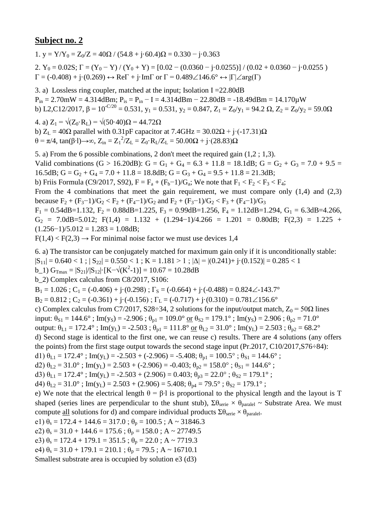1. y =  $Y/Y_0 = Z_0/Z = 40\Omega / (54.8 + i \cdot 60.4)\Omega = 0.330 - i \cdot 0.363$ 

2.  $Y_0 = 0.02S$ ;  $\Gamma = (Y_0 - Y) / (Y_0 + Y) = [0.02 - (0.0360 - j \cdot 0.0255)] / (0.02 + 0.0360 - j \cdot 0.0255)$  $\Gamma = (-0.408) + \mathbf{j} \cdot (0.269) \leftrightarrow \text{Re}\Gamma + \mathbf{j} \cdot \text{Im}\Gamma$  or  $\Gamma = 0.489 \angle 146.6^{\circ} \leftrightarrow |\Gamma| \angle \text{arg}(\Gamma)$ 

3. a) Lossless ring coupler, matched at the input; Isolation I =22.80dB  $P_{in} = 2.70$ mW = 4.314dBm;  $P_{is} = P_{in} - I = 4.314$ dBm - 22.80dB = -18.49dBm = 14.170 $\mu$ W b) L2,C12/2017,  $\beta = 10^{-C/20} = 0.531$ ,  $y_1 = 0.531$ ,  $y_2 = 0.847$ ,  $Z_1 = Z_0/y_1 = 94.2 \Omega$ ,  $Z_2 = Z_0/y_2 = 59.0\Omega$ 

4. a)  $Z_1 = \sqrt{(Z_0 \cdot R_1)} = \sqrt{(50 \cdot 40) \Omega} = 44.72 \Omega$ b)  $Z_L = 40\Omega$  parallel with 0.31pF capacitor at 7.4GHz = 30.02 $\Omega$  + j·(-17.31) $\Omega$ θ = π/4, tan(β⋅l)→∞, Z<sub>in</sub> = Z<sub>1</sub><sup>2</sup>/Z<sub>L</sub> = Z<sub>0</sub>⋅R<sub>L</sub>/Z<sub>L</sub> = 50.00Ω + j⋅(28.83)Ω

5. a) From the 6 possible combinations, 2 don't meet the required gain (1,2 ; 1,3). Valid combinations (G > 16.20dB): G = G<sub>1</sub> + G<sub>4</sub> = 6.3 + 11.8 = 18.1dB; G = G<sub>2</sub> + G<sub>3</sub> = 7.0 + 9.5 = 16.5dB;  $G = G_2 + G_4 = 7.0 + 11.8 = 18.8$ dB;  $G = G_3 + G_4 = 9.5 + 11.8 = 21.3$ dB; b) Friis Formula (C9/2017, S92),  $F = F_a + (F_b - 1)/G_a$ ; We note that  $F_1 < F_2 < F_3 < F_4$ ; From the 4 combinations that meet the gain requirement, we must compare only  $(1,4)$  and  $(2,3)$ because  $F_2 + (F_3 - 1)/G_2 < F_2 + (F_4 - 1)/G_2$  and  $F_2 + (F_3 - 1)/G_2 < F_3 + (F_4 - 1)/G_3$  $F_1 = 0.54$ dB=1.132,  $F_2 = 0.88$ dB=1.225,  $F_3 = 0.99$ dB=1.256,  $F_4 = 1.12$ dB=1.294,  $G_1 = 6.3$ dB=4.266,  $G_2$  = 7.0dB=5.012; F(1,4) = 1.132 + (1.294-1)/4.266 = 1.201 = 0.80dB; F(2,3) = 1.225 +  $(1.256-1)/5.012 = 1.283 = 1.08dB;$ 

 $F(1,4) < F(2,3) \rightarrow$  For minimal noise factor we must use devices 1,4

6. a) The transistor can be conjugately matched for maximum gain only if it is unconditionally stable:

 $|S_{11}| = 0.640 < 1$ ;  $|S_{22}| = 0.550 < 1$ ;  $K = 1.181 > 1$ ;  $|\Delta| = |(0.241) + i(0.152)| = 0.285 < 1$ 

b\_1)  $G_{\text{Tmax}} = |S_{21}|/|S_{12}| \cdot [K - \sqrt{(K^2 - 1)}] = 10.67 = 10.28dB$ 

b\_2) Complex calculus from C8/2017, S106:

 $B_1 = 1.026$ ;  $C_1 = (-0.406) + (-0.298)$ ;  $\Gamma_s = (-0.664) + (-0.488) = 0.824 \measuredangle 143.7^\circ$ 

 $B_2 = 0.812$ ;  $C_2 = (-0.361) + j \cdot (-0.156)$ ;  $\Gamma_L = (-0.717) + j \cdot (0.310) = 0.781 \angle 156.6^{\circ}$ 

c) Complex calculus from C7/2017, S28÷34, 2 solutions for the input/output match,  $Z_0 = 50\Omega$  lines

input:  $\theta_{S1} = 144.6^\circ$ ; Im(y<sub>S</sub>) = -2.906;  $\theta_{p1} = 109.0^\circ$  or  $\theta_{S2} = 179.1^\circ$ ; Im(y<sub>S</sub>) = 2.906;  $\theta_{p2} = 71.0^\circ$ 

output:  $\theta_{L1} = 172.4^\circ$ ; Im(y<sub>L</sub>) = -2.503;  $\theta_{p1} = 111.8^\circ$  or  $\theta_{L2} = 31.0^\circ$ ; Im(y<sub>L</sub>) = 2.503;  $\theta_{p2} = 68.2^\circ$ 

d) Second stage is identical to the first one, we can reuse c) results. There are 4 solutions (any offers the points) from the first stage output towards the second stage input (Pr.2017, C10/2017,S76÷84):

d1)  $\theta_{L1} = 172.4^\circ$ ; Im(y<sub>L</sub>) = -2.503 + (-2.906) = -5.408;  $\theta_{p1} = 100.5^\circ$ ;  $\theta_{S1} = 144.6^\circ$ ;

d2)  $\theta_{L2} = 31.0^\circ$ ; Im(y<sub>L</sub>) = 2.503 + (-2.906) = -0.403;  $\theta_{p2} = 158.0^\circ$ ;  $\theta_{S1} = 144.6^\circ$ ;

d3)  $\theta_{L1} = 172.4^\circ$ ; Im(y<sub>L</sub>) = -2.503 + (2.906) = 0.403;  $\theta_{p3} = 22.0^\circ$ ;  $\theta_{S2} = 179.1^\circ$ ;

d4)  $\theta_{1,2} = 31.0^\circ$ ; Im(y<sub>L</sub>) = 2.503 + (2.906) = 5.408;  $\theta_{p4} = 79.5^\circ$ ;  $\theta_{S2} = 179.1^\circ$ ;

e) We note that the electrical length  $\theta = \beta \cdot 1$  is proportional to the physical length and the layout is T shaped (series lines are perpendicular to the shunt stub),  $\Sigma \theta_{\text{series}} \times \theta_{\text{parallel}} \sim$  Substrate Area. We must compute <u>all</u> solutions for d) and compare individual products  $\Sigma \theta_{\text{serie}} \times \theta_{\text{parallel}}$ .

e1)  $\theta_s = 172.4 + 144.6 = 317.0$ ;  $\theta_p = 100.5$ ; A ~ 31846.3

e2)  $\theta_s = 31.0 + 144.6 = 175.6$ ;  $\theta_p = 158.0$ ; A ~ 27749.5

e3)  $\theta_s = 172.4 + 179.1 = 351.5$ ;  $\theta_p = 22.0$ ; A ~ 7719.3

e4)  $\theta_s = 31.0 + 179.1 = 210.1$ ;  $\theta_p = 79.5$ ; A ~ 16710.1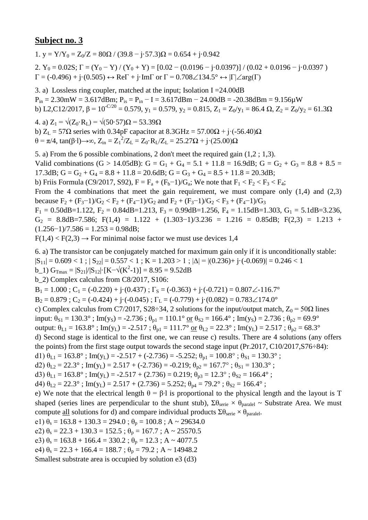1. y =  $Y/Y_0 = Z_0/Z = 80\Omega / (39.8 - i.57.3)\Omega = 0.654 + i.0.942$ 

2.  $Y_0 = 0.02S$ ;  $\Gamma = (Y_0 - Y) / (Y_0 + Y) = [0.02 - (0.0196 - j \cdot 0.0397)] / (0.02 + 0.0196 - j \cdot 0.0397)$  $\Gamma = (-0.496) + j \cdot (0.505) \leftrightarrow \text{Re}\Gamma + j \cdot \text{Im}\Gamma$  or  $\Gamma = 0.708 \angle 134.5^{\circ} \leftrightarrow |\Gamma| \angle \text{arg}(\Gamma)$ 

3. a) Lossless ring coupler, matched at the input; Isolation I =24.00dB  $P_{in} = 2.30$ mW = 3.617dBm;  $P_{is} = P_{in} - I = 3.617$ dBm - 24.00dB = -20.38dBm = 9.156 $\mu$ W b) L2,C12/2017,  $\beta = 10^{-C/20} = 0.579$ ,  $y_1 = 0.579$ ,  $y_2 = 0.815$ ,  $Z_1 = Z_0/y_1 = 86.4 \Omega$ ,  $Z_2 = Z_0/y_2 = 61.3 \Omega$ 

4. a)  $Z_1 = \sqrt{(Z_0 \cdot R_L)} = \sqrt{(50 \cdot 57)}\Omega = 53.39 \Omega$ b)  $Z_L = 57\Omega$  series with 0.34pF capacitor at  $8.3\text{GHz} = 57.00\Omega + \text{i} \cdot (-56.40)\Omega$ θ = π/4, tan(β⋅l)→∞, Z<sub>in</sub> = Z<sub>1</sub><sup>2</sup>/Z<sub>L</sub> = Z<sub>0</sub>⋅R<sub>L</sub>/Z<sub>L</sub> = 25.27Ω + j⋅(25.00)Ω

5. a) From the 6 possible combinations, 2 don't meet the required gain (1,2 ; 1,3). Valid combinations (G > 14.05dB): G = G<sub>1</sub> + G<sub>4</sub> = 5.1 + 11.8 = 16.9dB; G = G<sub>2</sub> + G<sub>3</sub> = 8.8 + 8.5 = 17.3dB;  $G = G_2 + G_4 = 8.8 + 11.8 = 20.6$ dB;  $G = G_3 + G_4 = 8.5 + 11.8 = 20.3$ dB; b) Friis Formula (C9/2017, S92),  $F = F_a + (F_b - 1)/G_a$ ; We note that  $F_1 < F_2 < F_3 < F_4$ ; From the 4 combinations that meet the gain requirement, we must compare only  $(1,4)$  and  $(2,3)$ because  $F_2 + (F_3 - 1)/G_2 < F_2 + (F_4 - 1)/G_2$  and  $F_2 + (F_3 - 1)/G_2 < F_3 + (F_4 - 1)/G_3$  $F_1 = 0.50$ dB=1.122,  $F_2 = 0.84$ dB=1.213,  $F_3 = 0.99$ dB=1.256,  $F_4 = 1.15$ dB=1.303,  $G_1 = 5.1$ dB=3.236,  $G_2$  = 8.8dB=7.586; F(1,4) = 1.122 + (1.303-1)/3.236 = 1.216 = 0.85dB; F(2,3) = 1.213 +  $(1.256-1)/7.586 = 1.253 = 0.98dB;$ 

 $F(1,4) < F(2,3) \rightarrow$  For minimal noise factor we must use devices 1,4

6. a) The transistor can be conjugately matched for maximum gain only if it is unconditionally stable:  $|S_{11}| = 0.609 < 1$ ;  $|S_{22}| = 0.557 < 1$ ;  $K = 1.203 > 1$ ;  $|\Delta| = |(0.236) + i \cdot (-0.069)| = 0.246 < 1$ b\_1)  $G_{\text{Tmax}} = |S_{21}|/|S_{12}| \cdot [K - \sqrt{(K^2 - 1)}] = 8.95 = 9.52dB$ b\_2) Complex calculus from C8/2017, S106:  $B_1 = 1.000$ ;  $C_1 = (-0.220) + i((0.437))$ ;  $\Gamma_s = (-0.363) + i((-0.721)) = 0.807\angle{-116.7^\circ}$  $B_2 = 0.879$ ;  $C_2 = (-0.424) + (-0.045)$ ;  $\Gamma_L = (-0.779) + (-0.082) = 0.783 \angle 174.0^\circ$ c) Complex calculus from C7/2017, S28÷34, 2 solutions for the input/output match,  $Z_0 = 50\Omega$  lines input:  $\theta_{S1} = 130.3^\circ$ ; Im(y<sub>S</sub>) = -2.736;  $\theta_{p1} = 110.1^\circ$  or  $\theta_{S2} = 166.4^\circ$ ; Im(y<sub>S</sub>) = 2.736;  $\theta_{p2} = 69.9^\circ$ output:  $\theta_{L1} = 163.8^\circ$ ; Im(y<sub>L</sub>) = -2.517;  $\theta_{p1} = 111.7^\circ$  or  $\theta_{L2} = 22.3^\circ$ ; Im(y<sub>L</sub>) = 2.517;  $\theta_{p2} = 68.3^\circ$ d) Second stage is identical to the first one, we can reuse c) results. There are 4 solutions (any offers the points) from the first stage output towards the second stage input (Pr.2017, C10/2017,S76÷84): d1)  $\theta_{L1} = 163.8^\circ$ ; Im(y<sub>L</sub>) = -2.517 + (-2.736) = -5.252;  $\theta_{p1} = 100.8^\circ$ ;  $\theta_{S1} = 130.3^\circ$ ; d2)  $\theta_{L2} = 22.3^\circ$ ; Im(y<sub>L</sub>) = 2.517 + (-2.736) = -0.219;  $\theta_{p2} = 167.7^\circ$ ;  $\theta_{S1} = 130.3^\circ$ ; d3)  $\theta_{L1} = 163.8^\circ$ ; Im(y<sub>L</sub>) = -2.517 + (2.736) = 0.219;  $\theta_{p3} = 12.3^\circ$ ;  $\theta_{S2} = 166.4^\circ$ ; d4)  $\theta_{1,2} = 22.3^\circ$ ; Im(y<sub>L</sub>) = 2.517 + (2.736) = 5.252;  $\theta_{p4} = 79.2^\circ$ ;  $\theta_{S2} = 166.4^\circ$ ; e) We note that the electrical length  $\theta = \beta \cdot 1$  is proportional to the physical length and the layout is T shaped (series lines are perpendicular to the shunt stub),  $\Sigma \theta_{\text{series}} \times \theta_{\text{parallel}} \sim$  Substrate Area. We must compute <u>all</u> solutions for d) and compare individual products  $\Sigma \theta_{\text{serie}} \times \theta_{\text{parallel}}$ . e1)  $\theta_s = 163.8 + 130.3 = 294.0$ ;  $\theta_p = 100.8$ ; A ~ 29634.0 e2)  $\theta_s = 22.3 + 130.3 = 152.5$ ;  $\theta_p = 167.7$ ; A ~ 25570.5 e3)  $\theta_s = 163.8 + 166.4 = 330.2$ ;  $\theta_p = 12.3$ ; A ~ 4077.5 e4)  $\theta_s = 22.3 + 166.4 = 188.7$ ;  $\theta_p = 79.2$ ; A ~ 14948.2 Smallest substrate area is occupied by solution e3 (d3)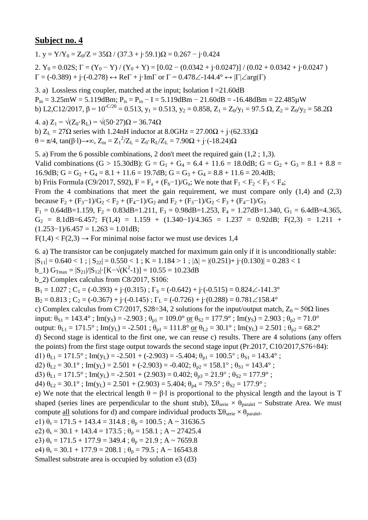1. y =  $Y/Y_0 = Z_0/Z = 35\Omega / (37.3 + i.59.1)\Omega = 0.267 - i.0.424$ 2.  $Y_0 = 0.02S$ ;  $\Gamma = (Y_0 - Y)/(Y_0 + Y) = [0.02 - (0.0342 + j \cdot 0.0247)]/(0.02 + 0.0342 + j \cdot 0.0247)$  $\Gamma = (-0.389) + j \cdot (-0.278) \leftrightarrow \text{Re}\Gamma + j \cdot \text{Im}\Gamma$  or  $\Gamma = 0.478 \angle -144.4^{\circ} \leftrightarrow |\Gamma| \angle \text{arg}(\Gamma)$ 

3. a) Lossless ring coupler, matched at the input; Isolation I =21.60dB  $P_{in} = 3.25 \text{mW} = 5.119 \text{dBm}; P_{is} = P_{in} - I = 5.119 \text{dBm} - 21.60 \text{dB} = -16.48 \text{dBm} = 22.485 \mu \text{W}$ b) L2,C12/2017,  $\beta = 10^{-C/20} = 0.513$ ,  $y_1 = 0.513$ ,  $y_2 = 0.858$ ,  $Z_1 = Z_0/y_1 = 97.5$   $\Omega$ ,  $Z_2 = Z_0/y_2 = 58.2\Omega$ 

4. a)  $Z_1 = \sqrt{(Z_0 \cdot R_L)} = \sqrt{(50 \cdot 27)}\Omega = 36.74 \Omega$ b)  $Z_L = 27\Omega$  series with 1.24nH inductor at  $8.0\text{GHz} = 27.00\Omega + \text{i} \cdot (62.33)\Omega$ θ = π/4, tan(β⋅l)→∞, Z<sub>in</sub> = Z<sub>1</sub><sup>2</sup>/Z<sub>L</sub> = Z<sub>0</sub>⋅R<sub>L</sub>/Z<sub>L</sub> = 7.90Ω + j⋅(-18.24)Ω

5. a) From the 6 possible combinations, 2 don't meet the required gain (1,2 ; 1,3). Valid combinations (G > 15.30dB): G = G<sub>1</sub> + G<sub>4</sub> = 6.4 + 11.6 = 18.0dB; G = G<sub>2</sub> + G<sub>3</sub> = 8.1 + 8.8 = 16.9dB;  $G = G_2 + G_4 = 8.1 + 11.6 = 19.7$ dB;  $G = G_3 + G_4 = 8.8 + 11.6 = 20.4$ dB; b) Friis Formula (C9/2017, S92),  $F = F_a + (F_b - 1)/G_a$ ; We note that  $F_1 < F_2 < F_3 < F_4$ ; From the 4 combinations that meet the gain requirement, we must compare only  $(1,4)$  and  $(2,3)$ because  $F_2 + (F_3 - 1)/G_2 < F_2 + (F_4 - 1)/G_2$  and  $F_2 + (F_3 - 1)/G_2 < F_3 + (F_4 - 1)/G_3$  $F_1 = 0.64$ dB=1.159,  $F_2 = 0.83$ dB=1.211,  $F_3 = 0.98$ dB=1.253,  $F_4 = 1.27$ dB=1.340,  $G_1 = 6.4$ dB=4.365,  $G_2 = 8.1dB = 6.457$ ; F(1,4) = 1.159 + (1.340-1)/4.365 = 1.237 = 0.92dB; F(2,3) = 1.211 +  $(1.253-1)/6.457 = 1.263 = 1.01dB;$ 

 $F(1,4) < F(2,3) \rightarrow$  For minimal noise factor we must use devices 1,4

6. a) The transistor can be conjugately matched for maximum gain only if it is unconditionally stable:

 $|S_{11}| = 0.640 < 1$ ;  $|S_{22}| = 0.550 < 1$ ;  $K = 1.184 > 1$ ;  $|\Delta| = |(0.251) + i(0.130)| = 0.283 < 1$ 

b\_1)  $G_{\text{Tmax}} = |S_{21}|/|S_{12}| \cdot [K - \sqrt{(K^2 - 1)}] = 10.55 = 10.23dB$ 

b\_2) Complex calculus from C8/2017, S106:

 $B_1 = 1.027$ ;  $C_1 = (-0.393) + i((0.315))$ ;  $\Gamma_s = (-0.642) + i((-0.515)) = 0.824 \angle -141.3^\circ$ 

 $B_2 = 0.813$ ;  $C_2 = (-0.367) + j \cdot (-0.145)$ ;  $\Gamma_L = (-0.726) + j \cdot (0.288) = 0.781 \angle 158.4^\circ$ 

c) Complex calculus from C7/2017, S28÷34, 2 solutions for the input/output match,  $Z_0 = 50\Omega$  lines

input:  $\theta_{S1} = 143.4^\circ$ ; Im(y<sub>S</sub>) = -2.903;  $\theta_{p1} = 109.0^\circ$  or  $\theta_{S2} = 177.9^\circ$ ; Im(y<sub>S</sub>) = 2.903;  $\theta_{p2} = 71.0^\circ$ 

output:  $\theta_{L1} = 171.5^\circ$ ; Im(y<sub>L</sub>) = -2.501;  $\theta_{p1} = 111.8^\circ$  or  $\theta_{L2} = 30.1^\circ$ ; Im(y<sub>L</sub>) = 2.501;  $\theta_{p2} = 68.2^\circ$ 

d) Second stage is identical to the first one, we can reuse c) results. There are 4 solutions (any offers the points) from the first stage output towards the second stage input (Pr.2017, C10/2017,S76÷84):

d1)  $\theta_{L1} = 171.5^{\circ}$ ; Im(y<sub>L</sub>) = -2.501 + (-2.903) = -5.404;  $\theta_{p1} = 100.5^{\circ}$ ;  $\theta_{S1} = 143.4^{\circ}$ ;

d2)  $\theta_{L2} = 30.1^\circ$ ; Im(y<sub>L</sub>) = 2.501 + (-2.903) = -0.402;  $\theta_{p2} = 158.1^\circ$ ;  $\theta_{S1} = 143.4^\circ$ ;

d3)  $\theta_{L1} = 171.5^{\circ}$ ; Im(y<sub>L</sub>) = -2.501 + (2.903) = 0.402;  $\theta_{p3} = 21.9^{\circ}$ ;  $\theta_{S2} = 177.9^{\circ}$ ;

d4)  $\theta_{1,2} = 30.1^\circ$ ; Im(y<sub>L</sub>) = 2.501 + (2.903) = 5.404;  $\theta_{p4} = 79.5^\circ$ ;  $\theta_{S2} = 177.9^\circ$ ;

e) We note that the electrical length  $\theta = \beta \cdot 1$  is proportional to the physical length and the layout is T shaped (series lines are perpendicular to the shunt stub),  $\Sigma \theta_{\text{series}} \times \theta_{\text{parallel}} \sim$  Substrate Area. We must compute <u>all</u> solutions for d) and compare individual products  $\Sigma \theta_{\text{serie}} \times \theta_{\text{parallel}}$ .

e1)  $\theta_s = 171.5 + 143.4 = 314.8$ ;  $\theta_p = 100.5$ ; A ~ 31636.5

e2)  $\theta_s = 30.1 + 143.4 = 173.5$ ;  $\theta_p = 158.1$ ; A ~ 27425.4

e3)  $\theta_s = 171.5 + 177.9 = 349.4$ ;  $\theta_p = 21.9$ ; A ~ 7659.8

e4)  $\theta_s = 30.1 + 177.9 = 208.1$ ;  $\theta_p = 79.5$ ; A ~ 16543.8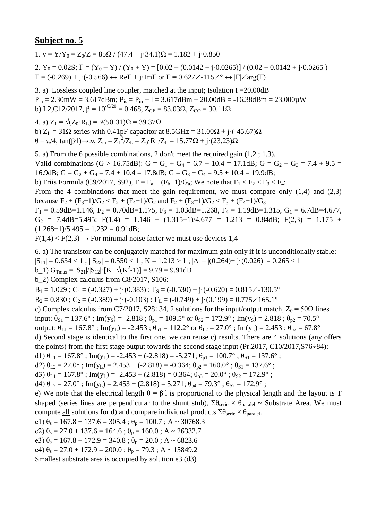1. y =  $Y/Y_0 = Z_0/Z = 85\Omega / (47.4 - i \cdot 34.1)\Omega = 1.182 + i \cdot 0.850$ 2.  $Y_0 = 0.02S$ ;  $\Gamma = (Y_0 - Y)/(Y_0 + Y) = [0.02 - (0.0142 + j \cdot 0.0265)]/(0.02 + 0.0142 + j \cdot 0.0265)$  $\Gamma = (-0.269) + j \cdot (-0.566) \leftrightarrow \text{Re}\Gamma + j \cdot \text{Im}\Gamma$  or  $\Gamma = 0.627 \angle -115.4^{\circ} \leftrightarrow |\Gamma| \angle \text{arg}(\Gamma)$ 

3. a) Lossless coupled line coupler, matched at the input; Isolation I =20.00dB  $P_{in} = 2.30$ mW = 3.617dBm;  $P_{is} = P_{in} - I = 3.617$ dBm - 20.00dB = -16.38dBm = 23.000 $\mu$ W b) L2,C12/2017,  $\beta = 10^{-C/20} = 0.468$ ,  $Z_{CE} = 83.03\Omega$ ,  $Z_{CO} = 30.11\Omega$ 

4. a)  $Z_1 = \sqrt{(Z_0 \cdot R_1)} = \sqrt{(50 \cdot 31)}\Omega = 39.37 \Omega$ b)  $Z_L = 31\Omega$  series with 0.41pF capacitor at  $8.5\text{GHz} = 31.00\Omega + \text{i} \cdot (-45.67)\Omega$ θ = π/4, tan(β⋅l)→∞, Z<sub>in</sub> = Z<sub>1</sub><sup>2</sup>/Z<sub>L</sub> = Z<sub>0</sub>⋅R<sub>L</sub>/Z<sub>L</sub> = 15.77Ω + j⋅(23.23)Ω

5. a) From the 6 possible combinations, 2 don't meet the required gain (1,2 ; 1,3). Valid combinations (G > 16.75dB): G = G<sub>1</sub> + G<sub>4</sub> = 6.7 + 10.4 = 17.1dB; G = G<sub>2</sub> + G<sub>3</sub> = 7.4 + 9.5 = 16.9dB;  $G = G_2 + G_4 = 7.4 + 10.4 = 17.8$ dB;  $G = G_3 + G_4 = 9.5 + 10.4 = 19.9$ dB; b) Friis Formula (C9/2017, S92),  $F = F_a + (F_b - 1)/G_a$ ; We note that  $F_1 < F_2 < F_3 < F_4$ ; From the 4 combinations that meet the gain requirement, we must compare only  $(1,4)$  and  $(2,3)$ because  $F_2 + (F_3 - 1)/G_2 < F_2 + (F_4 - 1)/G_2$  and  $F_2 + (F_3 - 1)/G_2 < F_3 + (F_4 - 1)/G_3$  $F_1 = 0.59$ dB=1.146,  $F_2 = 0.70$ dB=1.175,  $F_3 = 1.03$ dB=1.268,  $F_4 = 1.19$ dB=1.315,  $G_1 = 6.7$ dB=4.677,  $G_2$  = 7.4dB=5.495; F(1,4) = 1.146 + (1.315-1)/4.677 = 1.213 = 0.84dB; F(2,3) = 1.175 +  $(1.268-1)/5.495 = 1.232 = 0.91dB;$ 

 $F(1,4) < F(2,3) \rightarrow$  For minimal noise factor we must use devices 1,4

6. a) The transistor can be conjugately matched for maximum gain only if it is unconditionally stable:

 $|S_{11}| = 0.634 < 1$ ;  $|S_{22}| = 0.550 < 1$ ;  $K = 1.213 > 1$ ;  $|\Delta| = |(0.264) + i(0.026)| = 0.265 < 1$ 

 $b_1$ )  $G_{\text{Trmax}} = |S_{21}|/|S_{12}| \cdot [K - \sqrt{(K^2-1)}] = 9.79 = 9.91dB$ 

b\_2) Complex calculus from C8/2017, S106:

 $B_1 = 1.029$ ;  $C_1 = (-0.327) + i(0.383)$ ;  $\Gamma_s = (-0.530) + i(-0.620) = 0.815\angle 130.5^\circ$ 

 $B_2 = 0.830$ ;  $C_2 = (-0.389) + (-0.103)$ ;  $\Gamma_L = (-0.749) + (-0.199) = 0.775 \angle 165.1^\circ$ 

c) Complex calculus from C7/2017, S28÷34, 2 solutions for the input/output match,  $Z_0 = 50\Omega$  lines

input:  $\theta_{S1} = 137.6^\circ$ ; Im(y<sub>S</sub>) = -2.818;  $\theta_{p1} = 109.5^\circ$  or  $\theta_{S2} = 172.9^\circ$ ; Im(y<sub>S</sub>) = 2.818;  $\theta_{p2} = 70.5^\circ$ 

output:  $\theta_{L1} = 167.8^\circ$ ; Im(y<sub>L</sub>) = -2.453;  $\theta_{p1} = 112.2^\circ$  or  $\theta_{L2} = 27.0^\circ$ ; Im(y<sub>L</sub>) = 2.453;  $\theta_{p2} = 67.8^\circ$ 

d) Second stage is identical to the first one, we can reuse c) results. There are 4 solutions (any offers the points) from the first stage output towards the second stage input (Pr.2017, C10/2017,S76÷84):

d1)  $\theta_{L1} = 167.8^\circ$ ; Im(y<sub>L</sub>) = -2.453 + (-2.818) = -5.271;  $\theta_{p1} = 100.7^\circ$ ;  $\theta_{S1} = 137.6^\circ$ ;

d2)  $\theta_{L2} = 27.0^\circ$ ; Im(y<sub>L</sub>) = 2.453 + (-2.818) = -0.364;  $\theta_{p2} = 160.0^\circ$ ;  $\theta_{S1} = 137.6^\circ$ ;

d3)  $\theta_{L1} = 167.8^\circ$ ; Im(y<sub>L</sub>) = -2.453 + (2.818) = 0.364;  $\theta_{p3} = 20.0^\circ$ ;  $\theta_{S2} = 172.9^\circ$ ;

d4)  $\theta_{1,2} = 27.0^\circ$ ; Im(y<sub>L</sub>) = 2.453 + (2.818) = 5.271;  $\theta_{p4} = 79.3^\circ$ ;  $\theta_{S2} = 172.9^\circ$ ;

e) We note that the electrical length  $\theta = \beta \cdot 1$  is proportional to the physical length and the layout is T shaped (series lines are perpendicular to the shunt stub),  $\Sigma \theta_{\text{series}} \times \theta_{\text{parallel}} \sim$  Substrate Area. We must compute <u>all</u> solutions for d) and compare individual products  $\Sigma \theta_{\text{serie}} \times \theta_{\text{parallel}}$ .

e1)  $\theta_s = 167.8 + 137.6 = 305.4$ ;  $\theta_p = 100.7$ ; A ~ 30768.3

e2)  $\theta_s = 27.0 + 137.6 = 164.6$ ;  $\theta_p = 160.0$ ; A ~ 26332.7

e3)  $\theta_s = 167.8 + 172.9 = 340.8$ ;  $\theta_p = 20.0$ ; A ~ 6823.6

e4)  $\theta_s = 27.0 + 172.9 = 200.0$ ;  $\theta_p = 79.3$ ; A ~ 15849.2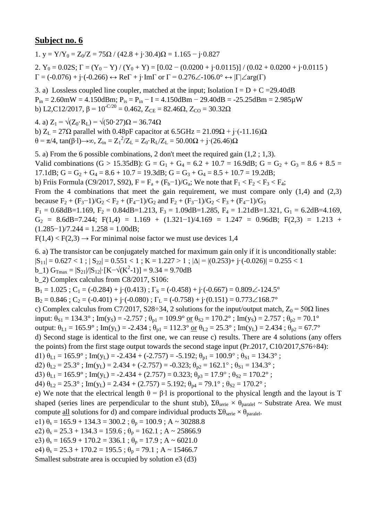1. y =  $Y/Y_0 = Z_0/Z = 75\Omega / (42.8 + i \cdot 30.4)\Omega = 1.165 - i \cdot 0.827$ 

2.  $Y_0 = 0.02S$ ;  $\Gamma = (Y_0 - Y) / (Y_0 + Y) = [0.02 - (0.0200 + i \cdot 0.0115)] / (0.02 + 0.0200 + i \cdot 0.0115)$  $\Gamma = (-0.076) + j \cdot (-0.266) \leftrightarrow \text{Re}\Gamma + j \cdot \text{Im}\Gamma$  or  $\Gamma = 0.276 \angle 0.076 \leftrightarrow |\Gamma| \angle \text{arg}(\Gamma)$ 

3. a) Lossless coupled line coupler, matched at the input; Isolation  $I = D + C = 29.40dB$  $P_{in} = 2.60$ mW = 4.150dBm;  $P_{is} = P_{in} - I = 4.150$ dBm - 29.40dB = -25.25dBm = 2.985 $\mu$ W b) L2,C12/2017,  $\beta$  = 10<sup>-C/20</sup> = 0.462, Z<sub>CE</sub> = 82.46 $\Omega$ , Z<sub>CO</sub> = 30.32 $\Omega$ 

4. a)  $Z_1 = \sqrt{(Z_0 \cdot R_1)} = \sqrt{(50.27)}\Omega = 36.74 \Omega$ b)  $Z_L = 27\Omega$  parallel with 0.48pF capacitor at 6.5GHz = 21.09 $\Omega$  + j·(-11.16) $\Omega$ θ = π/4, tan(β⋅l)→∞, Z<sub>in</sub> = Z<sub>1</sub><sup>2</sup>/Z<sub>L</sub> = Z<sub>0</sub>⋅R<sub>L</sub>/Z<sub>L</sub> = 50.00Ω + j⋅(26.46)Ω

5. a) From the 6 possible combinations, 2 don't meet the required gain (1,2 ; 1,3). Valid combinations (G > 15.35dB): G = G<sub>1</sub> + G<sub>4</sub> = 6.2 + 10.7 = 16.9dB; G = G<sub>2</sub> + G<sub>3</sub> = 8.6 + 8.5 = 17.1dB;  $G = G_2 + G_4 = 8.6 + 10.7 = 19.3$ dB;  $G = G_3 + G_4 = 8.5 + 10.7 = 19.2$ dB; b) Friis Formula (C9/2017, S92),  $F = F_a + (F_b - 1)/G_a$ ; We note that  $F_1 < F_2 < F_3 < F_4$ ; From the 4 combinations that meet the gain requirement, we must compare only  $(1,4)$  and  $(2,3)$ because  $F_2 + (F_3 - 1)/G_2 < F_2 + (F_4 - 1)/G_2$  and  $F_2 + (F_3 - 1)/G_2 < F_3 + (F_4 - 1)/G_3$  $F_1 = 0.68$ dB=1.169,  $F_2 = 0.84$ dB=1.213,  $F_3 = 1.09$ dB=1.285,  $F_4 = 1.21$ dB=1.321,  $G_1 = 6.2$ dB=4.169,  $G_2$  = 8.6dB=7.244; F(1,4) = 1.169 + (1.321-1)/4.169 = 1.247 = 0.96dB; F(2,3) = 1.213 +  $(1.285-1)/7.244 = 1.258 = 1.00dB;$ 

 $F(1,4) < F(2,3) \rightarrow$  For minimal noise factor we must use devices 1,4

6. a) The transistor can be conjugately matched for maximum gain only if it is unconditionally stable:  $|S_{11}| = 0.627 < 1$ ;  $|S_{22}| = 0.551 < 1$ ;  $K = 1.227 > 1$ ;  $|\Delta| = |(0.253) + i \cdot (-0.026)| = 0.255 < 1$ b\_1)  $G_{\text{Tmax}} = |S_{21}|/|S_{12}| \cdot [K - \sqrt{(K^2 - 1)}] = 9.34 = 9.70dB$ b\_2) Complex calculus from C8/2017, S106:  $B_1 = 1.025$ ; C<sub>1</sub> = (-0.284) + j·(0.413);  $\Gamma_s = (-0.458) + j \cdot (-0.667) = 0.809 \angle -124.5^\circ$  $B_2 = 0.846$ ;  $C_2 = (-0.401) + (-0.080)$ ;  $\Gamma_L = (-0.758) + (-0.151) = 0.773 \angle 168.7^\circ$ c) Complex calculus from C7/2017, S28÷34, 2 solutions for the input/output match,  $Z_0 = 50\Omega$  lines input:  $\theta_{S1} = 134.3^\circ$ ; Im(y<sub>S</sub>) = -2.757;  $\theta_{p1} = 109.9^\circ$  or  $\theta_{S2} = 170.2^\circ$ ; Im(y<sub>S</sub>) = 2.757;  $\theta_{p2} = 70.1^\circ$ output:  $\theta_{L1} = 165.9^\circ$ ; Im(y<sub>L</sub>) = -2.434;  $\theta_{p1} = 112.3^\circ$  or  $\theta_{L2} = 25.3^\circ$ ; Im(y<sub>L</sub>) = 2.434;  $\theta_{p2} = 67.7^\circ$ d) Second stage is identical to the first one, we can reuse c) results. There are 4 solutions (any offers the points) from the first stage output towards the second stage input (Pr.2017, C10/2017,S76÷84): d1)  $\theta_{L1} = 165.9^{\circ}$ ; Im(y<sub>L</sub>) = -2.434 + (-2.757) = -5.192;  $\theta_{p1} = 100.9^{\circ}$ ;  $\theta_{S1} = 134.3^{\circ}$ ; d2)  $\theta_{L2} = 25.3^\circ$ ; Im(y<sub>L</sub>) = 2.434 + (-2.757) = -0.323;  $\theta_{p2} = 162.1^\circ$ ;  $\theta_{S1} = 134.3^\circ$ ; d3)  $\theta_{L1} = 165.9^\circ$ ; Im(y<sub>L</sub>) = -2.434 + (2.757) = 0.323;  $\theta_{p3} = 17.9^\circ$ ;  $\theta_{S2} = 170.2^\circ$ ; d4)  $\theta_{1,2} = 25.3^\circ$ ; Im(y<sub>L</sub>) = 2.434 + (2.757) = 5.192;  $\theta_{p4} = 79.1^\circ$ ;  $\theta_{S2} = 170.2^\circ$ ; e) We note that the electrical length  $\theta = \beta \cdot 1$  is proportional to the physical length and the layout is T shaped (series lines are perpendicular to the shunt stub),  $\Sigma \theta_{\text{series}} \times \theta_{\text{parallel}} \sim$  Substrate Area. We must compute <u>all</u> solutions for d) and compare individual products  $\Sigma \theta_{\text{serie}} \times \theta_{\text{parallel}}$ . e1)  $\theta_s = 165.9 + 134.3 = 300.2$ ;  $\theta_p = 100.9$ ; A ~ 30288.8 e2)  $\theta_s = 25.3 + 134.3 = 159.6$ ;  $\theta_p = 162.1$ ; A ~ 25866.9 e3)  $\theta_s = 165.9 + 170.2 = 336.1$ ;  $\theta_p = 17.9$ ; A ~ 6021.0 e4)  $\theta_s = 25.3 + 170.2 = 195.5$ ;  $\theta_p = 79.1$ ; A ~ 15466.7 Smallest substrate area is occupied by solution e3 (d3)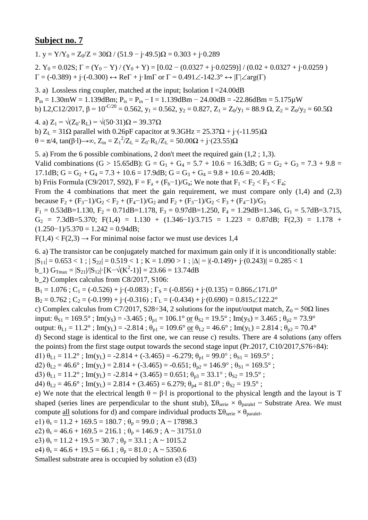1. y = Y/Y<sub>0</sub> = Z<sub>0</sub>/Z = 30 $\Omega$  / (51.9 - j·49.5) $\Omega$  = 0.303 + j·0.289

2.  $Y_0 = 0.02S$ ;  $\Gamma = (Y_0 - Y)/(Y_0 + Y) = [0.02 - (0.0327 + j \cdot 0.0259)]/(0.02 + 0.0327 + j \cdot 0.0259)$  $\Gamma = (-0.389) + j \cdot (-0.300) \leftrightarrow \text{Re}\Gamma + j \cdot \text{Im}\Gamma$  or  $\Gamma = 0.491\angle -142.3^{\circ} \leftrightarrow |\Gamma| \angle \text{arg}(\Gamma)$ 

3. a) Lossless ring coupler, matched at the input; Isolation I =24.00dB  $P_{in} = 1.30$ mW = 1.139dBm;  $P_{is} = P_{in} - I = 1.139$ dBm - 24.00dB = -22.86dBm = 5.175 $\mu$ W b) L2,C12/2017,  $\beta = 10^{-C/20} = 0.562$ ,  $y_1 = 0.562$ ,  $y_2 = 0.827$ ,  $Z_1 = Z_0/y_1 = 88.9 \Omega$ ,  $Z_2 = Z_0/y_2 = 60.5 \Omega$ 

4. a)  $Z_1 = \sqrt{(Z_0 \cdot R_L)} = \sqrt{(50 \cdot 31) \Omega} = 39.37 \Omega$ b)  $Z_L = 31\Omega$  parallel with 0.26pF capacitor at 9.3GHz = 25.37 $\Omega$  + j·(-11.95) $\Omega$ θ = π/4, tan(β⋅l)→∞, Z<sub>in</sub> = Z<sub>1</sub><sup>2</sup>/Z<sub>L</sub> = Z<sub>0</sub>⋅R<sub>L</sub>/Z<sub>L</sub> = 50.00Ω + j⋅(23.55)Ω

5. a) From the 6 possible combinations, 2 don't meet the required gain (1,2 ; 1,3). Valid combinations (G > 15.65dB): G = G<sub>1</sub> + G<sub>4</sub> = 5.7 + 10.6 = 16.3dB; G = G<sub>2</sub> + G<sub>3</sub> = 7.3 + 9.8 = 17.1dB;  $G = G_2 + G_4 = 7.3 + 10.6 = 17.9$ dB;  $G = G_3 + G_4 = 9.8 + 10.6 = 20.4$ dB; b) Friis Formula (C9/2017, S92),  $F = F_a + (F_b - 1)/G_a$ ; We note that  $F_1 < F_2 < F_3 < F_4$ ; From the 4 combinations that meet the gain requirement, we must compare only  $(1,4)$  and  $(2,3)$ because  $F_2 + (F_3 - 1)/G_2 < F_2 + (F_4 - 1)/G_2$  and  $F_2 + (F_3 - 1)/G_2 < F_3 + (F_4 - 1)/G_3$  $F_1 = 0.53$ dB=1.130,  $F_2 = 0.71$ dB=1.178,  $F_3 = 0.97$ dB=1.250,  $F_4 = 1.29$ dB=1.346,  $G_1 = 5.7$ dB=3.715,  $G_2$  = 7.3dB=5.370; F(1,4) = 1.130 + (1.346-1)/3.715 = 1.223 = 0.87dB; F(2,3) = 1.178 +  $(1.250-1)/5.370 = 1.242 = 0.94dB;$ 

 $F(1,4) < F(2,3) \rightarrow$  For minimal noise factor we must use devices 1,4

6. a) The transistor can be conjugately matched for maximum gain only if it is unconditionally stable:

 $|S_{11}| = 0.653 < 1$ ;  $|S_{22}| = 0.519 < 1$ ;  $K = 1.090 > 1$ ;  $|\Delta| = |(-0.149) + (-0.243)| = 0.285 < 1$ 

b\_1)  $G_{\text{Tmax}} = |S_{21}|/|S_{12}| \cdot [K - \sqrt{(K^2 - 1)}] = 23.66 = 13.74dB$ 

b\_2) Complex calculus from C8/2017, S106:

 $B_1 = 1.076$ ;  $C_1 = (-0.526) + (-0.083)$ ;  $\Gamma_s = (-0.856) + (-0.135) = 0.866 \measuredangle 171.0^\circ$ 

 $B_2 = 0.762$ ;  $C_2 = (-0.199) + j \cdot (-0.316)$ ;  $\Gamma_L = (-0.434) + j \cdot (0.690) = 0.815 \angle 122.2^\circ$ 

c) Complex calculus from C7/2017, S28÷34, 2 solutions for the input/output match,  $Z_0 = 50\Omega$  lines

input:  $\theta_{S1} = 169.5^\circ$ ; Im(y<sub>S</sub>) = -3.465;  $\theta_{p1} = 106.1^\circ$  or  $\theta_{S2} = 19.5^\circ$ ; Im(y<sub>S</sub>) = 3.465;  $\theta_{p2} = 73.9^\circ$ 

output:  $\theta_{L1} = 11.2^\circ$ ; Im(y<sub>L</sub>) = -2.814;  $\theta_{p1} = 109.6^\circ$  or  $\theta_{L2} = 46.6^\circ$ ; Im(y<sub>L</sub>) = 2.814;  $\theta_{p2} = 70.4^\circ$ 

d) Second stage is identical to the first one, we can reuse c) results. There are 4 solutions (any offers the points) from the first stage output towards the second stage input (Pr.2017, C10/2017,S76÷84):

d1)  $\theta_{L1} = 11.2^\circ$ ; Im(y<sub>L</sub>) = -2.814 + (-3.465) = -6.279;  $\theta_{p1} = 99.0^\circ$ ;  $\theta_{s1} = 169.5^\circ$ ;

d2)  $\theta_{L2} = 46.6^\circ$ ; Im(y<sub>L</sub>) = 2.814 + (-3.465) = -0.651;  $\theta_{p2} = 146.9^\circ$ ;  $\theta_{S1} = 169.5^\circ$ ;

d3)  $\theta_{L1} = 11.2^{\circ}$ ; Im(y<sub>L</sub>) = -2.814 + (3.465) = 0.651;  $\theta_{p3} = 33.1^{\circ}$ ;  $\theta_{S2} = 19.5^{\circ}$ ;

d4)  $\theta_{1,2} = 46.6^\circ$ ; Im(y<sub>L</sub>) = 2.814 + (3.465) = 6.279;  $\theta_{p4} = 81.0^\circ$ ;  $\theta_{S2} = 19.5^\circ$ ;

e) We note that the electrical length  $\theta = \beta \cdot 1$  is proportional to the physical length and the layout is T shaped (series lines are perpendicular to the shunt stub),  $\Sigma \theta_{\text{series}} \times \theta_{\text{parallel}} \sim$  Substrate Area. We must compute <u>all</u> solutions for d) and compare individual products  $\Sigma \theta_{\text{serie}} \times \theta_{\text{parallel}}$ .

e1)  $\theta_s = 11.2 + 169.5 = 180.7$ ;  $\theta_p = 99.0$ ; A ~ 17898.3

e2)  $\theta_s = 46.6 + 169.5 = 216.1$ ;  $\theta_p = 146.9$ ; A ~ 31751.0

e3)  $\theta_s = 11.2 + 19.5 = 30.7$ ;  $\theta_p = 33.1$ ; A ~ 1015.2

e4)  $\theta_s = 46.6 + 19.5 = 66.1$ ;  $\theta_p = 81.0$ ; A ~ 5350.6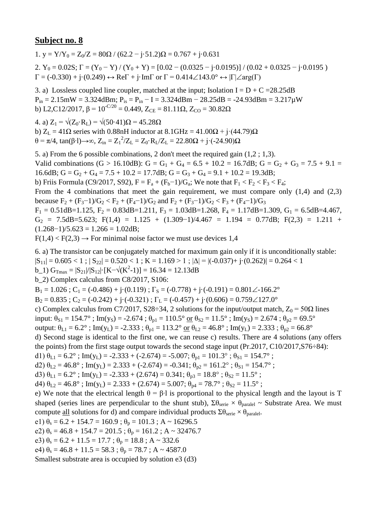1.  $y = Y/Y_0 = Z_0/Z = 80\Omega / (62.2 - j.51.2)\Omega = 0.767 + j.0.631$ 

2.  $Y_0 = 0.02S$ ;  $\Gamma = (Y_0 - Y)/(Y_0 + Y) = [0.02 - (0.0325 - j \cdot 0.0195)]/(0.02 + 0.0325 - j \cdot 0.0195)$  $\Gamma = (-0.330) + \mathfrak{j} \cdot (0.249) \leftrightarrow \text{Re}\Gamma + \mathfrak{j} \cdot \text{Im}\Gamma$  or  $\Gamma = 0.414 \angle 143.0^{\circ} \leftrightarrow |\Gamma| \angle \text{arg}(\Gamma)$ 

3. a) Lossless coupled line coupler, matched at the input; Isolation  $I = D + C = 28.25dB$  $P_{in} = 2.15 \text{mW} = 3.324 \text{dBm}$ ;  $P_{is} = P_{in} - I = 3.324 \text{dBm} - 28.25 \text{dB} = -24.93 \text{dBm} = 3.217 \text{mW}$ b) L2,C12/2017,  $\beta$  = 10<sup>-C/20</sup> = 0.449, Z<sub>CE</sub> = 81.11 $\Omega$ , Z<sub>CO</sub> = 30.82 $\Omega$ 

4. a)  $Z_1 = \sqrt{(Z_0 \cdot R_1)} = \sqrt{(50 \cdot 41) \Omega} = 45.28 \Omega$ b)  $Z_L = 41\Omega$  series with 0.88nH inductor at  $8.1\text{GHz} = 41.00\Omega + \text{i} \cdot (44.79)\Omega$ 

 $θ = π/4$ , tan(β⋅1)→∞, Z<sub>in</sub> = Z<sub>1</sub><sup>2</sup>/Z<sub>L</sub> = Z<sub>0</sub>⋅R<sub>L</sub>/Z<sub>L</sub> = 22.80Ω + j⋅(-24.90)Ω

5. a) From the 6 possible combinations, 2 don't meet the required gain (1,2 ; 1,3). Valid combinations (G > 16.10dB): G = G<sub>1</sub> + G<sub>4</sub> = 6.5 + 10.2 = 16.7dB; G = G<sub>2</sub> + G<sub>3</sub> = 7.5 + 9.1 = 16.6dB;  $G = G_2 + G_4 = 7.5 + 10.2 = 17.7$ dB;  $G = G_3 + G_4 = 9.1 + 10.2 = 19.3$ dB; b) Friis Formula (C9/2017, S92),  $F = F_a + (F_b - 1)/G_a$ ; We note that  $F_1 < F_2 < F_3 < F_4$ ; From the 4 combinations that meet the gain requirement, we must compare only  $(1,4)$  and  $(2,3)$ because  $F_2 + (F_3 - 1)/G_2 < F_2 + (F_4 - 1)/G_2$  and  $F_2 + (F_3 - 1)/G_2 < F_3 + (F_4 - 1)/G_3$  $F_1 = 0.51$ dB=1.125,  $F_2 = 0.83$ dB=1.211,  $F_3 = 1.03$ dB=1.268,  $F_4 = 1.17$ dB=1.309,  $G_1 = 6.5$ dB=4.467,  $G_2$  = 7.5dB=5.623; F(1,4) = 1.125 + (1.309-1)/4.467 = 1.194 = 0.77dB; F(2,3) = 1.211 +  $(1.268-1)/5.623 = 1.266 = 1.02dB;$ 

 $F(1,4) < F(2,3) \rightarrow$  For minimal noise factor we must use devices 1,4

6. a) The transistor can be conjugately matched for maximum gain only if it is unconditionally stable:

 $|S_{11}| = 0.605 < 1$ ;  $|S_{22}| = 0.520 < 1$ ;  $K = 1.169 > 1$ ;  $|\Delta| = |(-0.037) + (-0.262)| = 0.264 < 1$ 

b\_1)  $G_{\text{Tmax}} = |S_{21}|/|S_{12}| \cdot [K - \sqrt{(K^2 - 1)}] = 16.34 = 12.13dB$ 

b\_2) Complex calculus from C8/2017, S106:

 $B_1 = 1.026$ ;  $C_1 = (-0.486) + (-0.119)$ ;  $\Gamma_s = (-0.778) + (-0.191) = 0.801 \angle 166.2^\circ$ 

 $B_2 = 0.835$ ;  $C_2 = (-0.242) + i(-0.321)$ ;  $\Gamma_L = (-0.457) + i(0.606) = 0.759 \angle 127.0^\circ$ 

c) Complex calculus from C7/2017, S28÷34, 2 solutions for the input/output match,  $Z_0 = 50\Omega$  lines

input:  $\theta_{S1} = 154.7^\circ$ ; Im(y<sub>S</sub>) = -2.674;  $\theta_{p1} = 110.5^\circ \text{ or } \theta_{S2} = 11.5^\circ$ ; Im(y<sub>S</sub>) = 2.674;  $\theta_{p2} = 69.5^\circ$ 

output:  $\theta_{L1} = 6.2^\circ$ ; Im(y<sub>L</sub>) = -2.333;  $\theta_{p1} = 113.2^\circ$  or  $\theta_{L2} = 46.8^\circ$ ; Im(y<sub>L</sub>) = 2.333;  $\theta_{p2} = 66.8^\circ$ 

d) Second stage is identical to the first one, we can reuse c) results. There are 4 solutions (any offers the points) from the first stage output towards the second stage input (Pr.2017, C10/2017,S76÷84):

d1)  $\theta_{L1} = 6.2^\circ$ ; Im(y<sub>L</sub>) = -2.333 + (-2.674) = -5.007;  $\theta_{p1} = 101.3^\circ$ ;  $\theta_{s1} = 154.7^\circ$ ;

d2)  $\theta_{L2} = 46.8^\circ$ ; Im(y<sub>L</sub>) = 2.333 + (-2.674) = -0.341;  $\theta_{p2} = 161.2^\circ$ ;  $\theta_{S1} = 154.7^\circ$ ;

d3)  $\theta_{L1} = 6.2^{\circ}$ ; Im(y<sub>L</sub>) = -2.333 + (2.674) = 0.341;  $\theta_{p3} = 18.8^{\circ}$ ;  $\theta_{S2} = 11.5^{\circ}$ ;

d4)  $\theta_{1,2} = 46.8^\circ$ ; Im(y<sub>L</sub>) = 2.333 + (2.674) = 5.007;  $\theta_{p4} = 78.7^\circ$ ;  $\theta_{S2} = 11.5^\circ$ ;

e) We note that the electrical length  $\theta = \beta \cdot 1$  is proportional to the physical length and the layout is T shaped (series lines are perpendicular to the shunt stub),  $\Sigma \theta_{\text{series}} \times \theta_{\text{parallel}} \sim$  Substrate Area. We must compute <u>all</u> solutions for d) and compare individual products  $\Sigma \theta_{\text{serie}} \times \theta_{\text{parallel}}$ .

e1)  $\theta_s = 6.2 + 154.7 = 160.9$ ;  $\theta_p = 101.3$ ; A ~ 16296.5

e2)  $\theta_s = 46.8 + 154.7 = 201.5$ ;  $\theta_p = 161.2$ ; A ~ 32476.7

e3)  $\theta_s = 6.2 + 11.5 = 17.7$ ;  $\theta_p = 18.8$ ; A ~ 332.6

e4)  $\theta_s = 46.8 + 11.5 = 58.3$ ;  $\theta_p = 78.7$ ; A ~ 4587.0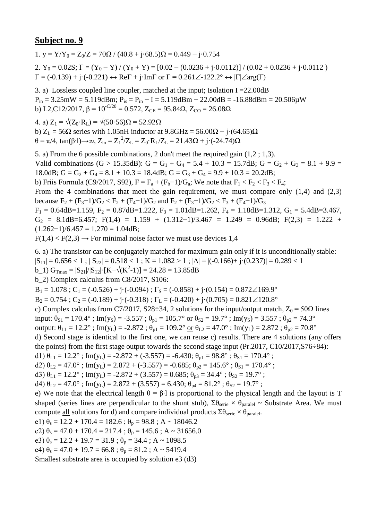1. y =  $Y/Y_0 = Z_0/Z = 70\Omega / (40.8 + i.68.5)\Omega = 0.449 - i.0.754$ 

2.  $Y_0 = 0.02S$ ;  $\Gamma = (Y_0 - Y)/(Y_0 + Y) = [0.02 - (0.0236 + j \cdot 0.0112)]/(0.02 + 0.0236 + j \cdot 0.0112)$  $\Gamma = (-0.139) + j \cdot (-0.221) \leftrightarrow \text{Re}\Gamma + j \cdot \text{Im}\Gamma$  or  $\Gamma = 0.261 \angle 122.2^{\circ} \leftrightarrow |\Gamma| \angle \text{arg}(\Gamma)$ 

3. a) Lossless coupled line coupler, matched at the input; Isolation I =22.00dB  $P_{in} = 3.25 \text{mW} = 5.119 \text{dBm}; P_{is} = P_{in} - I = 5.119 \text{dBm} - 22.00 \text{dB} = -16.88 \text{dBm} = 20.506 \mu \text{W}$ b) L2,C12/2017, β =  $10^{-C/20}$  = 0.572, Z<sub>CE</sub> = 95.84Ω, Z<sub>CO</sub> = 26.08Ω

4. a)  $Z_1 = \sqrt{(Z_0 \cdot R_L)} = \sqrt{(50 \cdot 56)}$ Ω = 52.92Ω

b)  $Z_L$  = 56 $\Omega$  series with 1.05nH inductor at 9.8GHz = 56.00 $\Omega$  + j $\cdot$ (64.65) $\Omega$ θ = π/4, tan(β⋅1)→∞, Z<sub>in</sub> = Z<sub>1</sub><sup>2</sup>/Z<sub>L</sub> = Z<sub>0</sub>⋅R<sub>L</sub>/Z<sub>L</sub> = 21.43Ω + j⋅(-24.74)Ω

5. a) From the 6 possible combinations, 2 don't meet the required gain (1,2 ; 1,3). Valid combinations (G > 15.35dB): G = G<sub>1</sub> + G<sub>4</sub> = 5.4 + 10.3 = 15.7dB; G = G<sub>2</sub> + G<sub>3</sub> = 8.1 + 9.9 = 18.0dB;  $G = G_2 + G_4 = 8.1 + 10.3 = 18.4$ dB;  $G = G_3 + G_4 = 9.9 + 10.3 = 20.2$ dB; b) Friis Formula (C9/2017, S92),  $F = F_a + (F_b - 1)/G_a$ ; We note that  $F_1 < F_2 < F_3 < F_4$ ; From the 4 combinations that meet the gain requirement, we must compare only  $(1,4)$  and  $(2,3)$ because  $F_2 + (F_3 - 1)/G_2 < F_2 + (F_4 - 1)/G_2$  and  $F_2 + (F_3 - 1)/G_2 < F_3 + (F_4 - 1)/G_3$  $F_1 = 0.64$ dB=1.159,  $F_2 = 0.87$ dB=1.222,  $F_3 = 1.01$ dB=1.262,  $F_4 = 1.18$ dB=1.312,  $G_1 = 5.4$ dB=3.467,  $G_2 = 8.1dB=6.457$ ; F(1,4) = 1.159 + (1.312-1)/3.467 = 1.249 = 0.96dB; F(2,3) = 1.222 +  $(1.262-1)/6.457 = 1.270 = 1.04dB;$ 

 $F(1,4) < F(2,3) \rightarrow$  For minimal noise factor we must use devices 1,4

6. a) The transistor can be conjugately matched for maximum gain only if it is unconditionally stable:

 $|S_{11}| = 0.656 < 1$ ;  $|S_{22}| = 0.518 < 1$ ;  $K = 1.082 > 1$ ;  $|\Delta| = |(-0.166) + (-0.237)| = 0.289 < 1$ 

b\_1)  $G_{\text{Tmax}} = |S_{21}|/|S_{12}| \cdot [K - \sqrt{(K^2 - 1)}] = 24.28 = 13.85dB$ 

b\_2) Complex calculus from C8/2017, S106:

 $B_1 = 1.078$ ;  $C_1 = (-0.526) + (-0.094)$ ;  $\Gamma_s = (-0.858) + (-0.154) = 0.872 \angle 169.9^\circ$ 

 $B_2 = 0.754$ ;  $C_2 = (-0.189) + (-0.318)$ ;  $\Gamma_L = (-0.420) + (-0.705) = 0.821 \angle 120.8^\circ$ 

c) Complex calculus from C7/2017, S28÷34, 2 solutions for the input/output match,  $Z_0 = 50\Omega$  lines

input:  $\theta_{S1} = 170.4^\circ$ ; Im(y<sub>S</sub>) = -3.557;  $\theta_{p1} = 105.7^\circ$  or  $\theta_{S2} = 19.7^\circ$ ; Im(y<sub>S</sub>) = 3.557;  $\theta_{p2} = 74.3^\circ$ 

output:  $\theta_{L1} = 12.2^\circ$ ; Im(y<sub>L</sub>) = -2.872;  $\theta_{p1} = 109.2^\circ$  or  $\theta_{L2} = 47.0^\circ$ ; Im(y<sub>L</sub>) = 2.872;  $\theta_{p2} = 70.8^\circ$ 

d) Second stage is identical to the first one, we can reuse c) results. There are 4 solutions (any offers the points) from the first stage output towards the second stage input (Pr.2017, C10/2017,S76÷84):

d1)  $\theta_{L1} = 12.2^\circ$ ; Im(y<sub>L</sub>) = -2.872 + (-3.557) = -6.430;  $\theta_{p1} = 98.8^\circ$ ;  $\theta_{S1} = 170.4^\circ$ ;

d2)  $\theta_{L2} = 47.0^{\circ}$ ; Im(y<sub>L</sub>) = 2.872 + (-3.557) = -0.685;  $\theta_{p2} = 145.6^{\circ}$ ;  $\theta_{S1} = 170.4^{\circ}$ ;

d3)  $\theta_{L1} = 12.2^\circ$ ; Im(y<sub>L</sub>) = -2.872 + (3.557) = 0.685;  $\theta_{p3} = 34.4^\circ$ ;  $\theta_{S2} = 19.7^\circ$ ;

d4)  $\theta_{1,2} = 47.0^{\circ}$ ; Im(y<sub>L</sub>) = 2.872 + (3.557) = 6.430;  $\theta_{p4} = 81.2^{\circ}$ ;  $\theta_{S2} = 19.7^{\circ}$ ;

e) We note that the electrical length  $\theta = \beta \cdot 1$  is proportional to the physical length and the layout is T shaped (series lines are perpendicular to the shunt stub),  $\Sigma \theta_{\text{series}} \times \theta_{\text{parallel}} \sim$  Substrate Area. We must compute <u>all</u> solutions for d) and compare individual products  $\Sigma \theta_{\text{serie}} \times \theta_{\text{parallel}}$ .

e1)  $\theta_s = 12.2 + 170.4 = 182.6$ ;  $\theta_p = 98.8$ ; A ~ 18046.2

e2)  $\theta_s = 47.0 + 170.4 = 217.4$ ;  $\theta_p = 145.6$ ; A ~ 31656.0

e3)  $\theta_s = 12.2 + 19.7 = 31.9$ ;  $\theta_p = 34.4$ ; A ~ 1098.5

e4)  $\theta_s = 47.0 + 19.7 = 66.8$ ;  $\theta_p = 81.2$ ; A ~ 5419.4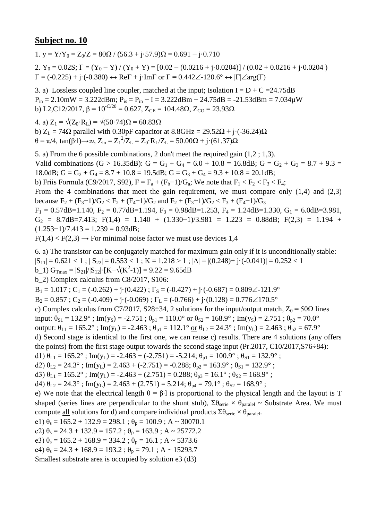1. y =  $Y/Y_0 = Z_0/Z = 80\Omega / (56.3 + i.57.9)\Omega = 0.691 - i.0.710$ 

2.  $Y_0 = 0.02S$ ;  $\Gamma = (Y_0 - Y) / (Y_0 + Y) = [0.02 - (0.0216 + j \cdot 0.0204)] / (0.02 + 0.0216 + j \cdot 0.0204)$  $\Gamma = (-0.225) + \mathrm{j} \cdot (-0.380) \leftrightarrow \mathrm{Re} \Gamma + \mathrm{j} \cdot \mathrm{Im} \Gamma$  or  $\Gamma = 0.442 \angle 120.6^{\circ} \leftrightarrow |\Gamma| \angle \mathrm{arg}(\Gamma)$ 

3. a) Lossless coupled line coupler, matched at the input; Isolation I =  $D + C = 24.75dB$  $P_{in} = 2.10$ mW = 3.222dBm;  $P_{is} = P_{in} - I = 3.222$ dBm - 24.75dB = -21.53dBm = 7.034 $\mu$ W b) L2,C12/2017,  $\beta = 10^{-C/20} = 0.627$ ,  $Z_{CE} = 104.48\Omega$ ,  $Z_{CO} = 23.93\Omega$ 

4. a)  $Z_1 = \sqrt{(Z_0 \cdot R_1)} = \sqrt{(50.74) \Omega} = 60.83 \Omega$ b)  $Z_L = 74\Omega$  parallel with 0.30pF capacitor at  $8.8\text{GHz} = 29.52\Omega + \text{i} \cdot (-36.24)\Omega$ θ = π/4, tan(β⋅l)→∞, Z<sub>in</sub> = Z<sub>1</sub><sup>2</sup>/Z<sub>L</sub> = Z<sub>0</sub>⋅R<sub>L</sub>/Z<sub>L</sub> = 50.00Ω + j⋅(61.37)Ω

5. a) From the 6 possible combinations, 2 don't meet the required gain (1,2 ; 1,3). Valid combinations (G > 16.35dB): G = G<sub>1</sub> + G<sub>4</sub> = 6.0 + 10.8 = 16.8dB; G = G<sub>2</sub> + G<sub>3</sub> = 8.7 + 9.3 = 18.0dB;  $G = G_2 + G_4 = 8.7 + 10.8 = 19.5dB$ ;  $G = G_3 + G_4 = 9.3 + 10.8 = 20.1dB$ ; b) Friis Formula (C9/2017, S92),  $F = F_a + (F_b - 1)/G_a$ ; We note that  $F_1 < F_2 < F_3 < F_4$ ; From the 4 combinations that meet the gain requirement, we must compare only  $(1,4)$  and  $(2,3)$ because  $F_2 + (F_3 - 1)/G_2 < F_2 + (F_4 - 1)/G_2$  and  $F_2 + (F_3 - 1)/G_2 < F_3 + (F_4 - 1)/G_3$  $F_1 = 0.57$ dB=1.140,  $F_2 = 0.77$ dB=1.194,  $F_3 = 0.98$ dB=1.253,  $F_4 = 1.24$ dB=1.330,  $G_1 = 6.0$ dB=3.981,  $G_2 = 8.7dB = 7.413$ ; F(1,4) = 1.140 + (1.330-1)/3.981 = 1.223 = 0.88dB; F(2,3) = 1.194 +  $(1.253-1)/7.413 = 1.239 = 0.93dB;$ 

 $F(1,4) < F(2,3) \rightarrow$  For minimal noise factor we must use devices 1,4

6. a) The transistor can be conjugately matched for maximum gain only if it is unconditionally stable:  $|S_{11}| = 0.621 < 1$ ;  $|S_{22}| = 0.553 < 1$ ;  $K = 1.218 > 1$ ;  $|\Delta| = |(0.248) + i \cdot (-0.041)| = 0.252 < 1$ b\_1)  $G_{\text{Tmax}} = |S_{21}|/|S_{12}| \cdot [K - \sqrt{(K^2 - 1)}] = 9.22 = 9.65dB$ b\_2) Complex calculus from C8/2017, S106:  $B_1 = 1.017$ ;  $C_1 = (-0.262) + i \cdot (0.422)$ ;  $\Gamma_s = (-0.427) + i \cdot (-0.687) = 0.809 \angle -121.9^\circ$  $B_2 = 0.857$ ;  $C_2 = (-0.409) + (-0.069)$ ;  $\Gamma_L = (-0.766) + (-0.128) = 0.776 \angle 170.5^\circ$ c) Complex calculus from C7/2017, S28÷34, 2 solutions for the input/output match,  $Z_0 = 50\Omega$  lines input:  $\theta_{S1} = 132.9^\circ$ ; Im(y<sub>S</sub>) = -2.751;  $\theta_{p1} = 110.0^\circ$  or  $\theta_{S2} = 168.9^\circ$ ; Im(y<sub>S</sub>) = 2.751;  $\theta_{p2} = 70.0^\circ$ output:  $\theta_{L1} = 165.2^\circ$ ; Im(y<sub>L</sub>) = -2.463;  $\theta_{p1} = 112.1^\circ$  or  $\theta_{L2} = 24.3^\circ$ ; Im(y<sub>L</sub>) = 2.463;  $\theta_{p2} = 67.9^\circ$ d) Second stage is identical to the first one, we can reuse c) results. There are 4 solutions (any offers the points) from the first stage output towards the second stage input (Pr.2017, C10/2017,S76÷84): d1)  $\theta_{L1} = 165.2^{\circ}$ ; Im(y<sub>L</sub>) = -2.463 + (-2.751) = -5.214;  $\theta_{p1} = 100.9^{\circ}$ ;  $\theta_{S1} = 132.9^{\circ}$ ; d2)  $\theta_{L2} = 24.3^\circ$ ; Im(y<sub>L</sub>) = 2.463 + (-2.751) = -0.288;  $\theta_{p2} = 163.9^\circ$ ;  $\theta_{S1} = 132.9^\circ$ ; d3)  $\theta_{L1} = 165.2^{\circ}$ ; Im(y<sub>L</sub>) = -2.463 + (2.751) = 0.288;  $\theta_{p3} = 16.1^{\circ}$ ;  $\theta_{S2} = 168.9^{\circ}$ ; d4)  $\theta_{1,2} = 24.3^\circ$ ; Im(y<sub>L</sub>) = 2.463 + (2.751) = 5.214;  $\theta_{p4} = 79.1^\circ$ ;  $\theta_{S2} = 168.9^\circ$ ; e) We note that the electrical length  $\theta = \beta \cdot 1$  is proportional to the physical length and the layout is T shaped (series lines are perpendicular to the shunt stub),  $\Sigma \theta_{\text{series}} \times \theta_{\text{parallel}} \sim$  Substrate Area. We must compute <u>all</u> solutions for d) and compare individual products  $\Sigma \theta_{\text{serie}} \times \theta_{\text{parallel}}$ . e1)  $\theta_s = 165.2 + 132.9 = 298.1$ ;  $\theta_p = 100.9$ ; A ~ 30070.1 e2)  $\theta_s = 24.3 + 132.9 = 157.2$ ;  $\theta_p = 163.9$ ; A ~ 25772.2 e3)  $\theta_s = 165.2 + 168.9 = 334.2$ ;  $\theta_p = 16.1$ ; A ~ 5373.6 e4)  $\theta_s = 24.3 + 168.9 = 193.2$ ;  $\theta_p = 79.1$ ; A ~ 15293.7 Smallest substrate area is occupied by solution e3 (d3)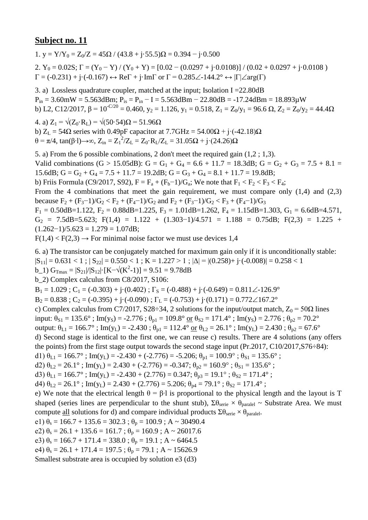1. y =  $Y/Y_0 = Z_0/Z = 45\Omega / (43.8 + i.55.5)\Omega = 0.394 - i.0.500$ 

2.  $Y_0 = 0.02S$ ;  $\Gamma = (Y_0 - Y) / (Y_0 + Y) = [0.02 - (0.0297 + j \cdot 0.0108)] / (0.02 + 0.0297 + j \cdot 0.0108)$  $\Gamma = (-0.231) + \mathrm{j} \cdot (-0.167) \leftrightarrow \mathrm{Re} \Gamma + \mathrm{j} \cdot \mathrm{Im} \Gamma$  or  $\Gamma = 0.285 \angle 144.2^{\circ} \leftrightarrow |\Gamma| \angle \mathrm{arg}(\Gamma)$ 

3. a) Lossless quadrature coupler, matched at the input; Isolation I =22.80dB  $P_{in} = 3.60$ mW = 5.563dBm;  $P_{is} = P_{in} - I = 5.563$ dBm - 22.80dB = -17.24dBm = 18.893 $\mu$ W b) L2, C12/2017,  $\beta = 10^{-C/20} = 0.460$ ,  $y_2 = 1.126$ ,  $y_1 = 0.518$ ,  $Z_1 = Z_0/y_1 = 96.6 \Omega$ ,  $Z_2 = Z_0/y_2 = 44.4 \Omega$ 

4. a)  $Z_1 = \sqrt{(Z_0 \cdot R_L)} = \sqrt{(50 \cdot 54)}\Omega = 51.96 \Omega$ b)  $Z_L$  = 54 $\Omega$  series with 0.49pF capacitor at 7.7GHz = 54.00 $\Omega$  + j·(-42.18) $\Omega$ θ = π/4, tan(β⋅l)→∞, Z<sub>in</sub> = Z<sub>1</sub><sup>2</sup>/Z<sub>L</sub> = Z<sub>0</sub>⋅R<sub>L</sub>/Z<sub>L</sub> = 31.05Ω + j⋅(24.26)Ω

5. a) From the 6 possible combinations, 2 don't meet the required gain (1,2 ; 1,3). Valid combinations (G > 15.05dB): G = G<sub>1</sub> + G<sub>4</sub> = 6.6 + 11.7 = 18.3dB; G = G<sub>2</sub> + G<sub>3</sub> = 7.5 + 8.1 = 15.6dB;  $G = G_2 + G_4 = 7.5 + 11.7 = 19.2$ dB;  $G = G_3 + G_4 = 8.1 + 11.7 = 19.8$ dB; b) Friis Formula (C9/2017, S92),  $F = F_a + (F_b - 1)/G_a$ ; We note that  $F_1 < F_2 < F_3 < F_4$ ; From the 4 combinations that meet the gain requirement, we must compare only  $(1,4)$  and  $(2,3)$ because  $F_2 + (F_3 - 1)/G_2 < F_2 + (F_4 - 1)/G_2$  and  $F_2 + (F_3 - 1)/G_2 < F_3 + (F_4 - 1)/G_3$  $F_1 = 0.50$ dB=1.122,  $F_2 = 0.88$ dB=1.225,  $F_3 = 1.01$ dB=1.262,  $F_4 = 1.15$ dB=1.303,  $G_1 = 6.6$ dB=4.571,  $G_2$  = 7.5dB=5.623; F(1,4) = 1.122 + (1.303-1)/4.571 = 1.188 = 0.75dB; F(2,3) = 1.225 +  $(1.262-1)/5.623 = 1.279 = 1.07dB;$ 

 $F(1,4) < F(2,3) \rightarrow$  For minimal noise factor we must use devices 1,4

6. a) The transistor can be conjugately matched for maximum gain only if it is unconditionally stable:  $|S_{11}| = 0.631 < 1$ ;  $|S_{22}| = 0.550 < 1$ ;  $K = 1.227 > 1$ ;  $|\Delta| = |(0.258) + i \cdot (-0.008)| = 0.258 < 1$ b\_1)  $G_{\text{Tmax}} = |S_{21}|/|S_{12}| \cdot [K - \sqrt{(K^2 - 1)}] = 9.51 = 9.78dB$ b\_2) Complex calculus from C8/2017, S106:  $B_1 = 1.029$ ;  $C_1 = (-0.303) + i((0.402))$ ;  $\Gamma_s = (-0.488) + i((-0.649)) = 0.811 \angle -126.9^\circ$  $B_2 = 0.838$ ;  $C_2 = (-0.395) + (-0.090)$ ;  $\Gamma_L = (-0.753) + (-0.171) = 0.772 \angle 167.2^\circ$ 

c) Complex calculus from C7/2017, S28÷34, 2 solutions for the input/output match,  $Z_0 = 50\Omega$  lines

input:  $\theta_{S1} = 135.6^\circ$ ; Im(y<sub>S</sub>) = -2.776;  $\theta_{p1} = 109.8^\circ$  or  $\theta_{S2} = 171.4^\circ$ ; Im(y<sub>S</sub>) = 2.776;  $\theta_{p2} = 70.2^\circ$ 

output:  $\theta_{L1} = 166.7^\circ$ ; Im(y<sub>L</sub>) = -2.430;  $\theta_{p1} = 112.4^\circ$  or  $\theta_{L2} = 26.1^\circ$ ; Im(y<sub>L</sub>) = 2.430;  $\theta_{p2} = 67.6^\circ$ 

d) Second stage is identical to the first one, we can reuse c) results. There are 4 solutions (any offers the points) from the first stage output towards the second stage input (Pr.2017, C10/2017,S76÷84):

d1)  $\theta_{L1} = 166.7^\circ$ ; Im(y<sub>L</sub>) = -2.430 + (-2.776) = -5.206;  $\theta_{p1} = 100.9^\circ$ ;  $\theta_{S1} = 135.6^\circ$ ;

d2)  $\theta_{L2} = 26.1^\circ$ ; Im(y<sub>L</sub>) = 2.430 + (-2.776) = -0.347;  $\theta_{p2} = 160.9^\circ$ ;  $\theta_{S1} = 135.6^\circ$ ;

d3)  $\theta_{L1} = 166.7^{\circ}$ ; Im(y<sub>L</sub>) = -2.430 + (2.776) = 0.347;  $\theta_{p3} = 19.1^{\circ}$ ;  $\theta_{S2} = 171.4^{\circ}$ ;

d4)  $\theta_{1,2} = 26.1^\circ$ ; Im(y<sub>L</sub>) = 2.430 + (2.776) = 5.206;  $\theta_{p4} = 79.1^\circ$ ;  $\theta_{S2} = 171.4^\circ$ ;

e) We note that the electrical length  $\theta = \beta \cdot 1$  is proportional to the physical length and the layout is T shaped (series lines are perpendicular to the shunt stub),  $\Sigma \theta_{\text{series}} \times \theta_{\text{parallel}} \sim$  Substrate Area. We must compute <u>all</u> solutions for d) and compare individual products  $\Sigma \theta_{\text{serie}} \times \theta_{\text{parallel}}$ .

e1)  $\theta_s = 166.7 + 135.6 = 302.3$ ;  $\theta_p = 100.9$ ; A ~ 30490.4

e2)  $\theta_s = 26.1 + 135.6 = 161.7$ ;  $\theta_p = 160.9$ ; A ~ 26017.6

e3)  $\theta_s = 166.7 + 171.4 = 338.0$ ;  $\theta_p = 19.1$ ; A ~ 6464.5

e4)  $\theta_s = 26.1 + 171.4 = 197.5$ ;  $\theta_p = 79.1$ ; A ~ 15626.9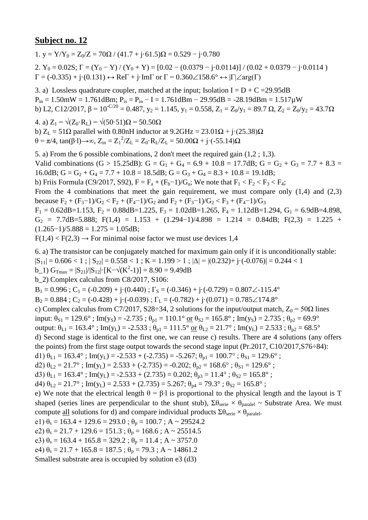1. y =  $Y/Y_0 = Z_0/Z = 70\Omega / (41.7 + i \cdot 61.5)\Omega = 0.529 - i \cdot 0.780$ 

2.  $Y_0 = 0.02S$ ;  $\Gamma = (Y_0 - Y) / (Y_0 + Y) = [0.02 - (0.0379 - j \cdot 0.0114)] / (0.02 + 0.0379 - j \cdot 0.0114)$  $\Gamma = (-0.335) + \mathbf{j} \cdot (0.131) \leftrightarrow \text{Re}\Gamma + \mathbf{j} \cdot \text{Im}\Gamma$  or  $\Gamma = 0.360 \angle 158.6^{\circ} \leftrightarrow |\Gamma| \angle \text{arg}(\Gamma)$ 

3. a) Lossless quadrature coupler, matched at the input; Isolation  $I = D + C = 29.95dB$  $P_{in} = 1.50$ mW = 1.761dBm;  $P_{is} = P_{in} - I = 1.761$ dBm - 29.95dB = -28.19dBm = 1.517 $\mu$ W b) L2, C12/2017,  $\beta = 10^{-C/20} = 0.487$ ,  $y_2 = 1.145$ ,  $y_1 = 0.558$ ,  $Z_1 = Z_0/y_1 = 89.7 \Omega$ ,  $Z_2 = Z_0/y_2 = 43.7 \Omega$ 

4. a)  $Z_1 = \sqrt{(Z_0 \cdot R_L)} = \sqrt{(50 \cdot 51)}\Omega = 50.50 \Omega$ b)  $Z_L = 51\Omega$  parallel with 0.80nH inductor at  $9.2\text{GHz} = 23.01\Omega + \text{i} \cdot (25.38)\Omega$  $θ = π/4$ , tan(β⋅1)→∞, Z<sub>in</sub> = Z<sub>1</sub><sup>2</sup>/Z<sub>L</sub> = Z<sub>0</sub>⋅R<sub>L</sub>/Z<sub>L</sub> = 50.00Ω + j⋅(-55.14)Ω

5. a) From the 6 possible combinations, 2 don't meet the required gain (1,2 ; 1,3). Valid combinations (G > 15.25dB): G = G<sub>1</sub> + G<sub>4</sub> = 6.9 + 10.8 = 17.7dB; G = G<sub>2</sub> + G<sub>3</sub> = 7.7 + 8.3 = 16.0dB;  $G = G_2 + G_4 = 7.7 + 10.8 = 18.5 dB$ ;  $G = G_3 + G_4 = 8.3 + 10.8 = 19.1 dB$ ; b) Friis Formula (C9/2017, S92),  $F = F_a + (F_b - 1)/G_a$ ; We note that  $F_1 < F_2 < F_3 < F_4$ ; From the 4 combinations that meet the gain requirement, we must compare only  $(1,4)$  and  $(2,3)$ because  $F_2 + (F_3 - 1)/G_2 < F_2 + (F_4 - 1)/G_2$  and  $F_2 + (F_3 - 1)/G_2 < F_3 + (F_4 - 1)/G_3$  $F_1 = 0.62$ dB=1.153,  $F_2 = 0.88$ dB=1.225,  $F_3 = 1.02$ dB=1.265,  $F_4 = 1.12$ dB=1.294,  $G_1 = 6.9$ dB=4.898,  $G_2$  = 7.7dB=5.888; F(1,4) = 1.153 + (1.294-1)/4.898 = 1.214 = 0.84dB; F(2,3) = 1.225 +  $(1.265-1)/5.888 = 1.275 = 1.05dB;$ 

 $F(1,4) < F(2,3) \rightarrow$  For minimal noise factor we must use devices 1,4

6. a) The transistor can be conjugately matched for maximum gain only if it is unconditionally stable:

 $|S_{11}| = 0.606 < 1$ ;  $|S_{22}| = 0.558 < 1$ ;  $K = 1.199 > 1$ ;  $|\Delta| = |(0.232) + i \cdot (-0.076)| = 0.244 < 1$ 

b\_1)  $G_{\text{Tmax}} = |S_{21}|/|S_{12}| \cdot [K - \sqrt{(K^2 - 1)}] = 8.90 = 9.49dB$ 

b\_2) Complex calculus from C8/2017, S106:

 $B_1 = 0.996$ ;  $C_1 = (-0.209) + i((0.440)$ ;  $\Gamma_s = (-0.346) + i((-0.729)) = 0.807\angle{-115.4^\circ}$ 

 $B_2 = 0.884$ ;  $C_2 = (-0.428) + (-0.039)$ ;  $\Gamma_L = (-0.782) + (-0.071) = 0.785 \angle 174.8^\circ$ 

c) Complex calculus from C7/2017, S28÷34, 2 solutions for the input/output match,  $Z_0 = 50\Omega$  lines

input:  $\theta_{S1} = 129.6^\circ$ ; Im(y<sub>S</sub>) = -2.735;  $\theta_{p1} = 110.1^\circ$  or  $\theta_{S2} = 165.8^\circ$ ; Im(y<sub>S</sub>) = 2.735;  $\theta_{p2} = 69.9^\circ$ 

output:  $\theta_{L1} = 163.4^\circ$ ; Im(y<sub>L</sub>) = -2.533;  $\theta_{p1} = 111.5^\circ$  or  $\theta_{L2} = 21.7^\circ$ ; Im(y<sub>L</sub>) = 2.533;  $\theta_{p2} = 68.5^\circ$ 

d) Second stage is identical to the first one, we can reuse c) results. There are 4 solutions (any offers the points) from the first stage output towards the second stage input (Pr.2017, C10/2017,S76÷84):

d1)  $\theta_{L1} = 163.4^\circ$ ; Im(y<sub>L</sub>) = -2.533 + (-2.735) = -5.267;  $\theta_{p1} = 100.7^\circ$ ;  $\theta_{S1} = 129.6^\circ$ ;

d2)  $\theta_{L2} = 21.7^\circ$ ; Im(y<sub>L</sub>) = 2.533 + (-2.735) = -0.202;  $\theta_{p2} = 168.6^\circ$ ;  $\theta_{S1} = 129.6^\circ$ ;

d3)  $\theta_{L1} = 163.4^\circ$ ; Im(y<sub>L</sub>) = -2.533 + (2.735) = 0.202;  $\theta_{p3} = 11.4^\circ$ ;  $\theta_{S2} = 165.8^\circ$ ;

d4)  $\theta_{1,2} = 21.7^\circ$ ; Im(y<sub>L</sub>) = 2.533 + (2.735) = 5.267;  $\theta_{p4} = 79.3^\circ$ ;  $\theta_{S2} = 165.8^\circ$ ;

e) We note that the electrical length  $\theta = \beta \cdot 1$  is proportional to the physical length and the layout is T shaped (series lines are perpendicular to the shunt stub),  $\Sigma \theta_{\text{series}} \times \theta_{\text{parallel}} \sim$  Substrate Area. We must compute <u>all</u> solutions for d) and compare individual products  $\Sigma \theta_{\text{serie}} \times \theta_{\text{parallel}}$ .

e1)  $\theta_s = 163.4 + 129.6 = 293.0$ ;  $\theta_p = 100.7$ ; A ~ 29524.2

e2)  $\theta_s = 21.7 + 129.6 = 151.3$ ;  $\theta_p = 168.6$ ; A ~ 25514.5

e3)  $\theta_s = 163.4 + 165.8 = 329.2$ ;  $\theta_p = 11.4$ ; A ~ 3757.0

e4)  $\theta_s = 21.7 + 165.8 = 187.5$ ;  $\theta_p = 79.3$ ; A ~ 14861.2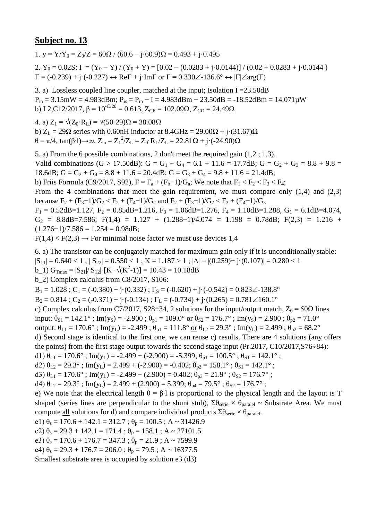1. y =  $Y/Y_0 = Z_0/Z = 60\Omega / (60.6 - i.60.9)\Omega = 0.493 + i.0.495$ 2.  $Y_0 = 0.02S$ ;  $\Gamma = (Y_0 - Y)/(Y_0 + Y) = [0.02 - (0.0283 + i \cdot 0.0144)]/(0.02 + 0.0283 + i \cdot 0.0144)$  $\Gamma = (-0.239) + i \cdot (-0.227) \leftrightarrow \text{Re}\Gamma + i \cdot \text{Im}\Gamma$  or  $\Gamma = 0.330\angle 136.6^\circ \leftrightarrow |\Gamma| \angle \text{arg}(\Gamma)$ 

3. a) Lossless coupled line coupler, matched at the input; Isolation I =  $23.50$ dB  $P_{in} = 3.15 \text{mW} = 4.983 \text{dBm}$ ;  $P_{is} = P_{in} - I = 4.983 \text{dBm} - 23.50 \text{dB} = -18.52 \text{dBm} = 14.071 \text{mW}$ b) L2,C12/2017,  $\beta = 10^{-C/20} = 0.613$ ,  $Z_{CE} = 102.09\Omega$ ,  $Z_{CO} = 24.49\Omega$ 

4. a)  $Z_1 = \sqrt{(Z_0 \cdot R_1)} = \sqrt{(50 \cdot 29)}\Omega = 38.08 \Omega$ 

b)  $Z_L = 29\Omega$  series with 0.60nH inductor at  $8.4\text{GHz} = 29.00\Omega + \text{i} \cdot (31.67)\Omega$  $θ = π/4$ , tan(β⋅1)→∞, Z<sub>in</sub> = Z<sub>1</sub><sup>2</sup>/Z<sub>L</sub> = Z<sub>0</sub>⋅R<sub>L</sub>/Z<sub>L</sub> = 22.81Ω + j⋅(-24.90)Ω

5. a) From the 6 possible combinations, 2 don't meet the required gain (1,2 ; 1,3). Valid combinations (G > 17.50dB): G = G<sub>1</sub> + G<sub>4</sub> = 6.1 + 11.6 = 17.7dB; G = G<sub>2</sub> + G<sub>3</sub> = 8.8 + 9.8 = 18.6dB;  $G = G_2 + G_4 = 8.8 + 11.6 = 20.4$ dB;  $G = G_3 + G_4 = 9.8 + 11.6 = 21.4$ dB; b) Friis Formula (C9/2017, S92),  $F = F_a + (F_b - 1)/G_a$ ; We note that  $F_1 < F_2 < F_3 < F_4$ ; From the 4 combinations that meet the gain requirement, we must compare only  $(1,4)$  and  $(2,3)$ because  $F_2 + (F_3 - 1)/G_2 < F_2 + (F_4 - 1)/G_2$  and  $F_2 + (F_3 - 1)/G_2 < F_3 + (F_4 - 1)/G_3$  $F_1 = 0.52$ dB=1.127,  $F_2 = 0.85$ dB=1.216,  $F_3 = 1.06$ dB=1.276,  $F_4 = 1.10$ dB=1.288,  $G_1 = 6.1$ dB=4.074,  $G_2$  = 8.8dB=7.586; F(1,4) = 1.127 + (1.288-1)/4.074 = 1.198 = 0.78dB; F(2,3) = 1.216 +  $(1.276-1)/7.586 = 1.254 = 0.98dB;$ 

 $F(1,4) < F(2,3) \rightarrow$  For minimal noise factor we must use devices 1,4

6. a) The transistor can be conjugately matched for maximum gain only if it is unconditionally stable:

 $|S_{11}| = 0.640 < 1$ ;  $|S_{22}| = 0.550 < 1$ ;  $K = 1.187 > 1$ ;  $|\Delta| = |(0.259) + i(0.107)| = 0.280 < 1$ 

b\_1)  $G_{\text{Tmax}} = |S_{21}|/|S_{12}| \cdot [K - \sqrt{(K^2 - 1)}] = 10.43 = 10.18dB$ 

b\_2) Complex calculus from C8/2017, S106:

 $B_1 = 1.028$ ; C<sub>1</sub> = (-0.380) + j·(0.332);  $\Gamma_s = (-0.620) + j \cdot (-0.542) = 0.823 \angle 138.8^\circ$ 

 $B_2 = 0.814$ ;  $C_2 = (-0.371) + (-0.134)$ ;  $\Gamma_L = (-0.734) + (-0.134)$ ;  $C_1 = (-0.734) + (-0.134)$ 

c) Complex calculus from C7/2017, S28÷34, 2 solutions for the input/output match,  $Z_0 = 50\Omega$  lines

input:  $\theta_{S1} = 142.1^\circ$ ; Im(y<sub>S</sub>) = -2.900;  $\theta_{p1} = 109.0^\circ$  or  $\theta_{S2} = 176.7^\circ$ ; Im(y<sub>S</sub>) = 2.900;  $\theta_{p2} = 71.0^\circ$ 

output:  $\theta_{L1} = 170.6^\circ$ ; Im(y<sub>L</sub>) = -2.499;  $\theta_{p1} = 111.8^\circ$  or  $\theta_{L2} = 29.3^\circ$ ; Im(y<sub>L</sub>) = 2.499;  $\theta_{p2} = 68.2^\circ$ 

d) Second stage is identical to the first one, we can reuse c) results. There are 4 solutions (any offers the points) from the first stage output towards the second stage input (Pr.2017, C10/2017,S76÷84):

d1)  $\theta_{L1} = 170.6^\circ$ ; Im(y<sub>L</sub>) = -2.499 + (-2.900) = -5.399;  $\theta_{p1} = 100.5^\circ$ ;  $\theta_{S1} = 142.1^\circ$ ;

d2)  $\theta_{L2} = 29.3^\circ$ ; Im(y<sub>L</sub>) = 2.499 + (-2.900) = -0.402;  $\theta_{p2} = 158.1^\circ$ ;  $\theta_{S1} = 142.1^\circ$ ;

d3)  $\theta_{L1} = 170.6^\circ$ ; Im(y<sub>L</sub>) = -2.499 + (2.900) = 0.402;  $\theta_{p3} = 21.9^\circ$ ;  $\theta_{S2} = 176.7^\circ$ ;

d4)  $\theta_{1,2} = 29.3^\circ$ ; Im(y<sub>L</sub>) = 2.499 + (2.900) = 5.399;  $\theta_{p4} = 79.5^\circ$ ;  $\theta_{S2} = 176.7^\circ$ ;

e) We note that the electrical length  $\theta = \beta \cdot 1$  is proportional to the physical length and the layout is T shaped (series lines are perpendicular to the shunt stub),  $\Sigma \theta_{\text{series}} \times \theta_{\text{parallel}} \sim$  Substrate Area. We must compute <u>all</u> solutions for d) and compare individual products  $\Sigma \theta_{\text{serie}} \times \theta_{\text{parallel}}$ .

e1)  $\theta_s = 170.6 + 142.1 = 312.7$ ;  $\theta_p = 100.5$ ; A ~ 31426.9

e2)  $\theta_s = 29.3 + 142.1 = 171.4$ ;  $\theta_p = 158.1$ ; A ~ 27101.5

e3)  $\theta_s = 170.6 + 176.7 = 347.3$ ;  $\theta_p = 21.9$ ; A ~ 7599.9

e4)  $\theta_s = 29.3 + 176.7 = 206.0$ ;  $\theta_p = 79.5$ ; A ~ 16377.5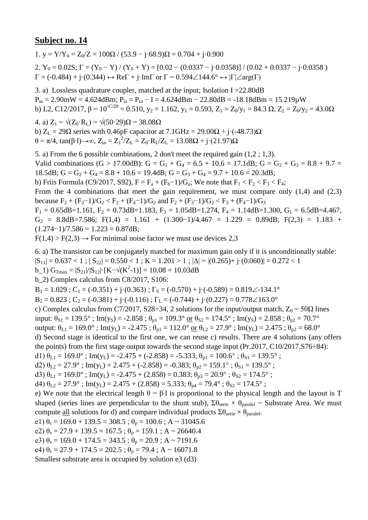1. y =  $Y/Y_0 = Z_0/Z = 100\Omega / (53.9 - i.68.9)\Omega = 0.704 + i.0.900$ 2.  $Y_0 = 0.02S$ ;  $\Gamma = (Y_0 - Y) / (Y_0 + Y) = [0.02 - (0.0337 - j.0.0358)] / (0.02 + 0.0337 - j.0.0358)$  $\Gamma = (-0.484) + \mathbf{j} \cdot (0.344) \leftrightarrow \text{Re}\Gamma + \mathbf{j} \cdot \text{Im}\Gamma$  or  $\Gamma = 0.594 \angle 144.6^{\circ} \leftrightarrow |\Gamma| \angle \text{arg}(\Gamma)$ 

3. a) Lossless quadrature coupler, matched at the input; Isolation I =22.80dB  $P_{in} = 2.90$ mW = 4.624dBm;  $P_{is} = P_{in} - I = 4.624$ dBm - 22.80dB = -18.18dBm = 15.219 $\mu$ W b) L2, C12/2017,  $\beta = 10^{-C/20} = 0.510$ ,  $y_2 = 1.162$ ,  $y_1 = 0.593$ ,  $Z_1 = Z_0/y_1 = 84.3 \Omega$ ,  $Z_2 = Z_0/y_2 = 43.0 \Omega$ 

4. a)  $Z_1 = \sqrt{(Z_0 \cdot R_1)} = \sqrt{(50 \cdot 29)}\Omega = 38.08 \Omega$ b)  $Z_L = 29\Omega$  series with 0.46pF capacitor at 7.1GHz = 29.00 $\Omega$  + j·(-48.73) $\Omega$ θ = π/4, tan(β⋅l)→∞, Z<sub>in</sub> = Z<sub>1</sub><sup>2</sup>/Z<sub>L</sub> = Z<sub>0</sub>⋅R<sub>L</sub>/Z<sub>L</sub> = 13.08Ω + j⋅(21.97)Ω

5. a) From the 6 possible combinations, 2 don't meet the required gain (1,2 ; 1,3). Valid combinations (G > 17.00dB): G = G<sub>1</sub> + G<sub>4</sub> = 6.5 + 10.6 = 17.1dB; G = G<sub>2</sub> + G<sub>3</sub> = 8.8 + 9.7 = 18.5dB;  $G = G_2 + G_4 = 8.8 + 10.6 = 19.4$ dB;  $G = G_3 + G_4 = 9.7 + 10.6 = 20.3$ dB; b) Friis Formula (C9/2017, S92),  $F = F_a + (F_b - 1)/G_a$ ; We note that  $F_1 < F_2 < F_3 < F_4$ ; From the 4 combinations that meet the gain requirement, we must compare only  $(1,4)$  and  $(2,3)$ because  $F_2 + (F_3 - 1)/G_2 < F_2 + (F_4 - 1)/G_2$  and  $F_2 + (F_3 - 1)/G_2 < F_3 + (F_4 - 1)/G_3$  $F_1 = 0.65$ dB=1.161,  $F_2 = 0.73$ dB=1.183,  $F_3 = 1.05$ dB=1.274,  $F_4 = 1.14$ dB=1.300,  $G_1 = 6.5$ dB=4.467,  $G_2$  = 8.8dB=7.586; F(1,4) = 1.161 + (1.300-1)/4.467 = 1.229 = 0.89dB; F(2,3) = 1.183 +  $(1.274-1)/7.586 = 1.223 = 0.87dB;$ 

 $F(1,4) > F(2,3) \rightarrow$  For minimal noise factor we must use devices 2,3

6. a) The transistor can be conjugately matched for maximum gain only if it is unconditionally stable:  $|S_{11}| = 0.637 < 1$ ;  $|S_{22}| = 0.550 < 1$ ;  $K = 1.201 > 1$ ;  $|\Delta| = |(0.265) + i(0.060)| = 0.272 < 1$ 

b\_1)  $G_{\text{Tmax}} = |S_{21}|/|S_{12}| \cdot [K - \sqrt{(K^2 - 1)}] = 10.08 = 10.03dB$ 

b\_2) Complex calculus from C8/2017, S106:

 $B_1 = 1.029$ ;  $C_1 = (-0.351) + i(0.363)$ ;  $\Gamma_s = (-0.570) + i(-0.589) = 0.819\angle -134.1^\circ$ 

 $B_2 = 0.823$ ;  $C_2 = (-0.381) + j \cdot (-0.116)$ ;  $\Gamma_L = (-0.744) + j \cdot (0.227) = 0.778 \angle 163.0^\circ$ 

c) Complex calculus from C7/2017, S28÷34, 2 solutions for the input/output match,  $Z_0 = 50\Omega$  lines

input:  $\theta_{S1} = 139.5^\circ$ ; Im(y<sub>S</sub>) = -2.858;  $\theta_{p1} = 109.3^\circ$  or  $\theta_{S2} = 174.5^\circ$ ; Im(y<sub>S</sub>) = 2.858;  $\theta_{p2} = 70.7^\circ$ 

output:  $\theta_{L1} = 169.0^{\circ}$ ; Im(y<sub>L</sub>) = -2.475;  $\theta_{p1} = 112.0^{\circ}$  or  $\theta_{L2} = 27.9^{\circ}$ ; Im(y<sub>L</sub>) = 2.475;  $\theta_{p2} = 68.0^{\circ}$ 

d) Second stage is identical to the first one, we can reuse c) results. There are 4 solutions (any offers the points) from the first stage output towards the second stage input (Pr.2017, C10/2017,S76÷84):

d1)  $\theta_{L1} = 169.0^{\circ}$ ; Im(y<sub>L</sub>) = -2.475 + (-2.858) = -5.333;  $\theta_{p1} = 100.6^{\circ}$ ;  $\theta_{S1} = 139.5^{\circ}$ ;

d2)  $\theta_{L2} = 27.9^\circ$ ; Im(y<sub>L</sub>) = 2.475 + (-2.858) = -0.383;  $\theta_{p2} = 159.1^\circ$ ;  $\theta_{S1} = 139.5^\circ$ ;

d3)  $\theta_{L1} = 169.0^{\circ}$ ; Im(y<sub>L</sub>) = -2.475 + (2.858) = 0.383;  $\theta_{p3} = 20.9^{\circ}$ ;  $\theta_{S2} = 174.5^{\circ}$ ;

d4)  $\theta_{1,2} = 27.9^\circ$ ; Im(y<sub>L</sub>) = 2.475 + (2.858) = 5.333;  $\theta_{p4} = 79.4^\circ$ ;  $\theta_{S2} = 174.5^\circ$ ;

e) We note that the electrical length  $\theta = \beta \cdot 1$  is proportional to the physical length and the layout is T shaped (series lines are perpendicular to the shunt stub),  $\Sigma \theta_{\text{series}} \times \theta_{\text{parallel}} \sim$  Substrate Area. We must compute <u>all</u> solutions for d) and compare individual products  $\Sigma \theta_{\text{serie}} \times \theta_{\text{parallel}}$ .

e1)  $\theta_s = 169.0 + 139.5 = 308.5$ ;  $\theta_p = 100.6$ ; A ~ 31045.6

e2)  $\theta_s = 27.9 + 139.5 = 167.5$ ;  $\theta_p = 159.1$ ; A ~ 26640.4

e3)  $\theta_s = 169.0 + 174.5 = 343.5$ ;  $\theta_p = 20.9$ ; A ~ 7191.6

e4)  $\theta_s = 27.9 + 174.5 = 202.5$ ;  $\theta_p = 79.4$ ; A ~ 16071.8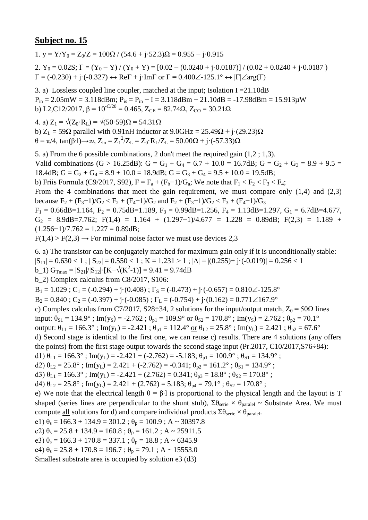1. y =  $Y/Y_0 = Z_0/Z = 100\Omega / (54.6 + i.52.3)\Omega = 0.955 - i.0.915$ 

2.  $Y_0 = 0.02S$ ;  $\Gamma = (Y_0 - Y) / (Y_0 + Y) = [0.02 - (0.0240 + j \cdot 0.0187)] / (0.02 + 0.0240 + j \cdot 0.0187)$  $\Gamma = (-0.230) + j \cdot (-0.327) \leftrightarrow \text{Re}\Gamma + j \cdot \text{Im}\Gamma$  or  $\Gamma = 0.400 \angle 125.1^{\circ} \leftrightarrow |\Gamma| \angle \text{arg}(\Gamma)$ 

3. a) Lossless coupled line coupler, matched at the input; Isolation  $I = 21.10dB$  $P_{in} = 2.05$ mW = 3.118dBm;  $P_{is} = P_{in} - I = 3.118$ dBm - 21.10dB = -17.98dBm = 15.913 $\mu$ W b) L2,C12/2017,  $\beta$  = 10<sup>-C/20</sup> = 0.465, Z<sub>CE</sub> = 82.74 $\Omega$ , Z<sub>CO</sub> = 30.21 $\Omega$ 

4. a)  $Z_1 = \sqrt{(Z_0 \cdot R_1)} = \sqrt{(50 \cdot 59)}$ Ω = 54.31Ω

b)  $Z_L$  = 59 $\Omega$  parallel with 0.91nH inductor at 9.0GHz = 25.49 $\Omega$  + j·(29.23) $\Omega$  $θ = π/4$ , tan(β⋅1)→∞, Z<sub>in</sub> = Z<sub>1</sub><sup>2</sup>/Z<sub>L</sub> = Z<sub>0</sub>⋅R<sub>L</sub>/Z<sub>L</sub> = 50.00Ω + j⋅(-57.33)Ω

5. a) From the 6 possible combinations, 2 don't meet the required gain (1,2 ; 1,3). Valid combinations (G > 16.25dB): G = G<sub>1</sub> + G<sub>4</sub> = 6.7 + 10.0 = 16.7dB; G = G<sub>2</sub> + G<sub>3</sub> = 8.9 + 9.5 = 18.4dB;  $G = G_2 + G_4 = 8.9 + 10.0 = 18.9$ dB;  $G = G_3 + G_4 = 9.5 + 10.0 = 19.5$ dB; b) Friis Formula (C9/2017, S92),  $F = F_a + (F_b - 1)/G_a$ ; We note that  $F_1 < F_2 < F_3 < F_4$ ; From the 4 combinations that meet the gain requirement, we must compare only  $(1,4)$  and  $(2,3)$ because  $F_2 + (F_3 - 1)/G_2 < F_2 + (F_4 - 1)/G_2$  and  $F_2 + (F_3 - 1)/G_2 < F_3 + (F_4 - 1)/G_3$  $F_1 = 0.66$ dB=1.164,  $F_2 = 0.75$ dB=1.189,  $F_3 = 0.99$ dB=1.256,  $F_4 = 1.13$ dB=1.297,  $G_1 = 6.7$ dB=4.677,  $G_2 = 8.9dB = 7.762$ ; F(1,4) = 1.164 + (1.297-1)/4.677 = 1.228 = 0.89dB; F(2,3) = 1.189 +  $(1.256-1)/7.762 = 1.227 = 0.89dB;$ 

 $F(1,4) > F(2,3) \rightarrow$  For minimal noise factor we must use devices 2,3

6. a) The transistor can be conjugately matched for maximum gain only if it is unconditionally stable:

 $|S_{11}| = 0.630 < 1$ ;  $|S_{22}| = 0.550 < 1$ ;  $K = 1.231 > 1$ ;  $|\Delta| = |(0.255) + i \cdot (-0.019)| = 0.256 < 1$ 

 $b_1$ )  $G_{\text{Trmax}} = |S_{21}|/|S_{12}| \cdot [K - \sqrt{(K^2-1)}] = 9.41 = 9.74dB$ 

b\_2) Complex calculus from C8/2017, S106:

 $B_1 = 1.029$ ;  $C_1 = (-0.294) + i(0.408)$ ;  $\Gamma_s = (-0.473) + i(-0.657) = 0.810\angle 125.8^\circ$ 

 $B_2 = 0.840$ ;  $C_2 = (-0.397) + (-0.085)$ ;  $\Gamma_L = (-0.754) + (-0.162) = 0.771 \angle 167.9^\circ$ 

c) Complex calculus from C7/2017, S28÷34, 2 solutions for the input/output match,  $Z_0 = 50\Omega$  lines

input:  $\theta_{S1} = 134.9^\circ$ ; Im(y<sub>S</sub>) = -2.762;  $\theta_{p1} = 109.9^\circ$  or  $\theta_{S2} = 170.8^\circ$ ; Im(y<sub>S</sub>) = 2.762;  $\theta_{p2} = 70.1^\circ$ 

output:  $\theta_{L1} = 166.3^\circ$ ; Im(y<sub>L</sub>) = -2.421;  $\theta_{p1} = 112.4^\circ$  or  $\theta_{L2} = 25.8^\circ$ ; Im(y<sub>L</sub>) = 2.421;  $\theta_{p2} = 67.6^\circ$ 

d) Second stage is identical to the first one, we can reuse c) results. There are 4 solutions (any offers the points) from the first stage output towards the second stage input (Pr.2017, C10/2017,S76÷84):

d1)  $\theta_{L1} = 166.3^\circ$ ; Im(y<sub>L</sub>) = -2.421 + (-2.762) = -5.183;  $\theta_{p1} = 100.9^\circ$ ;  $\theta_{S1} = 134.9^\circ$ ;

d2)  $\theta_{L2} = 25.8^\circ$ ; Im(y<sub>L</sub>) = 2.421 + (-2.762) = -0.341;  $\theta_{p2} = 161.2^\circ$ ;  $\theta_{S1} = 134.9^\circ$ ;

d3)  $\theta_{L1} = 166.3^\circ$ ; Im(y<sub>L</sub>) = -2.421 + (2.762) = 0.341;  $\theta_{p3} = 18.8^\circ$ ;  $\theta_{S2} = 170.8^\circ$ ;

d4)  $\theta_{1,2} = 25.8^\circ$ ; Im(y<sub>L</sub>) = 2.421 + (2.762) = 5.183;  $\theta_{p4} = 79.1^\circ$ ;  $\theta_{S2} = 170.8^\circ$ ;

e) We note that the electrical length  $\theta = \beta \cdot 1$  is proportional to the physical length and the layout is T shaped (series lines are perpendicular to the shunt stub),  $\Sigma \theta_{\text{series}} \times \theta_{\text{parallel}} \sim$  Substrate Area. We must compute <u>all</u> solutions for d) and compare individual products  $\Sigma \theta_{\text{serie}} \times \theta_{\text{parallel}}$ .

e1)  $\theta_s = 166.3 + 134.9 = 301.2$ ;  $\theta_p = 100.9$ ; A ~ 30397.8

e2)  $\theta_s = 25.8 + 134.9 = 160.8$ ;  $\theta_p = 161.2$ ; A ~ 25911.5

e3)  $\theta_s = 166.3 + 170.8 = 337.1$ ;  $\theta_p = 18.8$ ; A ~ 6345.9

e4)  $\theta_s = 25.8 + 170.8 = 196.7$ ;  $\theta_p = 79.1$ ; A ~ 15553.0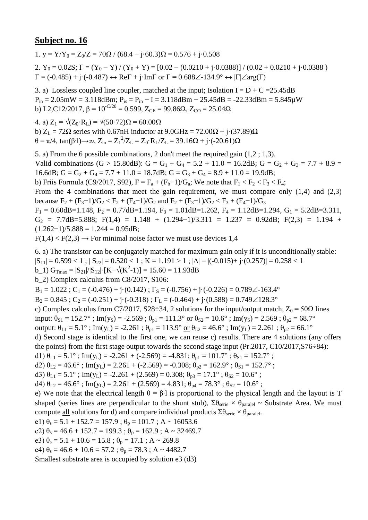1. y =  $Y/Y_0 = Z_0/Z = 70\Omega / (68.4 - i \cdot 60.3)\Omega = 0.576 + i \cdot 0.508$ 

2.  $Y_0 = 0.02S$ ;  $\Gamma = (Y_0 - Y)/(Y_0 + Y) = [0.02 - (0.0210 + j \cdot 0.0388)]/(0.02 + 0.0210 + j \cdot 0.0388)$  $\Gamma = (-0.485) + j \cdot (-0.487) \leftrightarrow \text{Re}\Gamma + j \cdot \text{Im}\Gamma$  or  $\Gamma = 0.688 \angle 134.9^{\circ} \leftrightarrow |\Gamma| \angle \text{arg}(\Gamma)$ 

3. a) Lossless coupled line coupler, matched at the input; Isolation I =  $D + C = 25.45dB$  $P_{in} = 2.05$ mW = 3.118dBm;  $P_{is} = P_{in} - I = 3.118$ dBm - 25.45dB = -22.33dBm = 5.845 $\mu$ W b) L2,C12/2017, β =  $10^{-C/20}$  = 0.599, Z<sub>CE</sub> = 99.86Ω, Z<sub>CO</sub> = 25.04Ω

4. a)  $Z_1 = \sqrt{(Z_0 \cdot R_1)} = \sqrt{(50 \cdot 72)}\Omega = 60.00 \Omega$ b)  $Z_L = 72\Omega$  series with 0.67nH inductor at  $9.0\text{GHz} = 72.00\Omega + \text{j} \cdot (37.89)\Omega$  $θ = π/4$ , tan(β⋅1)→∞, Z<sub>in</sub> = Z<sub>1</sub><sup>2</sup>/Z<sub>L</sub> = Z<sub>0</sub>⋅R<sub>L</sub>/Z<sub>L</sub> = 39.16Ω + j⋅(-20.61)Ω

5. a) From the 6 possible combinations, 2 don't meet the required gain (1,2 ; 1,3). Valid combinations (G > 15.80dB): G = G<sub>1</sub> + G<sub>4</sub> = 5.2 + 11.0 = 16.2dB; G = G<sub>2</sub> + G<sub>3</sub> = 7.7 + 8.9 = 16.6dB;  $G = G_2 + G_4 = 7.7 + 11.0 = 18.7$ dB;  $G = G_3 + G_4 = 8.9 + 11.0 = 19.9$ dB; b) Friis Formula (C9/2017, S92),  $F = F_a + (F_b - 1)/G_a$ ; We note that  $F_1 < F_2 < F_3 < F_4$ ; From the 4 combinations that meet the gain requirement, we must compare only  $(1,4)$  and  $(2,3)$ because  $F_2 + (F_3 - 1)/G_2 < F_2 + (F_4 - 1)/G_2$  and  $F_2 + (F_3 - 1)/G_2 < F_3 + (F_4 - 1)/G_3$  $F_1 = 0.60dB = 1.148$ ,  $F_2 = 0.77dB = 1.194$ ,  $F_3 = 1.01dB = 1.262$ ,  $F_4 = 1.12dB = 1.294$ ,  $G_1 = 5.2dB = 3.311$ ,  $G_2$  = 7.7dB=5.888; F(1,4) = 1.148 + (1.294-1)/3.311 = 1.237 = 0.92dB; F(2,3) = 1.194 +  $(1.262-1)/5.888 = 1.244 = 0.95dB;$ 

 $F(1,4) < F(2,3) \rightarrow$  For minimal noise factor we must use devices 1,4

6. a) The transistor can be conjugately matched for maximum gain only if it is unconditionally stable:

 $|S_{11}| = 0.599 < 1$ ;  $|S_{22}| = 0.520 < 1$ ;  $K = 1.191 > 1$ ;  $|\Delta| = |(-0.015) + (-0.257)| = 0.258 < 1$ 

b\_1)  $G_{\text{Tmax}} = |S_{21}|/|S_{12}| \cdot [K - \sqrt{(K^2 - 1)}] = 15.60 = 11.93dB$ 

b\_2) Complex calculus from C8/2017, S106:

 $B_1 = 1.022$ ;  $C_1 = (-0.476) + (-0.142)$ ;  $\Gamma_s = (-0.756) + (-0.226) = 0.789\angle -163.4^\circ$ 

 $B_2 = 0.845$ ;  $C_2 = (-0.251) + (-0.318)$ ;  $\Gamma_L = (-0.464) + (-0.588) = 0.749 \angle 128.3^\circ$ 

c) Complex calculus from C7/2017, S28÷34, 2 solutions for the input/output match,  $Z_0 = 50\Omega$  lines

input:  $\theta_{S1} = 152.7^\circ$ ; Im(y<sub>S</sub>) = -2.569;  $\theta_{p1} = 111.3^\circ$  or  $\theta_{S2} = 10.6^\circ$ ; Im(y<sub>S</sub>) = 2.569;  $\theta_{p2} = 68.7^\circ$ 

output:  $\theta_{L1} = 5.1^\circ$ ; Im(y<sub>L</sub>) = -2.261;  $\theta_{p1} = 113.9^\circ$  or  $\theta_{L2} = 46.6^\circ$ ; Im(y<sub>L</sub>) = 2.261;  $\theta_{p2} = 66.1^\circ$ 

d) Second stage is identical to the first one, we can reuse c) results. There are 4 solutions (any offers the points) from the first stage output towards the second stage input (Pr.2017, C10/2017,S76÷84):

d1)  $\theta_{L1} = 5.1^\circ$ ; Im(y<sub>L</sub>) = -2.261 + (-2.569) = -4.831;  $\theta_{p1} = 101.7^\circ$ ;  $\theta_{S1} = 152.7^\circ$ ;

d2)  $\theta_{L2} = 46.6^\circ$ ; Im(y<sub>L</sub>) = 2.261 + (-2.569) = -0.308;  $\theta_{p2} = 162.9^\circ$ ;  $\theta_{S1} = 152.7^\circ$ ;

d3)  $\theta_{L1} = 5.1^\circ$ ; Im(y<sub>L</sub>) = -2.261 + (2.569) = 0.308;  $\theta_{p3} = 17.1^\circ$ ;  $\theta_{S2} = 10.6^\circ$ ;

d4)  $\theta_{1,2} = 46.6^\circ$ ; Im(y<sub>L</sub>) = 2.261 + (2.569) = 4.831;  $\theta_{p4} = 78.3^\circ$ ;  $\theta_{S2} = 10.6^\circ$ ;

e) We note that the electrical length  $\theta = \beta \cdot 1$  is proportional to the physical length and the layout is T shaped (series lines are perpendicular to the shunt stub),  $\Sigma \theta_{\text{series}} \times \theta_{\text{parallel}} \sim$  Substrate Area. We must compute <u>all</u> solutions for d) and compare individual products  $\Sigma \theta_{\text{serie}} \times \theta_{\text{parallel}}$ .

e1)  $\theta_s = 5.1 + 152.7 = 157.9$ ;  $\theta_p = 101.7$ ; A ~ 16053.6

e2)  $\theta_s = 46.6 + 152.7 = 199.3$ ;  $\theta_p = 162.9$ ; A ~ 32469.7

e3)  $\theta_s = 5.1 + 10.6 = 15.8$ ;  $\theta_p = 17.1$ ; A ~ 269.8

e4)  $\theta_s = 46.6 + 10.6 = 57.2$ ;  $\theta_p = 78.3$ ; A ~ 4482.7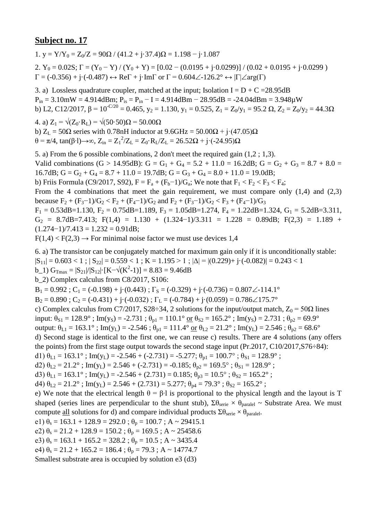1. y =  $Y/Y_0 = Z_0/Z = 90\Omega / (41.2 + i \cdot 37.4)\Omega = 1.198 - i \cdot 1.087$ 

2.  $Y_0 = 0.02S$ ;  $\Gamma = (Y_0 - Y) / (Y_0 + Y) = [0.02 - (0.0195 + j \cdot 0.0299)] / (0.02 + 0.0195 + j \cdot 0.0299)$  $\Gamma = (-0.356) + j \cdot (-0.487) \leftrightarrow \text{Re}\Gamma + j \cdot \text{Im}\Gamma$  or  $\Gamma = 0.604 \angle 126.2^{\circ} \leftrightarrow |\Gamma| \angle \text{arg}(\Gamma)$ 

3. a) Lossless quadrature coupler, matched at the input; Isolation  $I = D + C = 28.95dB$  $P_{in} = 3.10$ mW = 4.914dBm;  $P_{is} = P_{in} - I = 4.914$ dBm - 28.95dB = -24.04dBm = 3.948 $\mu$ W b) L2, C12/2017,  $\beta = 10^{-C/20} = 0.465$ ,  $y_2 = 1.130$ ,  $y_1 = 0.525$ ,  $Z_1 = Z_0/y_1 = 95.2 \Omega$ ,  $Z_2 = Z_0/y_2 = 44.3 \Omega$ 

4. a)  $Z_1 = \sqrt{(Z_0 \cdot R_L)} = \sqrt{(50 \cdot 50)}\Omega = 50.00 \Omega$ b)  $Z_L = 50\Omega$  series with 0.78nH inductor at  $9.6\text{GHz} = 50.00\Omega + \text{i} \cdot (47.05)\Omega$  $θ = π/4$ , tan(β⋅1)→∞, Z<sub>in</sub> = Z<sub>1</sub><sup>2</sup>/Z<sub>L</sub> = Z<sub>0</sub>⋅R<sub>L</sub>/Z<sub>L</sub> = 26.52Ω + j⋅(-24.95)Ω

5. a) From the 6 possible combinations, 2 don't meet the required gain (1,2 ; 1,3). Valid combinations (G > 14.95dB): G = G<sub>1</sub> + G<sub>4</sub> = 5.2 + 11.0 = 16.2dB; G = G<sub>2</sub> + G<sub>3</sub> = 8.7 + 8.0 = 16.7dB;  $G = G_2 + G_4 = 8.7 + 11.0 = 19.7$ dB;  $G = G_3 + G_4 = 8.0 + 11.0 = 19.0$ dB; b) Friis Formula (C9/2017, S92),  $F = F_a + (F_b - 1)/G_a$ ; We note that  $F_1 < F_2 < F_3 < F_4$ ; From the 4 combinations that meet the gain requirement, we must compare only  $(1,4)$  and  $(2,3)$ because  $F_2 + (F_3 - 1)/G_2 < F_2 + (F_4 - 1)/G_2$  and  $F_2 + (F_3 - 1)/G_2 < F_3 + (F_4 - 1)/G_3$  $F_1 = 0.53$ dB=1.130,  $F_2 = 0.75$ dB=1.189,  $F_3 = 1.05$ dB=1.274,  $F_4 = 1.22$ dB=1.324,  $G_1 = 5.2$ dB=3.311,  $G_2 = 8.7dB = 7.413$ ; F(1,4) = 1.130 + (1.324-1)/3.311 = 1.228 = 0.89dB; F(2,3) = 1.189 +

$$
(1.274-1)/7.413 = 1.232 = 0.91dB;
$$

 $F(1,4) < F(2,3) \rightarrow$  For minimal noise factor we must use devices 1,4

6. a) The transistor can be conjugately matched for maximum gain only if it is unconditionally stable:

 $|S_{11}| = 0.603 < 1$ ;  $|S_{22}| = 0.559 < 1$ ;  $K = 1.195 > 1$ ;  $|\Delta| = |(0.229) + i \cdot (-0.082)| = 0.243 < 1$ 

b\_1)  $G_{\text{Tmax}} = |S_{21}|/|S_{12}| \cdot [K - \sqrt{(K^2 - 1)}] = 8.83 = 9.46dB$ 

b\_2) Complex calculus from C8/2017, S106:

 $B_1 = 0.992$ ;  $C_1 = (-0.198) + i((0.443))$ ;  $\Gamma_s = (-0.329) + i((-0.736)) = 0.807\angle{-114.1^\circ}$ 

 $B_2 = 0.890$ ;  $C_2 = (-0.431) + (-0.032)$ ;  $\Gamma_L = (-0.784) + (-0.059) = 0.786\angle 175.7^\circ$ 

c) Complex calculus from C7/2017, S28÷34, 2 solutions for the input/output match,  $Z_0 = 50\Omega$  lines

input:  $\theta_{S1} = 128.9^\circ$ ; Im(y<sub>S</sub>) = -2.731;  $\theta_{p1} = 110.1^\circ$  or  $\theta_{S2} = 165.2^\circ$ ; Im(y<sub>S</sub>) = 2.731;  $\theta_{p2} = 69.9^\circ$ 

output:  $\theta_{L1} = 163.1^\circ$ ; Im(y<sub>L</sub>) = -2.546;  $\theta_{p1} = 111.4^\circ$  or  $\theta_{L2} = 21.2^\circ$ ; Im(y<sub>L</sub>) = 2.546;  $\theta_{p2} = 68.6^\circ$ 

d) Second stage is identical to the first one, we can reuse c) results. There are 4 solutions (any offers the points) from the first stage output towards the second stage input (Pr.2017, C10/2017,S76÷84):

d1)  $\theta_{L1} = 163.1^\circ$ ; Im(y<sub>L</sub>) = -2.546 + (-2.731) = -5.277;  $\theta_{p1} = 100.7^\circ$ ;  $\theta_{S1} = 128.9^\circ$ ;

d2)  $\theta_{L2} = 21.2^\circ$ ; Im(y<sub>L</sub>) = 2.546 + (-2.731) = -0.185;  $\theta_{p2} = 169.5^\circ$ ;  $\theta_{S1} = 128.9^\circ$ ;

d3)  $\theta_{L1} = 163.1^\circ$ ; Im(y<sub>L</sub>) = -2.546 + (2.731) = 0.185;  $\theta_{p3} = 10.5^\circ$ ;  $\theta_{S2} = 165.2^\circ$ ;

d4)  $\theta_{1,2} = 21.2^\circ$ ; Im(y<sub>L</sub>) = 2.546 + (2.731) = 5.277;  $\theta_{p4} = 79.3^\circ$ ;  $\theta_{S2} = 165.2^\circ$ ;

e) We note that the electrical length  $\theta = \beta \cdot 1$  is proportional to the physical length and the layout is T shaped (series lines are perpendicular to the shunt stub),  $\Sigma \theta_{\text{series}} \times \theta_{\text{parallel}} \sim$  Substrate Area. We must compute <u>all</u> solutions for d) and compare individual products  $\Sigma \theta_{\text{serie}} \times \theta_{\text{parallel}}$ .

e1)  $\theta_s = 163.1 + 128.9 = 292.0$ ;  $\theta_p = 100.7$ ; A ~ 29415.1

e2)  $\theta_s = 21.2 + 128.9 = 150.2$ ;  $\theta_p = 169.5$ ; A ~ 25458.6

e3)  $\theta_s = 163.1 + 165.2 = 328.2$ ;  $\theta_p = 10.5$ ; A ~ 3435.4

e4)  $\theta_s = 21.2 + 165.2 = 186.4$ ;  $\theta_p = 79.3$ ; A ~ 14774.7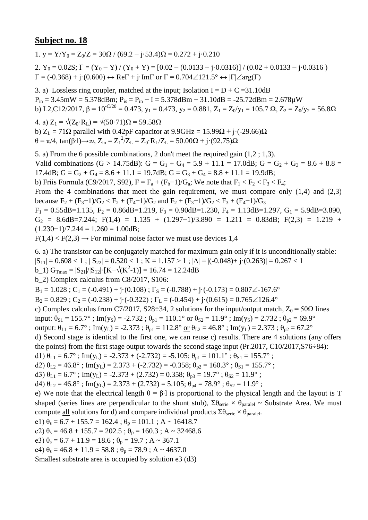1. y =  $Y/Y_0 = Z_0/Z = 30\Omega / (69.2 - i \cdot 53.4)\Omega = 0.272 + i \cdot 0.210$ 

2.  $Y_0 = 0.02S$ ;  $\Gamma = (Y_0 - Y) / (Y_0 + Y) = [0.02 - (0.0133 - j \cdot 0.0316)] / (0.02 + 0.0133 - j \cdot 0.0316)$  $\Gamma = (-0.368) + j \cdot (0.600) \leftrightarrow \text{Re} \Gamma + j \cdot \text{Im} \Gamma$  or  $\Gamma = 0.704 \angle 121.5^{\circ} \leftrightarrow |\Gamma| \angle \text{arg}(\Gamma)$ 

3. a) Lossless ring coupler, matched at the input; Isolation  $I = D + C = 31.10dB$  $P_{in} = 3.45$ mW = 5.378dBm;  $P_{is} = P_{in} - I = 5.378$ dBm - 31.10dB = -25.72dBm = 2.678 $\mu$ W b) L2,C12/2017,  $\beta = 10^{-C/20} = 0.473$ ,  $y_1 = 0.473$ ,  $y_2 = 0.881$ ,  $Z_1 = Z_0/y_1 = 105.7$   $\Omega$ ,  $Z_2 = Z_0/y_2 = 56.8\Omega$ 

4. a)  $Z_1 = \sqrt{(Z_0 \cdot R_L)} = \sqrt{(50 \cdot 71) \Omega} = 59.58 \Omega$ b)  $Z_L = 71\Omega$  parallel with 0.42pF capacitor at 9.9GHz = 15.99 $\Omega$  + j·(-29.66) $\Omega$ θ = π/4, tan(β⋅l)→∞, Z<sub>in</sub> = Z<sub>1</sub><sup>2</sup>/Z<sub>L</sub> = Z<sub>0</sub>⋅R<sub>L</sub>/Z<sub>L</sub> = 50.00Ω + j⋅(92.75)Ω

5. a) From the 6 possible combinations, 2 don't meet the required gain (1,2 ; 1,3). Valid combinations (G > 14.75dB): G = G<sub>1</sub> + G<sub>4</sub> = 5.9 + 11.1 = 17.0dB; G = G<sub>2</sub> + G<sub>3</sub> = 8.6 + 8.8 = 17.4dB;  $G = G_2 + G_4 = 8.6 + 11.1 = 19.7$ dB;  $G = G_3 + G_4 = 8.8 + 11.1 = 19.9$ dB; b) Friis Formula (C9/2017, S92),  $F = F_a + (F_b - 1)/G_a$ ; We note that  $F_1 < F_2 < F_3 < F_4$ ; From the 4 combinations that meet the gain requirement, we must compare only  $(1,4)$  and  $(2,3)$ because  $F_2 + (F_3 - 1)/G_2 < F_2 + (F_4 - 1)/G_2$  and  $F_2 + (F_3 - 1)/G_2 < F_3 + (F_4 - 1)/G_3$  $F_1 = 0.55$ dB=1.135,  $F_2 = 0.86$ dB=1.219,  $F_3 = 0.90$ dB=1.230,  $F_4 = 1.13$ dB=1.297,  $G_1 = 5.9$ dB=3.890,  $G_2 = 8.6dB = 7.244$ ; F(1,4) = 1.135 + (1.297-1)/3.890 = 1.211 = 0.83dB; F(2,3) = 1.219 +  $(1.230-1)/7.244 = 1.260 = 1.00dB;$ 

 $F(1,4) < F(2,3) \rightarrow$  For minimal noise factor we must use devices 1,4

6. a) The transistor can be conjugately matched for maximum gain only if it is unconditionally stable:

 $|S_{11}| = 0.608 < 1$ ;  $|S_{22}| = 0.520 < 1$ ;  $K = 1.157 > 1$ ;  $|\Delta| = |(-0.048) + (-0.263)| = 0.267 < 1$ 

b\_1)  $G_{\text{Tmax}} = |S_{21}|/|S_{12}| \cdot [K - \sqrt{(K^2 - 1)}] = 16.74 = 12.24dB$ 

b\_2) Complex calculus from C8/2017, S106:

 $B_1 = 1.028$ ;  $C_1 = (-0.491) + i(0.108)$ ;  $\Gamma_s = (-0.788) + i(-0.173) = 0.807\angle 167.6^\circ$ 

 $B_2 = 0.829$ ;  $C_2 = (-0.238) + (-0.322)$ ;  $\Gamma_L = (-0.454) + (-0.615) = 0.765 \angle 126.4^\circ$ 

c) Complex calculus from C7/2017, S28÷34, 2 solutions for the input/output match,  $Z_0 = 50\Omega$  lines

input:  $\theta_{S1} = 155.7^\circ$ ; Im(y<sub>S</sub>) = -2.732;  $\theta_{p1} = 110.1^\circ$  or  $\theta_{S2} = 11.9^\circ$ ; Im(y<sub>S</sub>) = 2.732;  $\theta_{p2} = 69.9^\circ$ 

output:  $\theta_{L1} = 6.7^\circ$ ; Im(y<sub>L</sub>) = -2.373;  $\theta_{p1} = 112.8^\circ$  or  $\theta_{L2} = 46.8^\circ$ ; Im(y<sub>L</sub>) = 2.373;  $\theta_{p2} = 67.2^\circ$ 

d) Second stage is identical to the first one, we can reuse c) results. There are 4 solutions (any offers the points) from the first stage output towards the second stage input (Pr.2017, C10/2017,S76÷84):

d1)  $\theta_{L1} = 6.7^\circ$ ; Im(y<sub>L</sub>) = -2.373 + (-2.732) = -5.105;  $\theta_{p1} = 101.1^\circ$ ;  $\theta_{S1} = 155.7^\circ$ ;

d2)  $\theta_{L2} = 46.8^\circ$ ; Im(y<sub>L</sub>) = 2.373 + (-2.732) = -0.358;  $\theta_{p2} = 160.3^\circ$ ;  $\theta_{S1} = 155.7^\circ$ ;

d3)  $\theta_{L1} = 6.7^\circ$ ; Im(y<sub>L</sub>) = -2.373 + (2.732) = 0.358;  $\theta_{p3} = 19.7^\circ$ ;  $\theta_{S2} = 11.9^\circ$ ;

d4)  $\theta_{1,2} = 46.8^\circ$ ; Im(y<sub>L</sub>) = 2.373 + (2.732) = 5.105;  $\theta_{p4} = 78.9^\circ$ ;  $\theta_{S2} = 11.9^\circ$ ;

e) We note that the electrical length  $\theta = \beta \cdot 1$  is proportional to the physical length and the layout is T shaped (series lines are perpendicular to the shunt stub),  $\Sigma \theta_{\text{series}} \times \theta_{\text{parallel}} \sim$  Substrate Area. We must compute <u>all</u> solutions for d) and compare individual products  $\Sigma \theta_{\text{serie}} \times \theta_{\text{parallel}}$ .

e1)  $\theta_s = 6.7 + 155.7 = 162.4$ ;  $\theta_p = 101.1$ ; A ~ 16418.7

e2)  $\theta_s = 46.8 + 155.7 = 202.5$ ;  $\theta_p = 160.3$ ; A ~ 32468.6

e3)  $\theta_s = 6.7 + 11.9 = 18.6$ ;  $\theta_p = 19.7$ ; A ~ 367.1

e4)  $\theta_s = 46.8 + 11.9 = 58.8$ ;  $\theta_p = 78.9$ ; A ~ 4637.0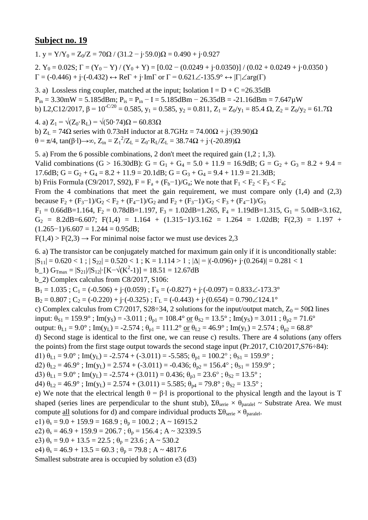1.  $v = Y/Y_0 = Z_0/Z = 70\Omega / (31.2 - j.59.0)\Omega = 0.490 + j.0.927$ 

2.  $Y_0 = 0.02S$ ;  $\Gamma = (Y_0 - Y) / (Y_0 + Y) = [0.02 - (0.0249 + j \cdot 0.0350)] / (0.02 + 0.0249 + j \cdot 0.0350)$  $\Gamma = (-0.446) + \mathrm{j} \cdot (-0.432) \leftrightarrow \text{Re}\Gamma + \mathrm{j} \cdot \text{Im}\Gamma$  or  $\Gamma = 0.621 \angle 135.9^{\circ} \leftrightarrow |\Gamma| \angle \text{arg}(\Gamma)$ 

3. a) Lossless ring coupler, matched at the input; Isolation  $I = D + C = 26.35dB$  $P_{in} = 3.30$ mW = 5.185dBm;  $P_{is} = P_{in} - I = 5.185$ dBm - 26.35dB = -21.16dBm = 7.647 $\mu$ W b) L2,C12/2017,  $\beta = 10^{-C/20} = 0.585$ ,  $y_1 = 0.585$ ,  $y_2 = 0.811$ ,  $Z_1 = Z_0/y_1 = 85.4 \Omega$ ,  $Z_2 = Z_0/y_2 = 61.7 \Omega$ 

4. a)  $Z_1 = \sqrt{(Z_0 \cdot R_L)} = \sqrt{(50 \cdot 74)}\Omega = 60.83 \Omega$ b)  $Z_L = 74\Omega$  series with 0.73nH inductor at  $8.7\text{GHz} = 74.00\Omega + \text{i} \cdot (39.90)\Omega$  $θ = π/4$ , tan(β⋅1)→∞, Z<sub>in</sub> = Z<sub>1</sub><sup>2</sup>/Z<sub>L</sub> = Z<sub>0</sub>⋅R<sub>L</sub>/Z<sub>L</sub> = 38.74Ω + j⋅(-20.89)Ω

5. a) From the 6 possible combinations, 2 don't meet the required gain (1,2 ; 1,3). Valid combinations (G > 16.30dB): G = G<sub>1</sub> + G<sub>4</sub> = 5.0 + 11.9 = 16.9dB; G = G<sub>2</sub> + G<sub>3</sub> = 8.2 + 9.4 = 17.6dB;  $G = G_2 + G_4 = 8.2 + 11.9 = 20.1$ dB;  $G = G_3 + G_4 = 9.4 + 11.9 = 21.3$ dB; b) Friis Formula (C9/2017, S92),  $F = F_a + (F_b - 1)/G_a$ ; We note that  $F_1 < F_2 < F_3 < F_4$ ; From the 4 combinations that meet the gain requirement, we must compare only  $(1,4)$  and  $(2,3)$ because  $F_2 + (F_3 - 1)/G_2 < F_2 + (F_4 - 1)/G_2$  and  $F_2 + (F_3 - 1)/G_2 < F_3 + (F_4 - 1)/G_3$  $F_1 = 0.66$ dB=1.164,  $F_2 = 0.78$ dB=1.197,  $F_3 = 1.02$ dB=1.265,  $F_4 = 1.19$ dB=1.315,  $G_1 = 5.0$ dB=3.162,  $G_2 = 8.2dB = 6.607$ ; F(1,4) = 1.164 + (1.315-1)/3.162 = 1.264 = 1.02dB; F(2,3) = 1.197 +  $(1.265-1)/6.607 = 1.244 = 0.95dB;$ 

 $F(1,4) > F(2,3) \rightarrow$  For minimal noise factor we must use devices 2,3

6. a) The transistor can be conjugately matched for maximum gain only if it is unconditionally stable:

 $|S_{11}| = 0.620 < 1$ ;  $|S_{22}| = 0.520 < 1$ ;  $K = 1.114 > 1$ ;  $|\Delta| = |(-0.096) + (-0.264)| = 0.281 < 1$ 

b\_1)  $G_{\text{Tmax}} = |S_{21}|/|S_{12}| \cdot [K - \sqrt{(K^2 - 1)}] = 18.51 = 12.67dB$ 

b\_2) Complex calculus from C8/2017, S106:

 $B_1 = 1.035$ ; C<sub>1</sub> = (-0.506) + j·(0.059);  $\Gamma_s = (-0.827) + j \cdot (-0.097) = 0.833 \measuredangle -173.3^\circ$ 

 $B_2 = 0.807$ ;  $C_2 = (-0.220) + i(-0.325)$ ;  $\Gamma_L = (-0.443) + i(0.654) = 0.790 \angle 124.1^\circ$ 

c) Complex calculus from C7/2017, S28÷34, 2 solutions for the input/output match,  $Z_0 = 50\Omega$  lines

input:  $\theta_{S1} = 159.9^\circ$ ; Im(y<sub>S</sub>) = -3.011;  $\theta_{p1} = 108.4^\circ$  or  $\theta_{S2} = 13.5^\circ$ ; Im(y<sub>S</sub>) = 3.011;  $\theta_{p2} = 71.6^\circ$ 

output:  $\theta_{L1} = 9.0^{\circ}$ ; Im(y<sub>L</sub>) = -2.574;  $\theta_{p1} = 111.2^{\circ}$  or  $\theta_{L2} = 46.9^{\circ}$ ; Im(y<sub>L</sub>) = 2.574;  $\theta_{p2} = 68.8^{\circ}$ 

d) Second stage is identical to the first one, we can reuse c) results. There are 4 solutions (any offers the points) from the first stage output towards the second stage input (Pr.2017, C10/2017,S76÷84):

d1)  $\theta_{L1} = 9.0^{\circ}$ ; Im(y<sub>L</sub>) = -2.574 + (-3.011) = -5.585;  $\theta_{p1} = 100.2^{\circ}$ ;  $\theta_{S1} = 159.9^{\circ}$ ;

d2)  $\theta_{L2} = 46.9^\circ$ ; Im(y<sub>L</sub>) = 2.574 + (-3.011) = -0.436;  $\theta_{p2} = 156.4^\circ$ ;  $\theta_{S1} = 159.9^\circ$ ;

d3)  $\theta_{L1} = 9.0^{\circ}$ ; Im(y<sub>L</sub>) = -2.574 + (3.011) = 0.436;  $\theta_{p3} = 23.6^{\circ}$ ;  $\theta_{S2} = 13.5^{\circ}$ ;

d4)  $\theta_{1,2} = 46.9^\circ$ ; Im(y<sub>L</sub>) = 2.574 + (3.011) = 5.585;  $\theta_{p4} = 79.8^\circ$ ;  $\theta_{S2} = 13.5^\circ$ ;

e) We note that the electrical length  $\theta = \beta \cdot 1$  is proportional to the physical length and the layout is T shaped (series lines are perpendicular to the shunt stub),  $\Sigma \theta_{\text{series}} \times \theta_{\text{parallel}} \sim$  Substrate Area. We must compute <u>all</u> solutions for d) and compare individual products  $\Sigma \theta_{\text{serie}} \times \theta_{\text{parallel}}$ .

e1)  $\theta_s = 9.0 + 159.9 = 168.9$ ;  $\theta_p = 100.2$ ; A ~ 16915.2

e2)  $\theta_s = 46.9 + 159.9 = 206.7$ ;  $\theta_p = 156.4$ ; A ~ 32339.5

e3)  $\theta_s = 9.0 + 13.5 = 22.5$ ;  $\theta_p = 23.6$ ; A ~ 530.2

e4)  $\theta_s = 46.9 + 13.5 = 60.3$ ;  $\theta_p = 79.8$ ; A ~ 4817.6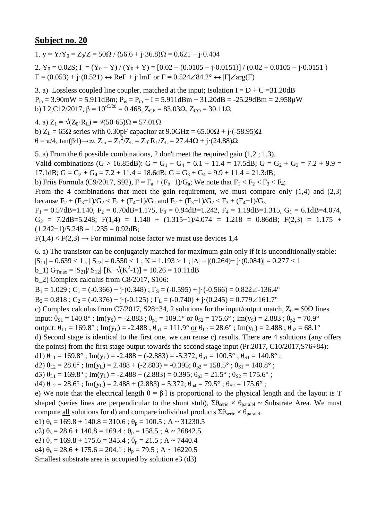1. y =  $Y/Y_0 = Z_0/Z = 50\Omega / (56.6 + i \cdot 36.8)\Omega = 0.621 - i \cdot 0.404$ 

2.  $Y_0 = 0.02S$ ;  $\Gamma = (Y_0 - Y) / (Y_0 + Y) = [0.02 - (0.0105 - j \cdot 0.0151)] / (0.02 + 0.0105 - j \cdot 0.0151)$  $\Gamma = (0.053) + \mathbf{j} \cdot (0.521) \leftrightarrow \text{Re}\Gamma + \mathbf{j} \cdot \text{Im}\Gamma$  or  $\Gamma = 0.524 \angle 84.2^{\circ} \leftrightarrow |\Gamma| \angle \text{arg}(\Gamma)$ 

3. a) Lossless coupled line coupler, matched at the input; Isolation  $I = D + C = 31.20$ dB  $P_{in} = 3.90$  mW = 5.911dBm;  $P_{is} = P_{in} - I = 5.911$ dBm  $- 31.20$ dB = -25.29dBm = 2.958 $\mu$ W b) L2,C12/2017,  $\beta = 10^{-C/20} = 0.468$ ,  $Z_{CE} = 83.03\Omega$ ,  $Z_{CO} = 30.11\Omega$ 

4. a)  $Z_1 = \sqrt{(Z_0 \cdot R_L)} = \sqrt{(50 \cdot 65)}$ Ω = 57.01Ω b)  $Z_L = 65\Omega$  series with 0.30pF capacitor at 9.0GHz = 65.00 $\Omega$  + j·(-58.95) $\Omega$ θ = π/4, tan(β⋅l)→∞, Z<sub>in</sub> = Z<sub>1</sub><sup>2</sup>/Z<sub>L</sub> = Z<sub>0</sub>⋅R<sub>L</sub>/Z<sub>L</sub> = 27.44Ω + j⋅(24.88)Ω

5. a) From the 6 possible combinations, 2 don't meet the required gain (1,2 ; 1,3). Valid combinations (G > 16.85dB): G = G<sub>1</sub> + G<sub>4</sub> = 6.1 + 11.4 = 17.5dB; G = G<sub>2</sub> + G<sub>3</sub> = 7.2 + 9.9 = 17.1dB;  $G = G_2 + G_4 = 7.2 + 11.4 = 18.6$ dB;  $G = G_3 + G_4 = 9.9 + 11.4 = 21.3$ dB; b) Friis Formula (C9/2017, S92),  $F = F_a + (F_b - 1)/G_a$ ; We note that  $F_1 < F_2 < F_3 < F_4$ ; From the 4 combinations that meet the gain requirement, we must compare only  $(1,4)$  and  $(2,3)$ because  $F_2 + (F_3 - 1)/G_2 < F_2 + (F_4 - 1)/G_2$  and  $F_2 + (F_3 - 1)/G_2 < F_3 + (F_4 - 1)/G_3$  $F_1 = 0.57$ dB=1.140,  $F_2 = 0.70$ dB=1.175,  $F_3 = 0.94$ dB=1.242,  $F_4 = 1.19$ dB=1.315,  $G_1 = 6.1$ dB=4.074,  $G_2$  = 7.2dB=5.248; F(1,4) = 1.140 + (1.315-1)/4.074 = 1.218 = 0.86dB; F(2,3) = 1.175 +  $(1.242-1)/5.248 = 1.235 = 0.92dB$ ;

 $F(1,4) < F(2,3) \rightarrow$  For minimal noise factor we must use devices 1,4

6. a) The transistor can be conjugately matched for maximum gain only if it is unconditionally stable:

 $|S_{11}| = 0.639 < 1$ ;  $|S_{22}| = 0.550 < 1$ ;  $K = 1.193 > 1$ ;  $|\Delta| = |(0.264) + i(0.084)| = 0.277 < 1$ 

b\_1)  $G_{\text{Tmax}} = |S_{21}|/|S_{12}| \cdot [K - \sqrt{(K^2 - 1)}] = 10.26 = 10.11dB$ 

b\_2) Complex calculus from C8/2017, S106:

 $B_1 = 1.029$ ; C<sub>1</sub> = (-0.366) + j·(0.348);  $\Gamma_s = (-0.595) + j \cdot (-0.566) = 0.822 \angle -136.4^\circ$ 

 $B_2 = 0.818$ ;  $C_2 = (-0.376) + j \cdot (-0.125)$ ;  $\Gamma_L = (-0.740) + j \cdot (0.245) = 0.779 \angle 161.7^\circ$ 

c) Complex calculus from C7/2017, S28÷34, 2 solutions for the input/output match,  $Z_0 = 50\Omega$  lines

input:  $\theta_{S1} = 140.8^\circ$ ; Im(y<sub>S</sub>) = -2.883;  $\theta_{p1} = 109.1^\circ$  or  $\theta_{S2} = 175.6^\circ$ ; Im(y<sub>S</sub>) = 2.883;  $\theta_{p2} = 70.9^\circ$ 

output:  $\theta_{L1} = 169.8^\circ$ ; Im(y<sub>L</sub>) = -2.488;  $\theta_{p1} = 111.9^\circ$  or  $\theta_{L2} = 28.6^\circ$ ; Im(y<sub>L</sub>) = 2.488;  $\theta_{p2} = 68.1^\circ$ 

d) Second stage is identical to the first one, we can reuse c) results. There are 4 solutions (any offers the points) from the first stage output towards the second stage input (Pr.2017, C10/2017,S76÷84):

d1)  $\theta_{L1} = 169.8^\circ$ ; Im(y<sub>L</sub>) = -2.488 + (-2.883) = -5.372;  $\theta_{p1} = 100.5^\circ$ ;  $\theta_{S1} = 140.8^\circ$ ;

d2)  $\theta_{L2} = 28.6^\circ$ ; Im(y<sub>L</sub>) = 2.488 + (-2.883) = -0.395;  $\theta_{p2} = 158.5^\circ$ ;  $\theta_{S1} = 140.8^\circ$ ;

d3)  $\theta_{L1} = 169.8^\circ$ ; Im(y<sub>L</sub>) = -2.488 + (2.883) = 0.395;  $\theta_{p3} = 21.5^\circ$ ;  $\theta_{S2} = 175.6^\circ$ ;

d4)  $\theta_{1,2} = 28.6^\circ$ ; Im(y<sub>L</sub>) = 2.488 + (2.883) = 5.372;  $\theta_{p4} = 79.5^\circ$ ;  $\theta_{S2} = 175.6^\circ$ ;

e) We note that the electrical length  $\theta = \beta \cdot 1$  is proportional to the physical length and the layout is T shaped (series lines are perpendicular to the shunt stub),  $\Sigma \theta_{\text{series}} \times \theta_{\text{parallel}} \sim$  Substrate Area. We must compute <u>all</u> solutions for d) and compare individual products  $\Sigma \theta_{\text{serie}} \times \theta_{\text{parallel}}$ .

e1)  $\theta_s = 169.8 + 140.8 = 310.6$ ;  $\theta_p = 100.5$ ; A ~ 31230.5

e2)  $\theta_s = 28.6 + 140.8 = 169.4$ ;  $\theta_p = 158.5$ ; A ~ 26842.5

e3)  $\theta_s = 169.8 + 175.6 = 345.4$ ;  $\theta_p = 21.5$ ; A ~ 7440.4

e4)  $\theta_s = 28.6 + 175.6 = 204.1$ ;  $\theta_p = 79.5$ ; A ~ 16220.5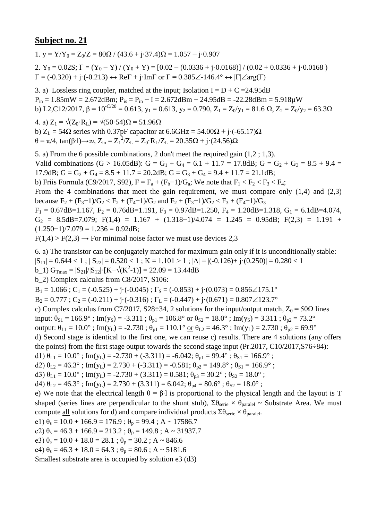1. y =  $Y/Y_0 = Z_0/Z = 80\Omega / (43.6 + i \cdot 37.4)\Omega = 1.057 - i \cdot 0.907$ 

2.  $Y_0 = 0.02S$ ;  $\Gamma = (Y_0 - Y)/(Y_0 + Y) = [0.02 - (0.0336 + j \cdot 0.0168)]/(0.02 + 0.0336 + j \cdot 0.0168)$  $\Gamma = (-0.320) + \text{j} \cdot (-0.213) \leftrightarrow \text{Re}\Gamma + \text{j} \cdot \text{Im}\Gamma$  or  $\Gamma = 0.385\angle 146.4^{\circ} \leftrightarrow |\Gamma| \angle \text{arg}(\Gamma)$ 

3. a) Lossless ring coupler, matched at the input; Isolation I =  $D + C = 24.95dB$  $P_{in} = 1.85$ mW = 2.672dBm;  $P_{is} = P_{in} - I = 2.672$ dBm - 24.95dB = -22.28dBm = 5.918 $\mu$ W b) L2,C12/2017,  $\beta = 10^{-C/20} = 0.613$ ,  $y_1 = 0.613$ ,  $y_2 = 0.790$ ,  $Z_1 = Z_0/y_1 = 81.6 \Omega$ ,  $Z_2 = Z_0/y_2 = 63.3 \Omega$ 

4. a)  $Z_1 = \sqrt{(Z_0 \cdot R_L)} = \sqrt{(50 \cdot 54)}\Omega = 51.96 \Omega$ b)  $Z_L$  = 54 $\Omega$  series with 0.37pF capacitor at 6.6GHz = 54.00 $\Omega$  + j·(-65.17) $\Omega$ θ = π/4, tan(β⋅l)→∞, Z<sub>in</sub> = Z<sub>1</sub><sup>2</sup>/Z<sub>L</sub> = Z<sub>0</sub>⋅R<sub>L</sub>/Z<sub>L</sub> = 20.35Ω + j⋅(24.56)Ω

5. a) From the 6 possible combinations, 2 don't meet the required gain (1,2 ; 1,3). Valid combinations (G > 16.05dB): G = G<sub>1</sub> + G<sub>4</sub> = 6.1 + 11.7 = 17.8dB; G = G<sub>2</sub> + G<sub>3</sub> = 8.5 + 9.4 = 17.9dB;  $G = G_2 + G_4 = 8.5 + 11.7 = 20.2$ dB;  $G = G_3 + G_4 = 9.4 + 11.7 = 21.1$ dB; b) Friis Formula (C9/2017, S92),  $F = F_a + (F_b - 1)/G_a$ ; We note that  $F_1 < F_2 < F_3 < F_4$ ; From the 4 combinations that meet the gain requirement, we must compare only  $(1,4)$  and  $(2,3)$ because  $F_2 + (F_3 - 1)/G_2 < F_2 + (F_4 - 1)/G_2$  and  $F_2 + (F_3 - 1)/G_2 < F_3 + (F_4 - 1)/G_3$ 

 $F_1 = 0.67$ dB=1.167,  $F_2 = 0.7$ 6dB=1.191,  $F_3 = 0.97$ dB=1.250,  $F_4 = 1.20$ dB=1.318,  $G_1 = 6.1$ dB=4.074,  $G_2 = 8.5dB = 7.079$ ; F(1,4) = 1.167 + (1.318-1)/4.074 = 1.245 = 0.95dB; F(2,3) = 1.191 +  $(1.250-1)/7.079 = 1.236 = 0.92dB;$ 

 $F(1,4) > F(2,3) \rightarrow$  For minimal noise factor we must use devices 2,3

6. a) The transistor can be conjugately matched for maximum gain only if it is unconditionally stable:

 $|S_{11}| = 0.644 < 1$ ;  $|S_{22}| = 0.520 < 1$ ;  $K = 1.101 > 1$ ;  $|\Delta| = |(-0.126) + (-0.250)| = 0.280 < 1$ 

b\_1)  $G_{\text{Tmax}} = |S_{21}|/|S_{12}| \cdot [K - \sqrt{(K^2 - 1)}] = 22.09 = 13.44 dB$ 

b\_2) Complex calculus from C8/2017, S106:

 $B_1 = 1.066$ ;  $C_1 = (-0.525) + (-0.045)$ ;  $\Gamma_s = (-0.853) + (-0.073) = 0.856 \angle 175.1^\circ$ 

 $B_2 = 0.777$ ;  $C_2 = (-0.211) + (-0.316)$ ;  $\Gamma_L = (-0.447) + (-0.671) = 0.807 \angle 123.7^\circ$ 

c) Complex calculus from C7/2017, S28÷34, 2 solutions for the input/output match,  $Z_0 = 50\Omega$  lines

input:  $\theta_{S1} = 166.9^\circ$ ; Im(y<sub>S</sub>) = -3.311;  $\theta_{p1} = 106.8^\circ$  or  $\theta_{S2} = 18.0^\circ$ ; Im(y<sub>S</sub>) = 3.311;  $\theta_{p2} = 73.2^\circ$ 

output:  $\theta_{L1} = 10.0^\circ$ ; Im(y<sub>L</sub>) = -2.730;  $\theta_{p1} = 110.1^\circ$  or  $\theta_{L2} = 46.3^\circ$ ; Im(y<sub>L</sub>) = 2.730;  $\theta_{p2} = 69.9^\circ$ 

d) Second stage is identical to the first one, we can reuse c) results. There are 4 solutions (any offers the points) from the first stage output towards the second stage input (Pr.2017, C10/2017,S76÷84):

d1)  $\theta_{L1} = 10.0^{\circ}$ ; Im(y<sub>L</sub>) = -2.730 + (-3.311) = -6.042;  $\theta_{p1} = 99.4^{\circ}$ ;  $\theta_{S1} = 166.9^{\circ}$ ;

d2)  $\theta_{L2} = 46.3^\circ$ ; Im(y<sub>L</sub>) = 2.730 + (-3.311) = -0.581;  $\theta_{p2} = 149.8^\circ$ ;  $\theta_{S1} = 166.9^\circ$ ;

d3)  $\theta_{L1} = 10.0^{\circ}$ ; Im(y<sub>L</sub>) = -2.730 + (3.311) = 0.581;  $\theta_{p3} = 30.2^{\circ}$ ;  $\theta_{S2} = 18.0^{\circ}$ ;

d4)  $\theta_{1,2} = 46.3^\circ$ ; Im(y<sub>L</sub>) = 2.730 + (3.311) = 6.042;  $\theta_{p4} = 80.6^\circ$ ;  $\theta_{S2} = 18.0^\circ$ ;

e) We note that the electrical length  $\theta = \beta \cdot 1$  is proportional to the physical length and the layout is T shaped (series lines are perpendicular to the shunt stub),  $\Sigma \theta_{\text{series}} \times \theta_{\text{parallel}} \sim$  Substrate Area. We must compute <u>all</u> solutions for d) and compare individual products  $\Sigma \theta_{\text{serie}} \times \theta_{\text{parallel}}$ .

e1)  $\theta_s = 10.0 + 166.9 = 176.9$ ;  $\theta_p = 99.4$ ; A ~ 17586.7

e2)  $\theta_s = 46.3 + 166.9 = 213.2$ ;  $\theta_p = 149.8$ ; A ~ 31937.7

e3)  $\theta_s = 10.0 + 18.0 = 28.1$ ;  $\theta_p = 30.2$ ; A ~ 846.6

e4)  $\theta_s = 46.3 + 18.0 = 64.3$ ;  $\theta_p = 80.6$ ; A ~ 5181.6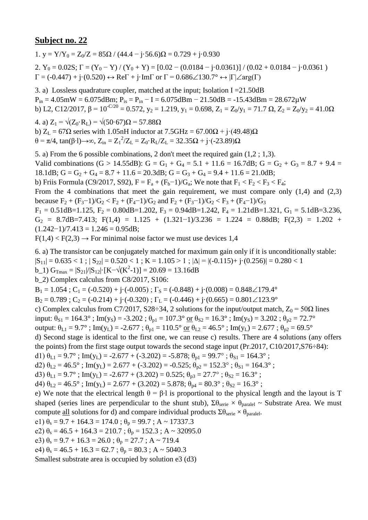1.  $v = Y/Y_0 = Z_0/Z = 85\Omega / (44.4 - j.56.6)\Omega = 0.729 + j.0.930$ 2.  $Y_0 = 0.02S$ ;  $\Gamma = (Y_0 - Y) / (Y_0 + Y) = [0.02 - (0.0184 - j \cdot 0.0361)] / (0.02 + 0.0184 - j \cdot 0.0361)$  $\Gamma = (-0.447) + \mathbf{j} \cdot (0.520) \leftrightarrow \text{Re}\Gamma + \mathbf{j} \cdot \text{Im}\Gamma$  or  $\Gamma = 0.686 \angle 130.7^{\circ} \leftrightarrow |\Gamma| \angle \text{arg}(\Gamma)$ 

3. a) Lossless quadrature coupler, matched at the input; Isolation I =21.50dB  $P_{in} = 4.05$ mW = 6.075dBm;  $P_{is} = P_{in} - I = 6.075$ dBm - 21.50dB = -15.43dBm = 28.672 $\mu$ W b) L2, C12/2017,  $\beta = 10^{-C/20} = 0.572$ ,  $y_2 = 1.219$ ,  $y_1 = 0.698$ ,  $Z_1 = Z_0/y_1 = 71.7 \Omega$ ,  $Z_2 = Z_0/y_2 = 41.0 \Omega$ 

4. a)  $Z_1 = \sqrt{(Z_0 \cdot R_1)} = \sqrt{(50 \cdot 67)}$ Ω = 57.88Ω b)  $Z_L = 67\Omega$  series with 1.05nH inductor at  $7.5\text{GHz} = 67.00\Omega + \text{i} \cdot (49.48)\Omega$  $θ = π/4$ , tan(β⋅1)→∞, Z<sub>in</sub> = Z<sub>1</sub><sup>2</sup>/Z<sub>L</sub> = Z<sub>0</sub>⋅R<sub>L</sub>/Z<sub>L</sub> = 32.35Ω + j⋅(-23.89)Ω

5. a) From the 6 possible combinations, 2 don't meet the required gain (1,2 ; 1,3). Valid combinations (G > 14.55dB): G = G<sub>1</sub> + G<sub>4</sub> = 5.1 + 11.6 = 16.7dB; G = G<sub>2</sub> + G<sub>3</sub> = 8.7 + 9.4 = 18.1dB;  $G = G_2 + G_4 = 8.7 + 11.6 = 20.3$ dB;  $G = G_3 + G_4 = 9.4 + 11.6 = 21.0$ dB; b) Friis Formula (C9/2017, S92),  $F = F_a + (F_b - 1)/G_a$ ; We note that  $F_1 < F_2 < F_3 < F_4$ ; From the 4 combinations that meet the gain requirement, we must compare only  $(1,4)$  and  $(2,3)$ because  $F_2 + (F_3 - 1)/G_2 < F_2 + (F_4 - 1)/G_2$  and  $F_2 + (F_3 - 1)/G_2 < F_3 + (F_4 - 1)/G_3$  $F_1 = 0.51$ dB=1.125,  $F_2 = 0.80$ dB=1.202,  $F_3 = 0.94$ dB=1.242,  $F_4 = 1.21$ dB=1.321,  $G_1 = 5.1$ dB=3.236,  $G_2 = 8.7dB = 7.413$ ; F(1,4) = 1.125 + (1.321-1)/3.236 = 1.224 = 0.88dB; F(2,3) = 1.202 +  $(1.242-1)/7.413 = 1.246 = 0.95dB;$ 

 $F(1,4) < F(2,3) \rightarrow$  For minimal noise factor we must use devices 1,4

6. a) The transistor can be conjugately matched for maximum gain only if it is unconditionally stable:

 $|S_{11}| = 0.635 < 1$ ;  $|S_{22}| = 0.520 < 1$ ;  $K = 1.105 > 1$ ;  $|\Delta| = |(-0.115) + (-0.256)| = 0.280 < 1$ 

b\_1)  $G_{\text{Tmax}} = |S_{21}|/|S_{12}| \cdot [K - \sqrt{(K^2 - 1)}] = 20.69 = 13.16 dB$ 

b\_2) Complex calculus from C8/2017, S106:

 $B_1 = 1.054$ ;  $C_1 = (-0.520) + i(-0.005)$ ;  $\Gamma_s = (-0.848) + i(0.008) = 0.848 \angle 179.4^\circ$ 

 $B_2 = 0.789$ ;  $C_2 = (-0.214) + (-0.320)$ ;  $\Gamma_L = (-0.446) + (-0.665) = 0.801 \angle 123.9^\circ$ 

c) Complex calculus from C7/2017, S28÷34, 2 solutions for the input/output match,  $Z_0 = 50\Omega$  lines

input:  $\theta_{S1} = 164.3^\circ$ ; Im(y<sub>S</sub>) = -3.202;  $\theta_{p1} = 107.3^\circ \text{ or } \theta_{S2} = 16.3^\circ$ ; Im(y<sub>S</sub>) = 3.202;  $\theta_{p2} = 72.7^\circ$ 

output:  $\theta_{L1} = 9.7^\circ$ ; Im(y<sub>L</sub>) = -2.677;  $\theta_{p1} = 110.5^\circ$  or  $\theta_{L2} = 46.5^\circ$ ; Im(y<sub>L</sub>) = 2.677;  $\theta_{p2} = 69.5^\circ$ 

d) Second stage is identical to the first one, we can reuse c) results. There are 4 solutions (any offers the points) from the first stage output towards the second stage input (Pr.2017, C10/2017,S76÷84):

d1)  $\theta_{L1} = 9.7^\circ$ ; Im(y<sub>L</sub>) = -2.677 + (-3.202) = -5.878;  $\theta_{p1} = 99.7^\circ$ ;  $\theta_{s1} = 164.3^\circ$ ;

d2)  $\theta_{L2} = 46.5^\circ$ ; Im(y<sub>L</sub>) = 2.677 + (-3.202) = -0.525;  $\theta_{p2} = 152.3^\circ$ ;  $\theta_{S1} = 164.3^\circ$ ;

d3)  $\theta_{L1} = 9.7^\circ$ ; Im(y<sub>L</sub>) = -2.677 + (3.202) = 0.525;  $\theta_{p3} = 27.7^\circ$ ;  $\theta_{S2} = 16.3^\circ$ ;

d4)  $\theta_{1,2} = 46.5^\circ$ ; Im(y<sub>L</sub>) = 2.677 + (3.202) = 5.878;  $\theta_{p4} = 80.3^\circ$ ;  $\theta_{S2} = 16.3^\circ$ ;

e) We note that the electrical length  $\theta = \beta \cdot 1$  is proportional to the physical length and the layout is T shaped (series lines are perpendicular to the shunt stub),  $\Sigma \theta_{\text{series}} \times \theta_{\text{parallel}} \sim$  Substrate Area. We must compute <u>all</u> solutions for d) and compare individual products  $\Sigma \theta_{\text{serie}} \times \theta_{\text{parallel}}$ .

e1)  $\theta_s = 9.7 + 164.3 = 174.0$ ;  $\theta_p = 99.7$ ; A ~ 17337.3

e2)  $\theta_s = 46.5 + 164.3 = 210.7$ ;  $\theta_p = 152.3$ ; A ~ 32095.0

e3)  $\theta_s = 9.7 + 16.3 = 26.0$ ;  $\theta_p = 27.7$ ; A ~ 719.4

e4)  $\theta_s = 46.5 + 16.3 = 62.7$ ;  $\theta_p = 80.3$ ; A ~ 5040.3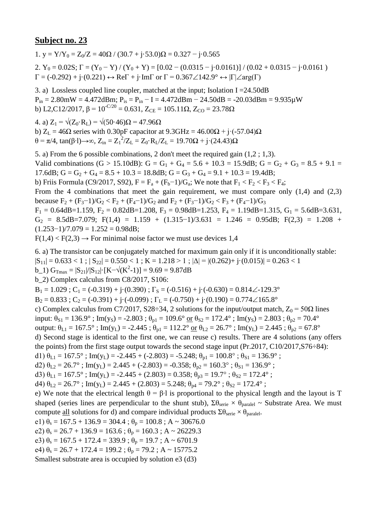1.  $v = Y/Y_0 = Z_0/Z = 40\Omega / (30.7 + j.53.0)\Omega = 0.327 - j.0.565$ 2.  $Y_0 = 0.02S$ ;  $\Gamma = (Y_0 - Y) / (Y_0 + Y) = [0.02 - (0.0315 - j \cdot 0.0161)] / (0.02 + 0.0315 - j \cdot 0.0161)$  $\Gamma = (-0.292) + \mathbf{j} \cdot (0.221) \leftrightarrow \text{Re}\Gamma + \mathbf{j} \cdot \text{Im}\Gamma$  or  $\Gamma = 0.367 \angle 142.9^{\circ} \leftrightarrow |\Gamma| \angle \text{arg}(\Gamma)$ 

3. a) Lossless coupled line coupler, matched at the input; Isolation I =24.50dB  $P_{in} = 2.80$ mW = 4.472dBm;  $P_{is} = P_{in} - I = 4.472$ dBm - 24.50dB = -20.03dBm = 9.935 $\mu$ W b) L2,C12/2017,  $\beta = 10^{-C/20} = 0.631$ ,  $Z_{CE} = 105.11\Omega$ ,  $Z_{CO} = 23.78\Omega$ 

4. a)  $Z_1 = \sqrt{(Z_0 \cdot R_1)} = \sqrt{(50 \cdot 46)}$ Ω = 47.96Ω b)  $Z_L = 46\Omega$  series with 0.30pF capacitor at 9.3GHz =  $46.00\Omega + i(-57.04)\Omega$ θ = π/4, tan(β⋅l)→∞, Z<sub>in</sub> = Z<sub>1</sub><sup>2</sup>/Z<sub>L</sub> = Z<sub>0</sub>⋅R<sub>L</sub>/Z<sub>L</sub> = 19.70Ω + j⋅(24.43)Ω

5. a) From the 6 possible combinations, 2 don't meet the required gain (1,2 ; 1,3). Valid combinations (G > 15.10dB): G = G<sub>1</sub> + G<sub>4</sub> = 5.6 + 10.3 = 15.9dB; G = G<sub>2</sub> + G<sub>3</sub> = 8.5 + 9.1 = 17.6dB;  $G = G_2 + G_4 = 8.5 + 10.3 = 18.8$ dB;  $G = G_3 + G_4 = 9.1 + 10.3 = 19.4$ dB; b) Friis Formula (C9/2017, S92),  $F = F_a + (F_b - 1)/G_a$ ; We note that  $F_1 < F_2 < F_3 < F_4$ ; From the 4 combinations that meet the gain requirement, we must compare only  $(1,4)$  and  $(2,3)$ because  $F_2 + (F_3 - 1)/G_2 < F_2 + (F_4 - 1)/G_2$  and  $F_2 + (F_3 - 1)/G_2 < F_3 + (F_4 - 1)/G_3$  $F_1 = 0.64$ dB=1.159,  $F_2 = 0.82$ dB=1.208,  $F_3 = 0.98$ dB=1.253,  $F_4 = 1.19$ dB=1.315,  $G_1 = 5.6$ dB=3.631,  $G_2 = 8.5dB = 7.079$ ; F(1,4) = 1.159 + (1.315-1)/3.631 = 1.246 = 0.95dB; F(2,3) = 1.208 +  $(1.253-1)/7.079 = 1.252 = 0.98dB;$ 

 $F(1,4) < F(2,3) \rightarrow$  For minimal noise factor we must use devices 1,4

6. a) The transistor can be conjugately matched for maximum gain only if it is unconditionally stable:  $|S_{11}| = 0.633 < 1$ ;  $|S_{22}| = 0.550 < 1$ ;  $K = 1.218 > 1$ ;  $|\Delta| = |(0.262) + i(0.015)| = 0.263 < 1$  $b_1$ )  $G_{\text{Trmax}} = |S_{21}|/|S_{12}| \cdot [K - \sqrt{(K^2-1)}] = 9.69 = 9.87dB$ b\_2) Complex calculus from C8/2017, S106:  $B_1 = 1.029$ ;  $C_1 = (-0.319) + (-0.390)$ ;  $\Gamma_s = (-0.516) + (-0.630) = 0.814 \angle -129.3^\circ$  $B_2 = 0.833$ ;  $C_2 = (-0.391) + j \cdot (-0.099)$ ;  $\Gamma_L = (-0.750) + j \cdot (0.190) = 0.774 \angle 165.8^\circ$ c) Complex calculus from C7/2017, S28÷34, 2 solutions for the input/output match,  $Z_0 = 50\Omega$  lines input:  $\theta_{S1} = 136.9^\circ$ ; Im(y<sub>S</sub>) = -2.803;  $\theta_{p1} = 109.6^\circ$  or  $\theta_{S2} = 172.4^\circ$ ; Im(y<sub>S</sub>) = 2.803;  $\theta_{p2} = 70.4^\circ$ output:  $\theta_{L1} = 167.5^\circ$ ; Im(y<sub>L</sub>) = -2.445;  $\theta_{p1} = 112.2^\circ$  or  $\theta_{L2} = 26.7^\circ$ ; Im(y<sub>L</sub>) = 2.445;  $\theta_{p2} = 67.8^\circ$ d) Second stage is identical to the first one, we can reuse c) results. There are 4 solutions (any offers the points) from the first stage output towards the second stage input (Pr.2017, C10/2017,S76÷84): d1)  $\theta_{L1} = 167.5^{\circ}$ ; Im(y<sub>L</sub>) = -2.445 + (-2.803) = -5.248;  $\theta_{p1} = 100.8^{\circ}$ ;  $\theta_{S1} = 136.9^{\circ}$ ; d2)  $\theta_{L2} = 26.7^\circ$ ; Im(y<sub>L</sub>) = 2.445 + (-2.803) = -0.358;  $\theta_{p2} = 160.3^\circ$ ;  $\theta_{S1} = 136.9^\circ$ ; d3)  $\theta_{L1} = 167.5^\circ$ ; Im(y<sub>L</sub>) = -2.445 + (2.803) = 0.358;  $\theta_{p3} = 19.7^\circ$ ;  $\theta_{S2} = 172.4^\circ$ ; d4)  $\theta_{1,2} = 26.7^\circ$ ; Im(y<sub>L</sub>) = 2.445 + (2.803) = 5.248;  $\theta_{p4} = 79.2^\circ$ ;  $\theta_{S2} = 172.4^\circ$ ; e) We note that the electrical length  $\theta = \beta \cdot 1$  is proportional to the physical length and the layout is T shaped (series lines are perpendicular to the shunt stub),  $\Sigma \theta_{\text{series}} \times \theta_{\text{parallel}} \sim$  Substrate Area. We must compute <u>all</u> solutions for d) and compare individual products  $\Sigma \theta_{\text{serie}} \times \theta_{\text{parallel}}$ . e1)  $\theta_s = 167.5 + 136.9 = 304.4$ ;  $\theta_p = 100.8$ ; A ~ 30676.0 e2)  $\theta_s = 26.7 + 136.9 = 163.6$ ;  $\theta_p = 160.3$ ; A ~ 26229.3 e3)  $\theta_s = 167.5 + 172.4 = 339.9$ ;  $\theta_p = 19.7$ ; A ~ 6701.9 e4)  $\theta_s = 26.7 + 172.4 = 199.2$ ;  $\theta_p = 79.2$ ; A ~ 15775.2 Smallest substrate area is occupied by solution e3 (d3)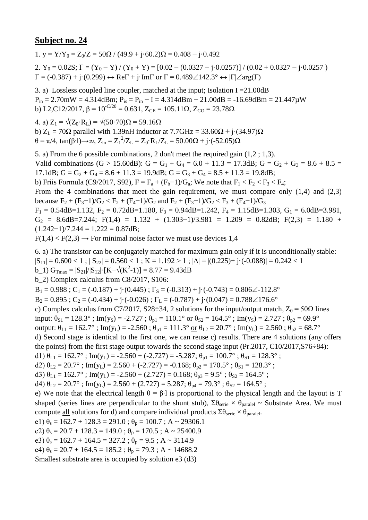1.  $v = Y/Y_0 = Z_0/Z = 50\Omega / (49.9 + j.60.2)\Omega = 0.408 - j.0.492$ 

2.  $Y_0 = 0.02S$ ;  $\Gamma = (Y_0 - Y)/(Y_0 + Y) = [0.02 - (0.0327 - j \cdot 0.0257)]/(0.02 + 0.0327 - j \cdot 0.0257)$  $\Gamma = (-0.387) + \mathbf{j} \cdot (0.299) \leftrightarrow \text{Re} \Gamma + \mathbf{j} \cdot \text{Im} \Gamma$  or  $\Gamma = 0.489 \angle 142.3^{\circ} \leftrightarrow |\Gamma| \angle \text{arg}(\Gamma)$ 

3. a) Lossless coupled line coupler, matched at the input; Isolation  $I = 21.00dB$  $P_{in} = 2.70$ mW = 4.314dBm;  $P_{is} = P_{in} - I = 4.314$ dBm - 21.00dB = -16.69dBm = 21.447 $\mu$ W b) L2,C12/2017,  $\beta = 10^{-C/20} = 0.631$ ,  $Z_{CE} = 105.11\Omega$ ,  $Z_{CO} = 23.78\Omega$ 

4. a)  $Z_1 = \sqrt{(Z_0 \cdot R_1)} = \sqrt{(50 \cdot 70)}\Omega = 59.16 \Omega$ 

b)  $Z_L = 70\Omega$  parallel with 1.39nH inductor at 7.7GHz = 33.60 $\Omega$  + j·(34.97) $\Omega$  $θ = π/4$ , tan(β⋅1)→∞, Z<sub>in</sub> = Z<sub>1</sub><sup>2</sup>/Z<sub>L</sub> = Z<sub>0</sub>⋅R<sub>L</sub>/Z<sub>L</sub> = 50.00Ω + j⋅(-52.05)Ω

5. a) From the 6 possible combinations, 2 don't meet the required gain (1,2 ; 1,3). Valid combinations (G > 15.60dB): G = G<sub>1</sub> + G<sub>4</sub> = 6.0 + 11.3 = 17.3dB; G = G<sub>2</sub> + G<sub>3</sub> = 8.6 + 8.5 = 17.1dB;  $G = G_2 + G_4 = 8.6 + 11.3 = 19.9$ dB;  $G = G_3 + G_4 = 8.5 + 11.3 = 19.8$ dB; b) Friis Formula (C9/2017, S92),  $F = F_a + (F_b - 1)/G_a$ ; We note that  $F_1 < F_2 < F_3 < F_4$ ; From the 4 combinations that meet the gain requirement, we must compare only  $(1,4)$  and  $(2,3)$ because  $F_2 + (F_3 - 1)/G_2 < F_2 + (F_4 - 1)/G_2$  and  $F_2 + (F_3 - 1)/G_2 < F_3 + (F_4 - 1)/G_3$  $F_1 = 0.54$ dB=1.132,  $F_2 = 0.72$ dB=1.180,  $F_3 = 0.94$ dB=1.242,  $F_4 = 1.15$ dB=1.303,  $G_1 = 6.0$ dB=3.981,  $G_2 = 8.6dB = 7.244$ ; F(1,4) = 1.132 + (1.303-1)/3.981 = 1.209 = 0.82dB; F(2,3) = 1.180 +  $(1.242-1)/7.244 = 1.222 = 0.87d$ B;

 $F(1,4) < F(2,3) \rightarrow$  For minimal noise factor we must use devices 1,4

6. a) The transistor can be conjugately matched for maximum gain only if it is unconditionally stable:

 $|S_{11}| = 0.600 < 1$ ;  $|S_{22}| = 0.560 < 1$ ;  $K = 1.192 > 1$ ;  $|\Delta| = |(0.225) + i \cdot (-0.088)| = 0.242 < 1$ 

b\_1)  $G_{\text{Tmax}} = |S_{21}|/|S_{12}| \cdot [K - \sqrt{(K^2 - 1)}] = 8.77 = 9.43 dB$ 

b\_2) Complex calculus from C8/2017, S106:

 $B_1 = 0.988$ ;  $C_1 = (-0.187) + i((0.445)$ ;  $\Gamma_s = (-0.313) + i((-0.743) = 0.806\angle{-112.8^\circ}$ 

 $B_2 = 0.895$ ;  $C_2 = (-0.434) + (-0.026)$ ;  $\Gamma_L = (-0.787) + (-0.047) = 0.788 \measuredangle 176.6^\circ$ 

c) Complex calculus from C7/2017, S28÷34, 2 solutions for the input/output match,  $Z_0 = 50\Omega$  lines

input:  $\theta_{S1} = 128.3^\circ$ ; Im(y<sub>S</sub>) = -2.727;  $\theta_{p1} = 110.1^\circ$  or  $\theta_{S2} = 164.5^\circ$ ; Im(y<sub>S</sub>) = 2.727;  $\theta_{p2} = 69.9^\circ$ 

output:  $\theta_{L1} = 162.7^\circ$ ; Im(y<sub>L</sub>) = -2.560;  $\theta_{p1} = 111.3^\circ$  or  $\theta_{L2} = 20.7^\circ$ ; Im(y<sub>L</sub>) = 2.560;  $\theta_{p2} = 68.7^\circ$ 

d) Second stage is identical to the first one, we can reuse c) results. There are 4 solutions (any offers the points) from the first stage output towards the second stage input (Pr.2017, C10/2017,S76÷84):

d1)  $\theta_{L1} = 162.7^{\circ}$ ; Im(y<sub>L</sub>) = -2.560 + (-2.727) = -5.287;  $\theta_{p1} = 100.7^{\circ}$ ;  $\theta_{S1} = 128.3^{\circ}$ ;

d2)  $\theta_{L2} = 20.7^\circ$ ; Im(y<sub>L</sub>) = 2.560 + (-2.727) = -0.168;  $\theta_{p2} = 170.5^\circ$ ;  $\theta_{S1} = 128.3^\circ$ ;

d3)  $\theta_{L1} = 162.7^\circ$ ; Im(y<sub>L</sub>) = -2.560 + (2.727) = 0.168;  $\theta_{p3} = 9.5^\circ$ ;  $\theta_{S2} = 164.5^\circ$ ;

d4)  $\theta_{1,2} = 20.7^\circ$ ; Im(y<sub>L</sub>) = 2.560 + (2.727) = 5.287;  $\theta_{p4} = 79.3^\circ$ ;  $\theta_{S2} = 164.5^\circ$ ;

e) We note that the electrical length  $\theta = \beta \cdot 1$  is proportional to the physical length and the layout is T shaped (series lines are perpendicular to the shunt stub),  $\Sigma \theta_{\text{series}} \times \theta_{\text{parallel}} \sim$  Substrate Area. We must compute <u>all</u> solutions for d) and compare individual products  $\Sigma \theta_{\text{serie}} \times \theta_{\text{parallel}}$ .

e1)  $\theta_s = 162.7 + 128.3 = 291.0$ ;  $\theta_p = 100.7$ ; A ~ 29306.1

e2)  $\theta_s = 20.7 + 128.3 = 149.0$ ;  $\theta_p = 170.5$ ; A ~ 25400.9

e3)  $\theta_s = 162.7 + 164.5 = 327.2$ ;  $\theta_p = 9.5$ ; A ~ 3114.9

e4)  $\theta_s = 20.7 + 164.5 = 185.2$ ;  $\theta_p = 79.3$ ; A ~ 14688.2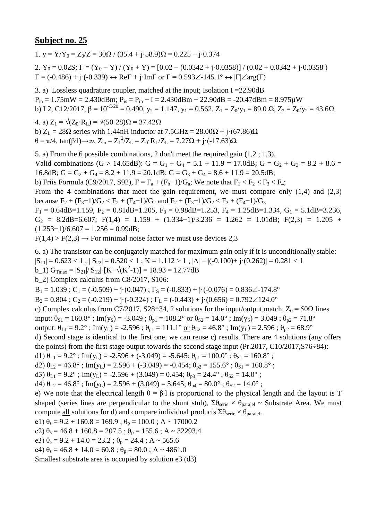1. y =  $Y/Y_0 = Z_0/Z = 30\Omega / (35.4 + i.58.9)\Omega = 0.225 - i.0.374$ 2.  $Y_0 = 0.02S$ ;  $\Gamma = (Y_0 - Y) / (Y_0 + Y) = [0.02 - (0.0342 + j \cdot 0.0358)] / (0.02 + 0.0342 + j \cdot 0.0358)$  $\Gamma = (-0.486) + \mathrm{j} \cdot (-0.339) \leftrightarrow \text{Re}\Gamma + \mathrm{j} \cdot \text{Im}\Gamma$  or  $\Gamma = 0.593 \angle -145.1^{\circ} \leftrightarrow |\Gamma| \angle \text{arg}(\Gamma)$ 

3. a) Lossless quadrature coupler, matched at the input; Isolation I =22.90dB  $P_{in} = 1.75$ mW = 2.430dBm;  $P_{is} = P_{in} - I = 2.430$ dBm - 22.90dB = -20.47dBm = 8.975 $\mu$ W b) L2, C12/2017,  $\beta = 10^{-C/20} = 0.490$ ,  $y_2 = 1.147$ ,  $y_1 = 0.562$ ,  $Z_1 = Z_0/y_1 = 89.0 \Omega$ ,  $Z_2 = Z_0/y_2 = 43.6 \Omega$ 

4. a)  $Z_1 = \sqrt{(Z_0 \cdot R_L)} = \sqrt{(50 \cdot 28)}\Omega = 37.42\Omega$ b)  $Z_L = 28\Omega$  series with 1.44nH inductor at  $7.5\text{GHz} = 28.00\Omega + \text{i} \cdot (67.86)\Omega$ θ = π/4, tan(β⋅l)→∞, Z<sub>in</sub> = Z<sub>1</sub><sup>2</sup>/Z<sub>L</sub> = Z<sub>0</sub>⋅R<sub>L</sub>/Z<sub>L</sub> = 7.27Ω + j⋅(-17.63)Ω

5. a) From the 6 possible combinations, 2 don't meet the required gain (1,2 ; 1,3). Valid combinations (G > 14.65dB): G = G<sub>1</sub> + G<sub>4</sub> = 5.1 + 11.9 = 17.0dB; G = G<sub>2</sub> + G<sub>3</sub> = 8.2 + 8.6 = 16.8dB;  $G = G_2 + G_4 = 8.2 + 11.9 = 20.1$ dB;  $G = G_3 + G_4 = 8.6 + 11.9 = 20.5$ dB; b) Friis Formula (C9/2017, S92),  $F = F_a + (F_b - 1)/G_a$ ; We note that  $F_1 < F_2 < F_3 < F_4$ ; From the 4 combinations that meet the gain requirement, we must compare only  $(1,4)$  and  $(2,3)$ because  $F_2 + (F_3 - 1)/G_2 < F_2 + (F_4 - 1)/G_2$  and  $F_2 + (F_3 - 1)/G_2 < F_3 + (F_4 - 1)/G_3$  $F_1 = 0.64$ dB=1.159,  $F_2 = 0.81$ dB=1.205,  $F_3 = 0.98$ dB=1.253,  $F_4 = 1.25$ dB=1.334,  $G_1 = 5.1$ dB=3.236,  $G_2 = 8.2dB = 6.607$ ; F(1,4) = 1.159 + (1.334-1)/3.236 = 1.262 = 1.01dB; F(2,3) = 1.205 +  $(1.253-1)/6.607 = 1.256 = 0.99dB$ ;

 $F(1,4) > F(2,3) \rightarrow$  For minimal noise factor we must use devices 2,3

6. a) The transistor can be conjugately matched for maximum gain only if it is unconditionally stable:

 $|S_{11}| = 0.623 < 1$ ;  $|S_{22}| = 0.520 < 1$ ;  $K = 1.112 > 1$ ;  $|\Delta| = |(-0.100) + (-0.262)| = 0.281 < 1$ 

b\_1)  $G_{\text{Tmax}} = |S_{21}|/|S_{12}| \cdot [K - \sqrt{(K^2 - 1)}] = 18.93 = 12.77dB$ 

b\_2) Complex calculus from C8/2017, S106:

 $B_1 = 1.039$ ;  $C_1 = (-0.509) + (-0.047)$ ;  $\Gamma_s = (-0.833) + (-0.076) = 0.836 \measuredangle -174.8^\circ$ 

 $B_2 = 0.804$ ;  $C_2 = (-0.219) + j \cdot (-0.324)$ ;  $\Gamma_L = (-0.443) + j \cdot (0.656) = 0.792 \angle 124.0^\circ$ 

c) Complex calculus from C7/2017, S28÷34, 2 solutions for the input/output match,  $Z_0 = 50\Omega$  lines

input:  $\theta_{S1} = 160.8^\circ$ ; Im(y<sub>S</sub>) = -3.049;  $\theta_{p1} = 108.2^\circ$  <u>or</u>  $\theta_{S2} = 14.0^\circ$ ; Im(y<sub>S</sub>) = 3.049;  $\theta_{p2} = 71.8^\circ$ 

output:  $\theta_{L1} = 9.2^\circ$ ; Im(y<sub>L</sub>) = -2.596;  $\theta_{p1} = 111.1^\circ$  or  $\theta_{L2} = 46.8^\circ$ ; Im(y<sub>L</sub>) = 2.596;  $\theta_{p2} = 68.9^\circ$ 

d) Second stage is identical to the first one, we can reuse c) results. There are 4 solutions (any offers the points) from the first stage output towards the second stage input (Pr.2017, C10/2017,S76÷84):

d1)  $\theta_{L1} = 9.2^{\circ}$ ; Im(y<sub>L</sub>) = -2.596 + (-3.049) = -5.645;  $\theta_{p1} = 100.0^{\circ}$ ;  $\theta_{S1} = 160.8^{\circ}$ ;

d2)  $\theta_{L2} = 46.8^\circ$ ; Im(y<sub>L</sub>) = 2.596 + (-3.049) = -0.454;  $\theta_{p2} = 155.6^\circ$ ;  $\theta_{S1} = 160.8^\circ$ ;

d3)  $\theta_{L1} = 9.2^{\circ}$ ; Im(y<sub>L</sub>) = -2.596 + (3.049) = 0.454;  $\theta_{p3} = 24.4^{\circ}$ ;  $\theta_{S2} = 14.0^{\circ}$ ;

d4)  $\theta_{1,2} = 46.8^\circ$ ; Im(y<sub>L</sub>) = 2.596 + (3.049) = 5.645;  $\theta_{p4} = 80.0^\circ$ ;  $\theta_{S2} = 14.0^\circ$ ;

e) We note that the electrical length  $\theta = \beta \cdot 1$  is proportional to the physical length and the layout is T shaped (series lines are perpendicular to the shunt stub),  $\Sigma \theta_{\text{series}} \times \theta_{\text{parallel}} \sim$  Substrate Area. We must compute <u>all</u> solutions for d) and compare individual products  $\Sigma \theta_{\text{serie}} \times \theta_{\text{parallel}}$ .

e1)  $\theta_s = 9.2 + 160.8 = 169.9$ ;  $\theta_p = 100.0$ ; A ~ 17000.2

e2)  $\theta_s = 46.8 + 160.8 = 207.5$ ;  $\theta_p = 155.6$ ; A ~ 32293.4

e3)  $\theta_s = 9.2 + 14.0 = 23.2$ ;  $\theta_p = 24.4$ ; A ~ 565.6

e4)  $\theta_s = 46.8 + 14.0 = 60.8$ ;  $\theta_p = 80.0$ ; A ~ 4861.0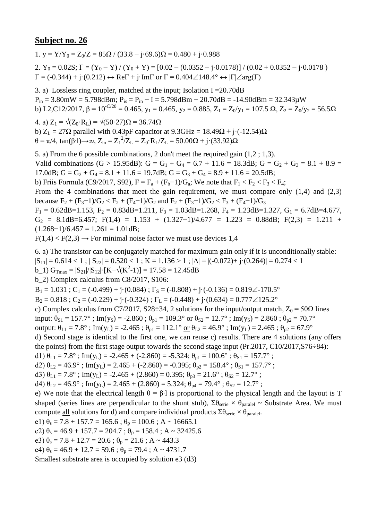1. y =  $Y/Y_0 = Z_0/Z = 85\Omega / (33.8 - i.69.6)\Omega = 0.480 + i.0.988$ 

2.  $Y_0 = 0.02S$ ;  $\Gamma = (Y_0 - Y)/(Y_0 + Y) = [0.02 - (0.0352 - j \cdot 0.0178)]/(0.02 + 0.0352 - j \cdot 0.0178)$  $\Gamma = (-0.344) + \mathbf{j} \cdot (0.212) \leftrightarrow \text{Re}\Gamma + \mathbf{j} \cdot \text{Im}\Gamma$  or  $\Gamma = 0.404 \angle 148.4^{\circ} \leftrightarrow |\Gamma| \angle \text{arg}(\Gamma)$ 

3. a) Lossless ring coupler, matched at the input; Isolation I =20.70dB  $P_{in} = 3.80$ mW = 5.798dBm;  $P_{is} = P_{in} - I = 5.798$ dBm - 20.70dB = -14.90dBm = 32.343 $\mu$ W b) L2,C12/2017,  $\beta = 10^{-C/20} = 0.465$ ,  $y_1 = 0.465$ ,  $y_2 = 0.885$ ,  $Z_1 = Z_0/y_1 = 107.5$   $\Omega$ ,  $Z_2 = Z_0/y_2 = 56.5\Omega$ 

4. a)  $Z_1 = \sqrt{(Z_0 \cdot R_L)} = \sqrt{(50 \cdot 27)}\Omega = 36.74 \Omega$ b)  $Z_L = 27\Omega$  parallel with 0.43pF capacitor at 9.3GHz = 18.49 $\Omega$  + j·(-12.54) $\Omega$ θ = π/4, tan(β⋅l)→∞, Z<sub>in</sub> = Z<sub>1</sub><sup>2</sup>/Z<sub>L</sub> = Z<sub>0</sub>⋅R<sub>L</sub>/Z<sub>L</sub> = 50.00Ω + j⋅(33.92)Ω

5. a) From the 6 possible combinations, 2 don't meet the required gain (1,2 ; 1,3). Valid combinations (G > 15.95dB): G = G<sub>1</sub> + G<sub>4</sub> = 6.7 + 11.6 = 18.3dB; G = G<sub>2</sub> + G<sub>3</sub> = 8.1 + 8.9 = 17.0dB;  $G = G_2 + G_4 = 8.1 + 11.6 = 19.7$ dB;  $G = G_3 + G_4 = 8.9 + 11.6 = 20.5$ dB; b) Friis Formula (C9/2017, S92),  $F = F_a + (F_b - 1)/G_a$ ; We note that  $F_1 < F_2 < F_3 < F_4$ ; From the 4 combinations that meet the gain requirement, we must compare only  $(1,4)$  and  $(2,3)$ because  $F_2 + (F_3 - 1)/G_2 < F_2 + (F_4 - 1)/G_2$  and  $F_2 + (F_3 - 1)/G_2 < F_3 + (F_4 - 1)/G_3$  $F_1 = 0.62$ dB=1.153,  $F_2 = 0.83$ dB=1.211,  $F_3 = 1.03$ dB=1.268,  $F_4 = 1.23$ dB=1.327,  $G_1 = 6.7$ dB=4.677,  $G_2 = 8.1dB = 6.457$ ; F(1,4) = 1.153 + (1.327-1)/4.677 = 1.223 = 0.88dB; F(2,3) = 1.211 +  $(1.268-1)/6.457 = 1.261 = 1.01dB;$ 

 $F(1,4) < F(2,3) \rightarrow$  For minimal noise factor we must use devices 1,4

6. a) The transistor can be conjugately matched for maximum gain only if it is unconditionally stable:

 $|S_{11}| = 0.614 < 1$ ;  $|S_{22}| = 0.520 < 1$ ;  $K = 1.136 > 1$ ;  $|\Delta| = |(-0.072) + (-0.264)| = 0.274 < 1$ 

b\_1)  $G_{\text{Tmax}} = |S_{21}|/|S_{12}| \cdot [K - \sqrt{(K^2 - 1)}] = 17.58 = 12.45dB$ 

b\_2) Complex calculus from C8/2017, S106:

 $B_1 = 1.031$ ;  $C_1 = (-0.499) + i(0.084)$ ;  $\Gamma_s = (-0.808) + i(-0.136) = 0.819\angle -170.5^\circ$ 

 $B_2 = 0.818$ ;  $C_2 = (-0.229) + i(-0.324)$ ;  $\Gamma_L = (-0.448) + i(0.634) = 0.777 \angle 125.2^\circ$ 

c) Complex calculus from C7/2017, S28÷34, 2 solutions for the input/output match,  $Z_0 = 50\Omega$  lines

input:  $\theta_{S1} = 157.7^\circ$ ; Im(y<sub>S</sub>) = -2.860;  $\theta_{p1} = 109.3^\circ \text{ or } \theta_{S2} = 12.7^\circ$ ; Im(y<sub>S</sub>) = 2.860;  $\theta_{p2} = 70.7^\circ$ 

output:  $\theta_{L1} = 7.8^\circ$ ; Im(y<sub>L</sub>) = -2.465;  $\theta_{p1} = 112.1^\circ$  or  $\theta_{L2} = 46.9^\circ$ ; Im(y<sub>L</sub>) = 2.465;  $\theta_{p2} = 67.9^\circ$ 

d) Second stage is identical to the first one, we can reuse c) results. There are 4 solutions (any offers the points) from the first stage output towards the second stage input (Pr.2017, C10/2017,S76÷84):

d1)  $\theta_{L1} = 7.8^\circ$ ; Im(y<sub>L</sub>) = -2.465 + (-2.860) = -5.324;  $\theta_{p1} = 100.6^\circ$ ;  $\theta_{S1} = 157.7^\circ$ ;

d2)  $\theta_{L2} = 46.9^\circ$ ; Im(y<sub>L</sub>) = 2.465 + (-2.860) = -0.395;  $\theta_{p2} = 158.4^\circ$ ;  $\theta_{S1} = 157.7^\circ$ ;

d3)  $\theta_{L1} = 7.8^\circ$ ; Im(y<sub>L</sub>) = -2.465 + (2.860) = 0.395;  $\theta_{p3} = 21.6^\circ$ ;  $\theta_{S2} = 12.7^\circ$ ;

d4)  $\theta_{1,2} = 46.9^\circ$ ; Im(y<sub>L</sub>) = 2.465 + (2.860) = 5.324;  $\theta_{p4} = 79.4^\circ$ ;  $\theta_{S2} = 12.7^\circ$ ;

e) We note that the electrical length  $\theta = \beta \cdot 1$  is proportional to the physical length and the layout is T shaped (series lines are perpendicular to the shunt stub),  $\Sigma \theta_{\text{series}} \times \theta_{\text{parallel}} \sim$  Substrate Area. We must compute <u>all</u> solutions for d) and compare individual products  $\Sigma \theta_{\text{serie}} \times \theta_{\text{parallel}}$ .

e1)  $\theta_s = 7.8 + 157.7 = 165.6$ ;  $\theta_p = 100.6$ ; A ~ 16665.1

e2)  $\theta_s = 46.9 + 157.7 = 204.7$ ;  $\theta_p = 158.4$ ; A ~ 32425.6

e3)  $\theta_s = 7.8 + 12.7 = 20.6$ ;  $\theta_p = 21.6$ ; A ~ 443.3

e4)  $\theta_s = 46.9 + 12.7 = 59.6$ ;  $\theta_p = 79.4$ ; A ~ 4731.7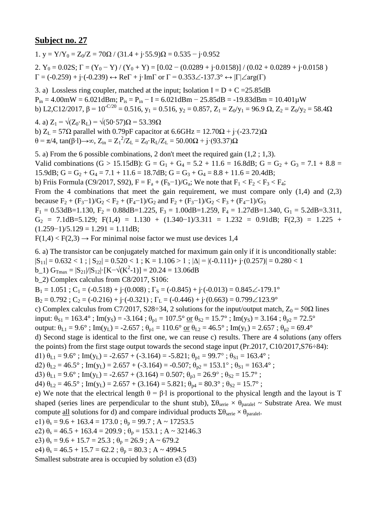1. y =  $Y/Y_0 = Z_0/Z = 70\Omega / (31.4 + i \cdot 55.9)\Omega = 0.535 - i \cdot 0.952$ 

2.  $Y_0 = 0.02S$ ;  $\Gamma = (Y_0 - Y)/(Y_0 + Y) = [0.02 - (0.0289 + j \cdot 0.0158)]/(0.02 + 0.0289 + j \cdot 0.0158)$  $\Gamma = (-0.259) + j \cdot (-0.239) \leftrightarrow \text{Re}\Gamma + j \cdot \text{Im}\Gamma$  or  $\Gamma = 0.353 \angle 137.3^{\circ} \leftrightarrow |\Gamma| \angle \text{arg}(\Gamma)$ 

3. a) Lossless ring coupler, matched at the input; Isolation  $I = D + C = 25.85dB$  $P_{in} = 4.00$ mW = 6.021dBm;  $P_{is} = P_{in} - I = 6.021$ dBm - 25.85dB = -19.83dBm = 10.401 $\mu$ W b) L2,C12/2017,  $\beta = 10^{-C/20} = 0.516$ ,  $y_1 = 0.516$ ,  $y_2 = 0.857$ ,  $Z_1 = Z_0/y_1 = 96.9 \Omega$ ,  $Z_2 = Z_0/y_2 = 58.4 \Omega$ 

4. a)  $Z_1 = \sqrt{(Z_0 \cdot R_L)} = \sqrt{(50 \cdot 57)}\Omega = 53.39 \Omega$ b)  $Z_L = 57\Omega$  parallel with 0.79pF capacitor at 6.6GHz = 12.70 $\Omega$  + j·(-23.72) $\Omega$ θ = π/4, tan(β⋅l)→∞, Z<sub>in</sub> = Z<sub>1</sub><sup>2</sup>/Z<sub>L</sub> = Z<sub>0</sub>⋅R<sub>L</sub>/Z<sub>L</sub> = 50.00Ω + j⋅(93.37)Ω

5. a) From the 6 possible combinations, 2 don't meet the required gain (1,2 ; 1,3). Valid combinations (G > 15.15dB): G = G<sub>1</sub> + G<sub>4</sub> = 5.2 + 11.6 = 16.8dB; G = G<sub>2</sub> + G<sub>3</sub> = 7.1 + 8.8 = 15.9dB;  $G = G_2 + G_4 = 7.1 + 11.6 = 18.7$ dB;  $G = G_3 + G_4 = 8.8 + 11.6 = 20.4$ dB; b) Friis Formula (C9/2017, S92),  $F = F_a + (F_b - 1)/G_a$ ; We note that  $F_1 < F_2 < F_3 < F_4$ ; From the 4 combinations that meet the gain requirement, we must compare only  $(1,4)$  and  $(2,3)$ because  $F_2 + (F_3 - 1)/G_2 < F_2 + (F_4 - 1)/G_2$  and  $F_2 + (F_3 - 1)/G_2 < F_3 + (F_4 - 1)/G_3$  $F_1 = 0.53$ dB=1.130,  $F_2 = 0.88$ dB=1.225,  $F_3 = 1.00$ dB=1.259,  $F_4 = 1.27$ dB=1.340,  $G_1 = 5.2$ dB=3.311,  $G_2$  = 7.1dB=5.129; F(1,4) = 1.130 + (1.340-1)/3.311 = 1.232 = 0.91dB; F(2,3) = 1.225 +  $(1.259-1)/5.129 = 1.291 = 1.11dB;$ 

 $F(1,4) < F(2,3) \rightarrow$  For minimal noise factor we must use devices 1,4

6. a) The transistor can be conjugately matched for maximum gain only if it is unconditionally stable:

 $|S_{11}| = 0.632 < 1$ ;  $|S_{22}| = 0.520 < 1$ ;  $K = 1.106 > 1$ ;  $|\Delta| = |(-0.111) + (-0.257)| = 0.280 < 1$ 

b\_1)  $G_{\text{Tmax}} = |S_{21}|/|S_{12}| \cdot [K - \sqrt{(K^2 - 1)}] = 20.24 = 13.06 dB$ 

b\_2) Complex calculus from C8/2017, S106:

 $B_1 = 1.051$ ;  $C_1 = (-0.518) + i((0.008)$ ;  $\Gamma_s = (-0.845) + i((-0.013) = 0.845\angle{-179.1^\circ}$ 

 $B_2 = 0.792$ ;  $C_2 = (-0.216) + (-0.321)$ ;  $\Gamma_L = (-0.446) + (-0.663) = 0.799 \angle 123.9^\circ$ 

c) Complex calculus from C7/2017, S28÷34, 2 solutions for the input/output match,  $Z_0 = 50\Omega$  lines

input:  $\theta_{S1} = 163.4^\circ$ ; Im(y<sub>S</sub>) = -3.164;  $\theta_{p1} = 107.5^\circ \text{ or } \theta_{S2} = 15.7^\circ$ ; Im(y<sub>S</sub>) = 3.164;  $\theta_{p2} = 72.5^\circ$ 

output:  $\theta_{L1} = 9.6^\circ$ ; Im(y<sub>L</sub>) = -2.657;  $\theta_{p1} = 110.6^\circ$  or  $\theta_{L2} = 46.5^\circ$ ; Im(y<sub>L</sub>) = 2.657;  $\theta_{p2} = 69.4^\circ$ 

d) Second stage is identical to the first one, we can reuse c) results. There are 4 solutions (any offers the points) from the first stage output towards the second stage input (Pr.2017, C10/2017,S76÷84):

d1)  $\theta_{L1} = 9.6^\circ$ ; Im(y<sub>L</sub>) = -2.657 + (-3.164) = -5.821;  $\theta_{p1} = 99.7^\circ$ ;  $\theta_{S1} = 163.4^\circ$ ;

d2)  $\theta_{L2} = 46.5^\circ$ ; Im(y<sub>L</sub>) = 2.657 + (-3.164) = -0.507;  $\theta_{p2} = 153.1^\circ$ ;  $\theta_{S1} = 163.4^\circ$ ;

d3)  $\theta_{L1} = 9.6^\circ$ ; Im(y<sub>L</sub>) = -2.657 + (3.164) = 0.507;  $\theta_{p3} = 26.9^\circ$ ;  $\theta_{S2} = 15.7^\circ$ ;

d4)  $\theta_{1,2} = 46.5^\circ$ ; Im(y<sub>L</sub>) = 2.657 + (3.164) = 5.821;  $\theta_{p4} = 80.3^\circ$ ;  $\theta_{S2} = 15.7^\circ$ ;

e) We note that the electrical length  $\theta = \beta \cdot 1$  is proportional to the physical length and the layout is T shaped (series lines are perpendicular to the shunt stub),  $\Sigma \theta_{\text{series}} \times \theta_{\text{parallel}} \sim$  Substrate Area. We must compute <u>all</u> solutions for d) and compare individual products  $\Sigma \theta_{\text{serie}} \times \theta_{\text{parallel}}$ .

e1)  $\theta_s = 9.6 + 163.4 = 173.0$ ;  $\theta_p = 99.7$ ; A ~ 17253.5

e2)  $\theta_s = 46.5 + 163.4 = 209.9$ ;  $\theta_p = 153.1$ ; A ~ 32146.3

e3)  $\theta_s = 9.6 + 15.7 = 25.3$ ;  $\theta_p = 26.9$ ; A ~ 679.2

e4)  $\theta_s = 46.5 + 15.7 = 62.2$ ;  $\theta_p = 80.3$ ; A ~ 4994.5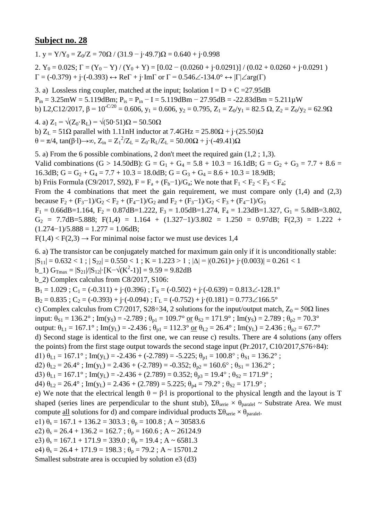1.  $v = Y/Y_0 = Z_0/Z = 70\Omega / (31.9 - j.49.7)\Omega = 0.640 + j.0.998$ 2.  $Y_0 = 0.02S$ ;  $\Gamma = (Y_0 - Y) / (Y_0 + Y) = [0.02 - (0.0260 + j \cdot 0.0291)] / (0.02 + 0.0260 + j \cdot 0.0291)$ 

3. a) Lossless ring coupler, matched at the input; Isolation  $I = D + C = 27.95dB$  $P_{in} = 3.25 \text{mW} = 5.119 \text{dBm}$ ;  $P_{is} = P_{in} - I = 5.119 \text{dBm} - 27.95 \text{dB} = -22.83 \text{dBm} = 5.211 \text{mW}$ b) L2,C12/2017,  $\beta = 10^{-C/20} = 0.606$ ,  $y_1 = 0.606$ ,  $y_2 = 0.795$ ,  $Z_1 = Z_0/y_1 = 82.5 \Omega$ ,  $Z_2 = Z_0/y_2 = 62.9 \Omega$ 

4. a)  $Z_1 = \sqrt{(Z_0 \cdot R_L)} = \sqrt{(50 \cdot 51)}\Omega = 50.50 \Omega$ b)  $Z_L = 51\Omega$  parallel with 1.11nH inductor at  $7.4\text{GHz} = 25.80\Omega + \text{j} \cdot (25.50)\Omega$  $θ = π/4$ , tan(β⋅1)→∞, Z<sub>in</sub> = Z<sub>1</sub><sup>2</sup>/Z<sub>L</sub> = Z<sub>0</sub>⋅R<sub>L</sub>/Z<sub>L</sub> = 50.00Ω + j⋅(-49.41)Ω

 $\Gamma = (-0.379) + \mathrm{j} \cdot (-0.393) \leftrightarrow \mathrm{Re} \Gamma + \mathrm{j} \cdot \mathrm{Im} \Gamma$  or  $\Gamma = 0.546 \angle 134.0^{\circ} \leftrightarrow |\Gamma| \angle \mathrm{arg}(\Gamma)$ 

5. a) From the 6 possible combinations, 2 don't meet the required gain (1,2 ; 1,3). Valid combinations (G > 14.50dB): G = G<sub>1</sub> + G<sub>4</sub> = 5.8 + 10.3 = 16.1dB; G = G<sub>2</sub> + G<sub>3</sub> = 7.7 + 8.6 = 16.3dB;  $G = G_2 + G_4 = 7.7 + 10.3 = 18.0$ dB;  $G = G_3 + G_4 = 8.6 + 10.3 = 18.9$ dB; b) Friis Formula (C9/2017, S92),  $F = F_a + (F_b - 1)/G_a$ ; We note that  $F_1 < F_2 < F_3 < F_4$ ; From the 4 combinations that meet the gain requirement, we must compare only  $(1,4)$  and  $(2,3)$ because  $F_2 + (F_3 - 1)/G_2 < F_2 + (F_4 - 1)/G_2$  and  $F_2 + (F_3 - 1)/G_2 < F_3 + (F_4 - 1)/G_3$  $F_1 = 0.66$ dB=1.164,  $F_2 = 0.87$ dB=1.222,  $F_3 = 1.05$ dB=1.274,  $F_4 = 1.23$ dB=1.327,  $G_1 = 5.8$ dB=3.802,  $G_2$  = 7.7dB=5.888; F(1,4) = 1.164 + (1.327-1)/3.802 = 1.250 = 0.97dB; F(2,3) = 1.222 +  $(1.274-1)/5.888 = 1.277 = 1.06dB;$ 

 $F(1,4) < F(2,3) \rightarrow$  For minimal noise factor we must use devices 1,4

6. a) The transistor can be conjugately matched for maximum gain only if it is unconditionally stable:  $|S_{11}| = 0.632 < 1$ ;  $|S_{22}| = 0.550 < 1$ ;  $K = 1.223 > 1$ ;  $|\Delta| = |(0.261) + i(0.003)| = 0.261 < 1$  $b_1$ )  $G_{\text{Trmax}} = |S_{21}|/|S_{12}| \cdot [K - \sqrt{(K^2-1)}] = 9.59 = 9.82dB$ b\_2) Complex calculus from C8/2017, S106:  $B_1 = 1.029$ ;  $C_1 = (-0.311) + (-0.396)$ ;  $\Gamma_s = (-0.502) + (-0.639) = 0.813 \angle -128.1^\circ$  $B_2 = 0.835$ ;  $C_2 = (-0.393) + j \cdot (-0.094)$ ;  $\Gamma_L = (-0.752) + j \cdot (0.181) = 0.773 \angle 166.5^\circ$ c) Complex calculus from C7/2017, S28÷34, 2 solutions for the input/output match,  $Z_0 = 50\Omega$  lines input:  $\theta_{S1} = 136.2^\circ$ ; Im(y<sub>S</sub>) = -2.789;  $\theta_{p1} = 109.7^\circ$  or  $\theta_{S2} = 171.9^\circ$ ; Im(y<sub>S</sub>) = 2.789;  $\theta_{p2} = 70.3^\circ$ output:  $\theta_{L1} = 167.1^\circ$ ; Im(y<sub>L</sub>) = -2.436;  $\theta_{p1} = 112.3^\circ$  or  $\theta_{L2} = 26.4^\circ$ ; Im(y<sub>L</sub>) = 2.436;  $\theta_{p2} = 67.7^\circ$ d) Second stage is identical to the first one, we can reuse c) results. There are 4 solutions (any offers

the points) from the first stage output towards the second stage input (Pr.2017, C10/2017,S76÷84):

d1)  $\theta_{L1} = 167.1^\circ$ ; Im(y<sub>L</sub>) = -2.436 + (-2.789) = -5.225;  $\theta_{p1} = 100.8^\circ$ ;  $\theta_{S1} = 136.2^\circ$ ;

d2)  $\theta_{L2} = 26.4^\circ$ ; Im(y<sub>L</sub>) = 2.436 + (-2.789) = -0.352;  $\theta_{p2} = 160.6^\circ$ ;  $\theta_{S1} = 136.2^\circ$ ;

d3)  $\theta_{L1} = 167.1^\circ$ ; Im(y<sub>L</sub>) = -2.436 + (2.789) = 0.352;  $\theta_{p3} = 19.4^\circ$ ;  $\theta_{S2} = 171.9^\circ$ ;

d4)  $\theta_{1,2} = 26.4^\circ$ ; Im(y<sub>L</sub>) = 2.436 + (2.789) = 5.225;  $\theta_{p4} = 79.2^\circ$ ;  $\theta_{S2} = 171.9^\circ$ ;

e) We note that the electrical length  $\theta = \beta \cdot 1$  is proportional to the physical length and the layout is T shaped (series lines are perpendicular to the shunt stub),  $\Sigma \theta_{\text{series}} \times \theta_{\text{parallel}} \sim$  Substrate Area. We must compute <u>all</u> solutions for d) and compare individual products  $\Sigma \theta_{\text{serie}} \times \theta_{\text{parallel}}$ .

e1)  $\theta_s = 167.1 + 136.2 = 303.3$ ;  $\theta_p = 100.8$ ; A ~ 30583.6

e2)  $\theta_s = 26.4 + 136.2 = 162.7$ ;  $\theta_p = 160.6$ ; A ~ 26124.9

e3)  $\theta_s = 167.1 + 171.9 = 339.0$ ;  $\theta_p = 19.4$ ; A ~ 6581.3

e4)  $\theta_s = 26.4 + 171.9 = 198.3$ ;  $\theta_p = 79.2$ ; A ~ 15701.2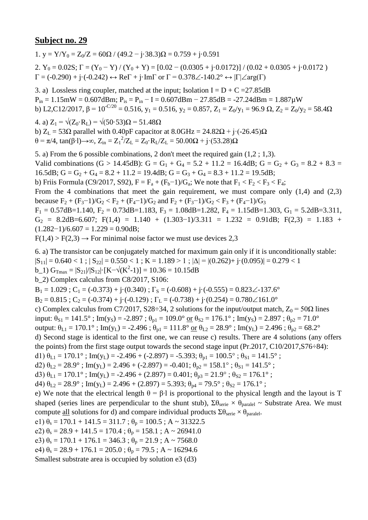1.  $v = Y/Y_0 = Z_0/Z = 60\Omega / (49.2 - j.38.3)\Omega = 0.759 + j.0.591$ 

2.  $Y_0 = 0.02S$ ;  $\Gamma = (Y_0 - Y)/(Y_0 + Y) = [0.02 - (0.0305 + j \cdot 0.0172)]/(0.02 + 0.0305 + j \cdot 0.0172)$  $\Gamma = (-0.290) + \mathrm{j} \cdot (-0.242) \leftrightarrow \mathrm{Re} \Gamma + \mathrm{j} \cdot \mathrm{Im} \Gamma$  or  $\Gamma = 0.378 \angle 140.2^{\circ} \leftrightarrow |\Gamma| \angle \mathrm{arg}(\Gamma)$ 

3. a) Lossless ring coupler, matched at the input; Isolation  $I = D + C = 27.85dB$  $P_{in} = 1.15$ mW = 0.607dBm;  $P_{is} = P_{in} - I = 0.607$ dBm - 27.85dB = -27.24dBm = 1.887 $\mu$ W b) L2,C12/2017,  $\beta = 10^{-C/20} = 0.516$ ,  $y_1 = 0.516$ ,  $y_2 = 0.857$ ,  $Z_1 = Z_0/y_1 = 96.9 \Omega$ ,  $Z_2 = Z_0/y_2 = 58.4 \Omega$ 

4. a)  $Z_1 = \sqrt{(Z_0 \cdot R_L)} = \sqrt{(50 \cdot 53)}\Omega = 51.48 \Omega$ b)  $Z_L$  = 53 $\Omega$  parallel with 0.40pF capacitor at 8.0GHz = 24.82 $\Omega$  + j·(-26.45) $\Omega$ θ = π/4, tan(β⋅l)→∞, Z<sub>in</sub> = Z<sub>1</sub><sup>2</sup>/Z<sub>L</sub> = Z<sub>0</sub>⋅R<sub>L</sub>/Z<sub>L</sub> = 50.00Ω + j⋅(53.28)Ω

5. a) From the 6 possible combinations, 2 don't meet the required gain (1,2 ; 1,3). Valid combinations (G > 14.45dB): G = G<sub>1</sub> + G<sub>4</sub> = 5.2 + 11.2 = 16.4dB; G = G<sub>2</sub> + G<sub>3</sub> = 8.2 + 8.3 = 16.5dB;  $G = G_2 + G_4 = 8.2 + 11.2 = 19.4$ dB;  $G = G_3 + G_4 = 8.3 + 11.2 = 19.5$ dB; b) Friis Formula (C9/2017, S92),  $F = F_a + (F_b - 1)/G_a$ ; We note that  $F_1 < F_2 < F_3 < F_4$ ; From the 4 combinations that meet the gain requirement, we must compare only  $(1,4)$  and  $(2,3)$ because  $F_2 + (F_3 - 1)/G_2 < F_2 + (F_4 - 1)/G_2$  and  $F_2 + (F_3 - 1)/G_2 < F_3 + (F_4 - 1)/G_3$  $F_1 = 0.57$ dB=1.140,  $F_2 = 0.73$ dB=1.183,  $F_3 = 1.08$ dB=1.282,  $F_4 = 1.15$ dB=1.303,  $G_1 = 5.2$ dB=3.311,  $G_2$  = 8.2dB=6.607; F(1,4) = 1.140 + (1.303-1)/3.311 = 1.232 = 0.91dB; F(2,3) = 1.183 +  $(1.282-1)/6.607 = 1.229 = 0.90dB;$ 

 $F(1,4) > F(2,3) \rightarrow$  For minimal noise factor we must use devices 2,3

6. a) The transistor can be conjugately matched for maximum gain only if it is unconditionally stable:  $|S_{11}| = 0.640 < 1$ ;  $|S_{22}| = 0.550 < 1$ ;  $K = 1.189 > 1$ ;  $|\Delta| = |(0.262) + i(0.095)| = 0.279 < 1$ 

b\_1)  $G_{\text{Tmax}} = |S_{21}|/|S_{12}| \cdot [K - \sqrt{(K^2 - 1)}] = 10.36 = 10.15dB$ 

b\_2) Complex calculus from C8/2017, S106:

 $B_1 = 1.029$ ;  $C_1 = (-0.373) + i(0.340)$ ;  $\Gamma_s = (-0.608) + i(-0.555) = 0.823\angle 137.6^\circ$ 

 $B_2 = 0.815$ ;  $C_2 = (-0.374) + j \cdot (-0.129)$ ;  $\Gamma_L = (-0.738) + j \cdot (0.254) = 0.780 \angle 161.0^\circ$ 

c) Complex calculus from C7/2017, S28÷34, 2 solutions for the input/output match,  $Z_0 = 50\Omega$  lines

input:  $\theta_{S1} = 141.5^\circ$ ; Im(y<sub>S</sub>) = -2.897;  $\theta_{p1} = 109.0^\circ$  or  $\theta_{S2} = 176.1^\circ$ ; Im(y<sub>S</sub>) = 2.897;  $\theta_{p2} = 71.0^\circ$ 

output:  $\theta_{L1} = 170.1^\circ$ ; Im(y<sub>L</sub>) = -2.496;  $\theta_{p1} = 111.8^\circ$  or  $\theta_{L2} = 28.9^\circ$ ; Im(y<sub>L</sub>) = 2.496;  $\theta_{p2} = 68.2^\circ$ 

d) Second stage is identical to the first one, we can reuse c) results. There are 4 solutions (any offers the points) from the first stage output towards the second stage input (Pr.2017, C10/2017,S76÷84):

d1)  $\theta_{L1} = 170.1^\circ$ ; Im(y<sub>L</sub>) = -2.496 + (-2.897) = -5.393;  $\theta_{p1} = 100.5^\circ$ ;  $\theta_{S1} = 141.5^\circ$ ;

d2)  $\theta_{L2} = 28.9^\circ$ ; Im(y<sub>L</sub>) = 2.496 + (-2.897) = -0.401;  $\theta_{p2} = 158.1^\circ$ ;  $\theta_{S1} = 141.5^\circ$ ;

d3)  $\theta_{L1} = 170.1^\circ$ ; Im(y<sub>L</sub>) = -2.496 + (2.897) = 0.401;  $\theta_{p3} = 21.9^\circ$ ;  $\theta_{S2} = 176.1^\circ$ ;

d4)  $\theta_{1,2} = 28.9^\circ$ ; Im(y<sub>L</sub>) = 2.496 + (2.897) = 5.393;  $\theta_{p4} = 79.5^\circ$ ;  $\theta_{S2} = 176.1^\circ$ ;

e) We note that the electrical length  $\theta = \beta \cdot 1$  is proportional to the physical length and the layout is T shaped (series lines are perpendicular to the shunt stub),  $\Sigma \theta_{\text{series}} \times \theta_{\text{parallel}} \sim$  Substrate Area. We must compute <u>all</u> solutions for d) and compare individual products  $\Sigma \theta_{\text{serie}} \times \theta_{\text{parallel}}$ .

e1)  $\theta_s = 170.1 + 141.5 = 311.7$ ;  $\theta_p = 100.5$ ; A ~ 31322.5

e2)  $\theta_s = 28.9 + 141.5 = 170.4$ ;  $\theta_p = 158.1$ ; A ~ 26941.0

e3)  $\theta_s = 170.1 + 176.1 = 346.3$ ;  $\theta_p = 21.9$ ; A ~ 7568.0

e4)  $\theta_s = 28.9 + 176.1 = 205.0$ ;  $\theta_p = 79.5$ ; A ~ 16294.6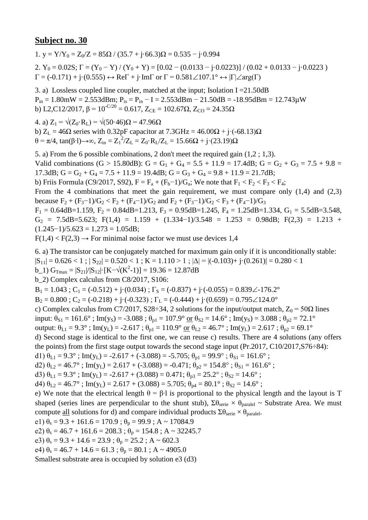1. y =  $Y/Y_0 = Z_0/Z = 85\Omega / (35.7 + i.66.3)\Omega = 0.535 - i.0.994$ 2.  $Y_0 = 0.02S$ ;  $\Gamma = (Y_0 - Y)/(Y_0 + Y) = [0.02 - (0.0133 - j \cdot 0.0223)]/(0.02 + 0.0133 - j \cdot 0.0223)$ 

 $\Gamma = (-0.171) + j \cdot (0.555) \leftrightarrow \text{Re}\Gamma + j \cdot \text{Im}\Gamma$  or  $\Gamma = 0.581 \angle 107.1^{\circ} \leftrightarrow |\Gamma| \angle \text{arg}(\Gamma)$ 

3. a) Lossless coupled line coupler, matched at the input; Isolation I =  $21.50$ dB  $P_{in} = 1.80$ mW = 2.553dBm;  $P_{is} = P_{in} - I = 2.553$ dBm - 21.50dB = -18.95dBm = 12.743 $\mu$ W b) L2,C12/2017,  $\beta = 10^{-C/20} = 0.617$ ,  $Z_{CE} = 102.67\Omega$ ,  $Z_{CO} = 24.35\Omega$ 

4. a)  $Z_1 = \sqrt{(Z_0 \cdot R_1)} = \sqrt{(50 \cdot 46)}$ Ω = 47.96Ω b)  $Z_L = 46\Omega$  series with 0.32pF capacitor at  $7.3\text{GHz} = 46.00\Omega + \text{i} \cdot (-68.13)\Omega$ θ = π/4, tan(β⋅l)→∞, Z<sub>in</sub> = Z<sub>1</sub><sup>2</sup>/Z<sub>L</sub> = Z<sub>0</sub>⋅R<sub>L</sub>/Z<sub>L</sub> = 15.66Ω + j⋅(23.19)Ω

5. a) From the 6 possible combinations, 2 don't meet the required gain (1,2 ; 1,3). Valid combinations (G > 15.80dB): G = G<sub>1</sub> + G<sub>4</sub> = 5.5 + 11.9 = 17.4dB; G = G<sub>2</sub> + G<sub>3</sub> = 7.5 + 9.8 = 17.3dB;  $G = G_2 + G_4 = 7.5 + 11.9 = 19.4$ dB;  $G = G_3 + G_4 = 9.8 + 11.9 = 21.7$ dB; b) Friis Formula (C9/2017, S92),  $F = F_a + (F_b - 1)/G_a$ ; We note that  $F_1 < F_2 < F_3 < F_4$ ; From the 4 combinations that meet the gain requirement, we must compare only  $(1,4)$  and  $(2,3)$ because  $F_2 + (F_3 - 1)/G_2 < F_2 + (F_4 - 1)/G_2$  and  $F_2 + (F_3 - 1)/G_2 < F_3 + (F_4 - 1)/G_3$  $F_1 = 0.64$ dB=1.159,  $F_2 = 0.84$ dB=1.213,  $F_3 = 0.95$ dB=1.245,  $F_4 = 1.25$ dB=1.334,  $G_1 = 5.5$ dB=3.548,  $G_2$  = 7.5dB=5.623; F(1,4) = 1.159 + (1.334-1)/3.548 = 1.253 = 0.98dB; F(2,3) = 1.213 +  $(1.245-1)/5.623 = 1.273 = 1.05dB;$ 

 $F(1,4) < F(2,3) \rightarrow$  For minimal noise factor we must use devices 1,4

6. a) The transistor can be conjugately matched for maximum gain only if it is unconditionally stable:

 $|S_{11}| = 0.626 < 1$ ;  $|S_{22}| = 0.520 < 1$ ;  $K = 1.110 > 1$ ;  $|\Delta| = |(-0.103) + (-0.261)| = 0.280 < 1$ 

b\_1)  $G_{\text{Tmax}} = |S_{21}|/|S_{12}| \cdot [K - \sqrt{(K^2 - 1)}] = 19.36 = 12.87dB$ 

b\_2) Complex calculus from C8/2017, S106:

 $B_1 = 1.043$ ;  $C_1 = (-0.512) + i(0.034)$ ;  $\Gamma_s = (-0.837) + i(-0.055) = 0.839\angle -176.2^\circ$ 

 $B_2 = 0.800$ ;  $C_2 = (-0.218) + (-0.323)$ ;  $\Gamma_L = (-0.444) + (-0.659) = 0.795 \angle 124.0^\circ$ 

c) Complex calculus from C7/2017, S28÷34, 2 solutions for the input/output match,  $Z_0 = 50\Omega$  lines

input:  $\theta_{S1} = 161.6^\circ$ ; Im(y<sub>S</sub>) = -3.088;  $\theta_{p1} = 107.9^\circ$  <u>or</u>  $\theta_{S2} = 14.6^\circ$ ; Im(y<sub>S</sub>) = 3.088;  $\theta_{p2} = 72.1^\circ$ 

output:  $\theta_{L1} = 9.3^\circ$ ; Im(y<sub>L</sub>) = -2.617;  $\theta_{p1} = 110.9^\circ$  or  $\theta_{L2} = 46.7^\circ$ ; Im(y<sub>L</sub>) = 2.617;  $\theta_{p2} = 69.1^\circ$ 

d) Second stage is identical to the first one, we can reuse c) results. There are 4 solutions (any offers the points) from the first stage output towards the second stage input (Pr.2017, C10/2017,S76÷84):

d1)  $\theta_{L1} = 9.3^\circ$ ; Im(y<sub>L</sub>) = -2.617 + (-3.088) = -5.705;  $\theta_{p1} = 99.9^\circ$ ;  $\theta_{s1} = 161.6^\circ$ ;

d2)  $\theta_{L2} = 46.7^\circ$ ; Im(y<sub>L</sub>) = 2.617 + (-3.088) = -0.471;  $\theta_{p2} = 154.8^\circ$ ;  $\theta_{S1} = 161.6^\circ$ ;

d3)  $\theta_{L1} = 9.3^\circ$ ; Im(y<sub>L</sub>) = -2.617 + (3.088) = 0.471;  $\theta_{p3} = 25.2^\circ$ ;  $\theta_{S2} = 14.6^\circ$ ;

d4)  $\theta_{1,2} = 46.7^\circ$ ; Im(y<sub>L</sub>) = 2.617 + (3.088) = 5.705;  $\theta_{p4} = 80.1^\circ$ ;  $\theta_{S2} = 14.6^\circ$ ;

e) We note that the electrical length  $\theta = \beta \cdot 1$  is proportional to the physical length and the layout is T shaped (series lines are perpendicular to the shunt stub),  $\Sigma \theta_{\text{series}} \times \theta_{\text{parallel}} \sim$  Substrate Area. We must compute <u>all</u> solutions for d) and compare individual products  $\Sigma \theta_{\text{serie}} \times \theta_{\text{parallel}}$ .

e1)  $\theta_s = 9.3 + 161.6 = 170.9$ ;  $\theta_p = 99.9$ ; A ~ 17084.9

e2)  $\theta_s = 46.7 + 161.6 = 208.3$ ;  $\theta_p = 154.8$ ; A ~ 32245.7

e3)  $\theta_s = 9.3 + 14.6 = 23.9$ ;  $\theta_p = 25.2$ ; A ~ 602.3

e4)  $\theta_s = 46.7 + 14.6 = 61.3$ ;  $\theta_p = 80.1$ ; A ~ 4905.0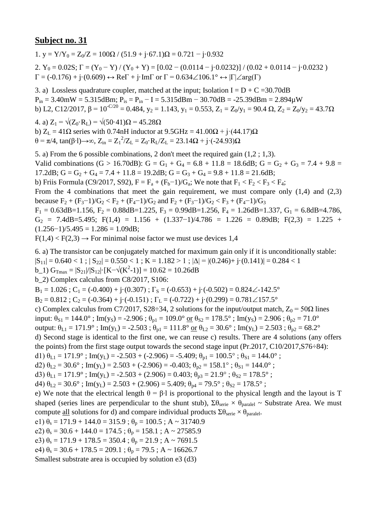1. y =  $Y/Y_0 = Z_0/Z = 100\Omega / (51.9 + j.67.1)\Omega = 0.721 - j.0.932$ 

2.  $Y_0 = 0.02S$ ;  $\Gamma = (Y_0 - Y)/(Y_0 + Y) = [0.02 - (0.0114 - j \cdot 0.0232)]/(0.02 + 0.0114 - j \cdot 0.0232)$  $\Gamma = (-0.176) + j \cdot (0.609) \leftrightarrow \text{Re}\Gamma + j \cdot \text{Im}\Gamma$  or  $\Gamma = 0.634 \angle 106.1^{\circ} \leftrightarrow |\Gamma| \angle \text{arg}(\Gamma)$ 

3. a) Lossless quadrature coupler, matched at the input; Isolation  $I = D + C = 30.70$ dB  $P_{in} = 3.40$ mW = 5.315dBm;  $P_{is} = P_{in} - I = 5.315$ dBm - 30.70dB = -25.39dBm = 2.894 $\mu$ W b) L2, C12/2017,  $\beta = 10^{-C/20} = 0.484$ ,  $y_2 = 1.143$ ,  $y_1 = 0.553$ ,  $Z_1 = Z_0/y_1 = 90.4 \Omega$ ,  $Z_2 = Z_0/y_2 = 43.7 \Omega$ 

4. a)  $Z_1 = \sqrt{(Z_0 \cdot R_1)} = \sqrt{(50 \cdot 41) \Omega} = 45.28 \Omega$ b)  $Z_L = 41\Omega$  series with 0.74nH inductor at  $9.5\text{GHz} = 41.00\Omega + \text{i} \cdot (44.17)\Omega$  $θ = π/4$ , tan(β⋅1)→∞, Z<sub>in</sub> = Z<sub>1</sub><sup>2</sup>/Z<sub>L</sub> = Z<sub>0</sub>⋅R<sub>L</sub>/Z<sub>L</sub> = 23.14Ω + j⋅(-24.93)Ω

5. a) From the 6 possible combinations, 2 don't meet the required gain (1,2 ; 1,3). Valid combinations (G > 16.70dB): G = G<sub>1</sub> + G<sub>4</sub> = 6.8 + 11.8 = 18.6dB; G = G<sub>2</sub> + G<sub>3</sub> = 7.4 + 9.8 = 17.2dB;  $G = G_2 + G_4 = 7.4 + 11.8 = 19.2$ dB;  $G = G_3 + G_4 = 9.8 + 11.8 = 21.6$ dB; b) Friis Formula (C9/2017, S92),  $F = F_a + (F_b - 1)/G_a$ ; We note that  $F_1 < F_2 < F_3 < F_4$ ; From the 4 combinations that meet the gain requirement, we must compare only  $(1,4)$  and  $(2,3)$ because  $F_2 + (F_3 - 1)/G_2 < F_2 + (F_4 - 1)/G_2$  and  $F_2 + (F_3 - 1)/G_2 < F_3 + (F_4 - 1)/G_3$  $F_1 = 0.63$ dB=1.156,  $F_2 = 0.88$ dB=1.225,  $F_3 = 0.99$ dB=1.256,  $F_4 = 1.26$ dB=1.337,  $G_1 = 6.8$ dB=4.786,  $G_2$  = 7.4dB=5.495; F(1,4) = 1.156 + (1.337-1)/4.786 = 1.226 = 0.89dB; F(2,3) = 1.225 +  $(1.256-1)/5.495 - 1.286 - 1.09$ dB;

$$
(1.250-1)/3.493 = 1.280 = 1.090B
$$
;  
F(1,4)  $<$  F(2,3)  $\rightarrow$  For minimal noise factor we must use devices 1,4

6. a) The transistor can be conjugately matched for maximum gain only if it is unconditionally stable:

 $|S_{11}| = 0.640 < 1$ ;  $|S_{22}| = 0.550 < 1$ ;  $K = 1.182 > 1$ ;  $|\Delta| = |(0.246) + i(0.141)| = 0.284 < 1$ 

b\_1)  $G_{\text{Tmax}} = |S_{21}|/|S_{12}| \cdot [K - \sqrt{(K^2 - 1)}] = 10.62 = 10.26 dB$ 

b\_2) Complex calculus from C8/2017, S106:

 $B_1 = 1.026$ ;  $C_1 = (-0.400) + i(0.307)$ ;  $\Gamma_s = (-0.653) + i(-0.502) = 0.824 \angle -142.5^\circ$ 

 $B_2 = 0.812$ ;  $C_2 = (-0.364) + j \cdot (-0.151)$ ;  $\Gamma_L = (-0.722) + j \cdot (0.299) = 0.781 \angle 157.5^\circ$ 

c) Complex calculus from C7/2017, S28÷34, 2 solutions for the input/output match,  $Z_0 = 50\Omega$  lines

input:  $\theta_{S1} = 144.0^\circ$ ; Im(y<sub>S</sub>) = -2.906;  $\theta_{p1} = 109.0^\circ$  or  $\theta_{S2} = 178.5^\circ$ ; Im(y<sub>S</sub>) = 2.906;  $\theta_{p2} = 71.0^\circ$ 

output:  $\theta_{L1} = 171.9^\circ$ ; Im(y<sub>L</sub>) = -2.503;  $\theta_{p1} = 111.8^\circ$  or  $\theta_{L2} = 30.6^\circ$ ; Im(y<sub>L</sub>) = 2.503;  $\theta_{p2} = 68.2^\circ$ 

d) Second stage is identical to the first one, we can reuse c) results. There are 4 solutions (any offers the points) from the first stage output towards the second stage input (Pr.2017, C10/2017, S76÷84):

d1)  $\theta_{L1} = 171.9^{\circ}$ ; Im(y<sub>L</sub>) = -2.503 + (-2.906) = -5.409;  $\theta_{p1} = 100.5^{\circ}$ ;  $\theta_{S1} = 144.0^{\circ}$ ;

d2)  $\theta_{L2} = 30.6^\circ$ ; Im(y<sub>L</sub>) = 2.503 + (-2.906) = -0.403;  $\theta_{p2} = 158.1^\circ$ ;  $\theta_{S1} = 144.0^\circ$ ;

d3)  $\theta_{L1} = 171.9^{\circ}$ ; Im(y<sub>L</sub>) = -2.503 + (2.906) = 0.403;  $\theta_{p3} = 21.9^{\circ}$ ;  $\theta_{S2} = 178.5^{\circ}$ ;

d4)  $\theta_{1,2} = 30.6^\circ$ ; Im(y<sub>L</sub>) = 2.503 + (2.906) = 5.409;  $\theta_{p4} = 79.5^\circ$ ;  $\theta_{S2} = 178.5^\circ$ ;

e) We note that the electrical length  $\theta = \beta \cdot 1$  is proportional to the physical length and the layout is T shaped (series lines are perpendicular to the shunt stub),  $\Sigma \theta_{\text{series}} \times \theta_{\text{parallel}} \sim$  Substrate Area. We must compute <u>all</u> solutions for d) and compare individual products  $\Sigma \theta_{\text{serie}} \times \theta_{\text{parallel}}$ .

e1)  $\theta_s = 171.9 + 144.0 = 315.9$ ;  $\theta_p = 100.5$ ; A ~ 31740.9

e2)  $\theta_s = 30.6 + 144.0 = 174.5$ ;  $\theta_p = 158.1$ ; A ~ 27585.9

e3)  $\theta_s = 171.9 + 178.5 = 350.4$ ;  $\theta_p = 21.9$ ; A ~ 7691.5

e4)  $\theta_s = 30.6 + 178.5 = 209.1$ ;  $\theta_p = 79.5$ ; A ~ 16626.7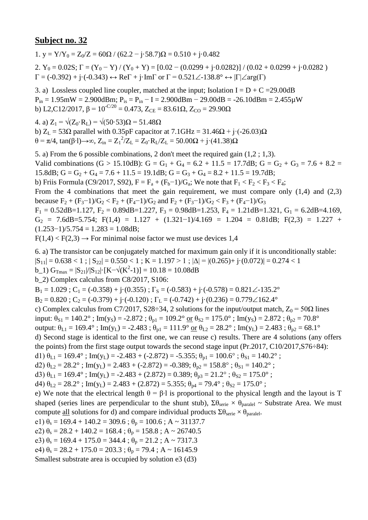1. y = Y/Y<sub>0</sub> = Z<sub>0</sub>/Z = 60 $\Omega$  / (62.2 - j·58.7) $\Omega$  = 0.510 + j·0.482

2.  $Y_0 = 0.02S$ ;  $\Gamma = (Y_0 - Y) / (Y_0 + Y) = [0.02 - (0.0299 + j \cdot 0.0282)] / (0.02 + 0.0299 + j \cdot 0.0282)$  $\Gamma = (-0.392) + i \cdot (-0.343) \leftrightarrow \text{Re}\Gamma + i \cdot \text{Im}\Gamma$  or  $\Gamma = 0.521 \angle 138.8^\circ \leftrightarrow |\Gamma| \angle \text{arg}(\Gamma)$ 

3. a) Lossless coupled line coupler, matched at the input; Isolation I =  $D + C = 29.00$ dB  $P_{in} = 1.95$ mW = 2.900dBm;  $P_{is} = P_{in} - I = 2.900$ dBm - 29.00dB = -26.10dBm = 2.455 $\mu$ W b) L2,C12/2017,  $\beta = 10^{-C/20} = 0.473$ ,  $Z_{CE} = 83.61\Omega$ ,  $Z_{CO} = 29.90\Omega$ 

4. a)  $Z_1 = \sqrt{(Z_0 \cdot R_1)} = \sqrt{(50.53) \Omega} = 51.48 \Omega$ 

b)  $Z_L$  = 53 $\Omega$  parallel with 0.35pF capacitor at 7.1GHz = 31.46 $\Omega$  + j·(-26.03) $\Omega$ θ = π/4, tan(β⋅l)→∞, Z<sub>in</sub> = Z<sub>1</sub><sup>2</sup>/Z<sub>L</sub> = Z<sub>0</sub>⋅R<sub>L</sub>/Z<sub>L</sub> = 50.00Ω + j⋅(41.38)Ω

5. a) From the 6 possible combinations, 2 don't meet the required gain (1,2 ; 1,3). Valid combinations (G > 15.10dB): G = G<sub>1</sub> + G<sub>4</sub> = 6.2 + 11.5 = 17.7dB; G = G<sub>2</sub> + G<sub>3</sub> = 7.6 + 8.2 = 15.8dB;  $G = G_2 + G_4 = 7.6 + 11.5 = 19.1$ dB;  $G = G_3 + G_4 = 8.2 + 11.5 = 19.7$ dB; b) Friis Formula (C9/2017, S92),  $F = F_a + (F_b - 1)/G_a$ ; We note that  $F_1 < F_2 < F_3 < F_4$ ; From the 4 combinations that meet the gain requirement, we must compare only  $(1,4)$  and  $(2,3)$ because  $F_2 + (F_3 - 1)/G_2 < F_2 + (F_4 - 1)/G_2$  and  $F_2 + (F_3 - 1)/G_2 < F_3 + (F_4 - 1)/G_3$  $F_1 = 0.52$ dB=1.127,  $F_2 = 0.89$ dB=1.227,  $F_3 = 0.98$ dB=1.253,  $F_4 = 1.21$ dB=1.321,  $G_1 = 6.2$ dB=4.169,  $G_2$  = 7.6dB=5.754; F(1,4) = 1.127 + (1.321-1)/4.169 = 1.204 = 0.81dB; F(2,3) = 1.227 +  $(1.253-1)/5.754 = 1.283 = 1.08dB;$ 

 $F(1,4) < F(2,3) \rightarrow$  For minimal noise factor we must use devices 1,4

6. a) The transistor can be conjugately matched for maximum gain only if it is unconditionally stable:

 $|S_{11}| = 0.638 < 1$ ;  $|S_{22}| = 0.550 < 1$ ;  $K = 1.197 > 1$ ;  $|\Delta| = |(0.265) + i(0.072)| = 0.274 < 1$ 

b\_1)  $G_{\text{Tmax}} = |S_{21}|/|S_{12}| \cdot [K - \sqrt{(K^2 - 1)}] = 10.18 = 10.08dB$ 

b\_2) Complex calculus from C8/2017, S106:

 $B_1 = 1.029$ ;  $C_1 = (-0.358) + (-0.355)$ ;  $\Gamma_s = (-0.583) + (-0.578) = 0.821 \angle 135.2^\circ$ 

 $B_2 = 0.820$ ;  $C_2 = (-0.379) + j \cdot (-0.120)$ ;  $\Gamma_L = (-0.742) + j \cdot (0.236) = 0.779 \angle 162.4^\circ$ 

c) Complex calculus from C7/2017, S28÷34, 2 solutions for the input/output match,  $Z_0 = 50\Omega$  lines

input:  $\theta_{S1} = 140.2^\circ$ ; Im(y<sub>S</sub>) = -2.872;  $\theta_{p1} = 109.2^\circ$  or  $\theta_{S2} = 175.0^\circ$ ; Im(y<sub>S</sub>) = 2.872;  $\theta_{p2} = 70.8^\circ$ 

output:  $\theta_{L1} = 169.4^\circ$ ; Im(y<sub>L</sub>) = -2.483;  $\theta_{p1} = 111.9^\circ$  or  $\theta_{L2} = 28.2^\circ$ ; Im(y<sub>L</sub>) = 2.483;  $\theta_{p2} = 68.1^\circ$ 

d) Second stage is identical to the first one, we can reuse c) results. There are 4 solutions (any offers the points) from the first stage output towards the second stage input (Pr.2017, C10/2017,S76÷84):

d1)  $\theta_{L1} = 169.4^\circ$ ; Im(y<sub>L</sub>) = -2.483 + (-2.872) = -5.355;  $\theta_{p1} = 100.6^\circ$ ;  $\theta_{S1} = 140.2^\circ$ ;

d2)  $\theta_{L2} = 28.2^\circ$ ; Im(y<sub>L</sub>) = 2.483 + (-2.872) = -0.389;  $\theta_{p2} = 158.8^\circ$ ;  $\theta_{S1} = 140.2^\circ$ ;

d3)  $\theta_{L1} = 169.4^\circ$ ; Im(y<sub>L</sub>) = -2.483 + (2.872) = 0.389;  $\theta_{p3} = 21.2^\circ$ ;  $\theta_{S2} = 175.0^\circ$ ;

d4)  $\theta_{1,2} = 28.2^\circ$ ; Im(y<sub>L</sub>) = 2.483 + (2.872) = 5.355;  $\theta_{p4} = 79.4^\circ$ ;  $\theta_{S2} = 175.0^\circ$ ;

e) We note that the electrical length  $\theta = \beta \cdot 1$  is proportional to the physical length and the layout is T shaped (series lines are perpendicular to the shunt stub),  $\Sigma \theta_{\text{series}} \times \theta_{\text{parallel}} \sim$  Substrate Area. We must compute <u>all</u> solutions for d) and compare individual products  $\Sigma \theta_{\text{serie}} \times \theta_{\text{parallel}}$ .

e1)  $\theta_s = 169.4 + 140.2 = 309.6$ ;  $\theta_p = 100.6$ ; A ~ 31137.7

e2)  $\theta_s = 28.2 + 140.2 = 168.4$ ;  $\theta_p = 158.8$ ; A ~ 26740.5

e3)  $\theta_s = 169.4 + 175.0 = 344.4$ ;  $\theta_p = 21.2$ ; A ~ 7317.3

e4)  $\theta_s = 28.2 + 175.0 = 203.3$ ;  $\theta_p = 79.4$ ; A ~ 16145.9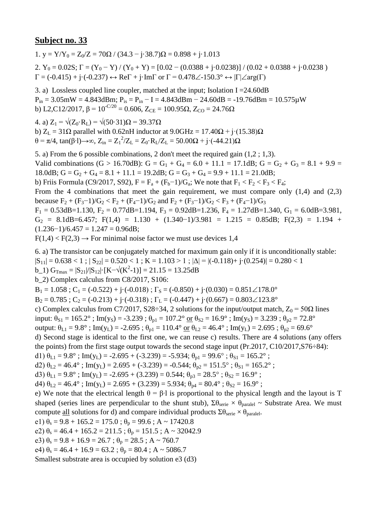1. y =  $Y/Y_0 = Z_0/Z = 70\Omega / (34.3 - i \cdot 38.7)\Omega = 0.898 + i \cdot 1.013$ 2.  $Y_0 = 0.02S$ ;  $\Gamma = (Y_0 - Y)/(Y_0 + Y) = [0.02 - (0.0388 + j \cdot 0.0238)]/(0.02 + 0.0388 + j \cdot 0.0238)$  $\Gamma = (-0.415) + j \cdot (-0.237) \leftrightarrow \text{Re}\Gamma + j \cdot \text{Im}\Gamma$  or  $\Gamma = 0.478 \angle 0.150.3^{\circ} \leftrightarrow |\Gamma| \angle \text{arg}(\Gamma)$ 

3. a) Lossless coupled line coupler, matched at the input; Isolation I =  $24.60$ dB  $P_{in} = 3.05$ mW = 4.843dBm;  $P_{is} = P_{in} - I = 4.843$ dBm - 24.60dB = -19.76dBm = 10.575 $\mu$ W b) L2,C12/2017,  $\beta = 10^{-C/20} = 0.606$ ,  $Z_{CE} = 100.95\Omega$ ,  $Z_{CO} = 24.76\Omega$ 

4. a)  $Z_1 = \sqrt{(Z_0 \cdot R_1)} = \sqrt{(50 \cdot 31)}\Omega = 39.37 \Omega$ 

b)  $Z_L = 31\Omega$  parallel with 0.62nH inductor at 9.0GHz = 17.40 $\Omega$  + j·(15.38) $\Omega$  $θ = π/4$ , tan(β⋅1)→∞, Z<sub>in</sub> = Z<sub>1</sub><sup>2</sup>/Z<sub>L</sub> = Z<sub>0</sub>⋅R<sub>L</sub>/Z<sub>L</sub> = 50.00Ω + j⋅(-44.21)Ω

5. a) From the 6 possible combinations, 2 don't meet the required gain (1,2 ; 1,3). Valid combinations (G > 16.70dB): G = G<sub>1</sub> + G<sub>4</sub> = 6.0 + 11.1 = 17.1dB; G = G<sub>2</sub> + G<sub>3</sub> = 8.1 + 9.9 = 18.0dB;  $G = G_2 + G_4 = 8.1 + 11.1 = 19.2$ dB;  $G = G_3 + G_4 = 9.9 + 11.1 = 21.0$ dB; b) Friis Formula (C9/2017, S92),  $F = F_a + (F_b - 1)/G_a$ ; We note that  $F_1 < F_2 < F_3 < F_4$ ; From the 4 combinations that meet the gain requirement, we must compare only  $(1,4)$  and  $(2,3)$ because  $F_2 + (F_3 - 1)/G_2 < F_2 + (F_4 - 1)/G_2$  and  $F_2 + (F_3 - 1)/G_2 < F_3 + (F_4 - 1)/G_3$  $F_1 = 0.53$ dB=1.130,  $F_2 = 0.77$ dB=1.194,  $F_3 = 0.92$ dB=1.236,  $F_4 = 1.27$ dB=1.340,  $G_1 = 6.0$ dB=3.981,  $G_2 = 8.1dB = 6.457$ ; F(1,4) = 1.130 + (1.340-1)/3.981 = 1.215 = 0.85dB; F(2,3) = 1.194 +  $(1.236-1)/6.457 = 1.247 = 0.96dB;$ 

 $F(1,4) < F(2,3) \rightarrow$  For minimal noise factor we must use devices 1,4

6. a) The transistor can be conjugately matched for maximum gain only if it is unconditionally stable:

 $|S_{11}| = 0.638 < 1$ ;  $|S_{22}| = 0.520 < 1$ ;  $K = 1.103 > 1$ ;  $|\Delta| = |(-0.118) + (-0.254)| = 0.280 < 1$ 

b\_1)  $G_{\text{Tmax}} = |S_{21}|/|S_{12}| \cdot [K - \sqrt{(K^2 - 1)}] = 21.15 = 13.25dB$ 

b\_2) Complex calculus from C8/2017, S106:

 $B_1 = 1.058$ ;  $C_1 = (-0.522) + i(-0.018)$ ;  $\Gamma_s = (-0.850) + i(0.030) = 0.851 \angle 178.0^\circ$ 

 $B_2 = 0.785$ ;  $C_2 = (-0.213) + (-0.318)$ ;  $\Gamma_L = (-0.447) + (-0.667) = 0.803 \angle 123.8^\circ$ 

c) Complex calculus from C7/2017, S28÷34, 2 solutions for the input/output match,  $Z_0 = 50\Omega$  lines

input:  $\theta_{S1} = 165.2^\circ$ ; Im(y<sub>S</sub>) = -3.239;  $\theta_{p1} = 107.2^\circ$  <u>or</u>  $\theta_{S2} = 16.9^\circ$ ; Im(y<sub>S</sub>) = 3.239;  $\theta_{p2} = 72.8^\circ$ 

output:  $\theta_{L1} = 9.8^\circ$ ; Im(y<sub>L</sub>) = -2.695;  $\theta_{p1} = 110.4^\circ$  or  $\theta_{L2} = 46.4^\circ$ ; Im(y<sub>L</sub>) = 2.695;  $\theta_{p2} = 69.6^\circ$ 

d) Second stage is identical to the first one, we can reuse c) results. There are 4 solutions (any offers the points) from the first stage output towards the second stage input (Pr.2017, C10/2017,S76÷84):

d1)  $\theta_{L1} = 9.8^\circ$ ; Im(y<sub>L</sub>) = -2.695 + (-3.239) = -5.934;  $\theta_{p1} = 99.6^\circ$ ;  $\theta_{s1} = 165.2^\circ$ ;

d2)  $\theta_{L2} = 46.4^\circ$ ; Im(y<sub>L</sub>) = 2.695 + (-3.239) = -0.544;  $\theta_{p2} = 151.5^\circ$ ;  $\theta_{S1} = 165.2^\circ$ ;

d3)  $\theta_{L1} = 9.8^\circ$ ; Im(y<sub>L</sub>) = -2.695 + (3.239) = 0.544;  $\theta_{p3} = 28.5^\circ$ ;  $\theta_{S2} = 16.9^\circ$ ;

d4)  $\theta_{1,2} = 46.4^\circ$ ; Im(y<sub>L</sub>) = 2.695 + (3.239) = 5.934;  $\theta_{p4} = 80.4^\circ$ ;  $\theta_{S2} = 16.9^\circ$ ;

e) We note that the electrical length  $\theta = \beta \cdot 1$  is proportional to the physical length and the layout is T shaped (series lines are perpendicular to the shunt stub),  $\Sigma \theta_{\text{series}} \times \theta_{\text{parallel}} \sim$  Substrate Area. We must compute <u>all</u> solutions for d) and compare individual products  $\Sigma \theta_{\text{serie}} \times \theta_{\text{parallel}}$ .

e1)  $\theta_s = 9.8 + 165.2 = 175.0$ ;  $\theta_p = 99.6$ ; A ~ 17420.8

e2)  $\theta_s = 46.4 + 165.2 = 211.5$ ;  $\theta_p = 151.5$ ; A ~ 32042.9

e3)  $\theta_s = 9.8 + 16.9 = 26.7$ ;  $\theta_p = 28.5$ ; A ~ 760.7

e4)  $\theta_s = 46.4 + 16.9 = 63.2$ ;  $\theta_p = 80.4$ ; A ~ 5086.7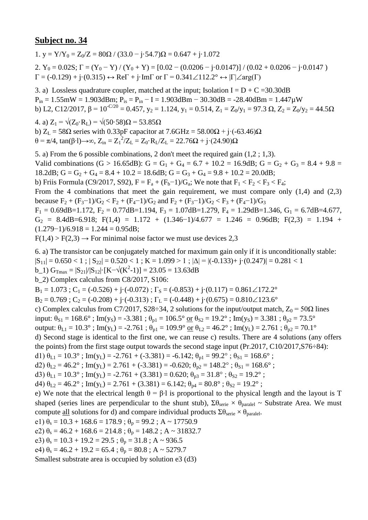1.  $v = Y/Y_0 = Z_0/Z = 80\Omega / (33.0 - j.54.7)\Omega = 0.647 + j.1.072$ 2.  $Y_0 = 0.02S$ ;  $\Gamma = (Y_0 - Y) / (Y_0 + Y) = [0.02 - (0.0206 - j \cdot 0.0147)] / (0.02 + 0.0206 - j \cdot 0.0147)$  $\Gamma = (-0.129) + j \cdot (0.315) \leftrightarrow \text{Re}\Gamma + j \cdot \text{Im}\Gamma$  or  $\Gamma = 0.341 \angle 112.2^{\circ} \leftrightarrow |\Gamma| \angle \text{arg}(\Gamma)$ 

3. a) Lossless quadrature coupler, matched at the input; Isolation  $I = D + C = 30.30$ dB  $P_{in} = 1.55$ mW = 1.903dBm;  $P_{is} = P_{in} - I = 1.903$ dBm - 30.30dB = -28.40dBm = 1.447 $\mu$ W b) L2, C12/2017,  $\beta = 10^{-C/20} = 0.457$ ,  $y_2 = 1.124$ ,  $y_1 = 0.514$ ,  $Z_1 = Z_0/y_1 = 97.3$   $\Omega$ ,  $Z_2 = Z_0/y_2 = 44.5\Omega$ 

4. a)  $Z_1 = \sqrt{(Z_0 \cdot R_L)} = \sqrt{(50 \cdot 58)}\Omega = 53.85 \Omega$ b)  $Z_L$  = 58 $\Omega$  series with 0.33pF capacitor at 7.6GHz = 58.00 $\Omega$  + j·(-63.46) $\Omega$ θ = π/4, tan(β⋅l)→∞, Z<sub>in</sub> = Z<sub>1</sub><sup>2</sup>/Z<sub>L</sub> = Z<sub>0</sub>⋅R<sub>L</sub>/Z<sub>L</sub> = 22.76Ω + j⋅(24.90)Ω

5. a) From the 6 possible combinations, 2 don't meet the required gain (1,2 ; 1,3). Valid combinations (G > 16.65dB): G = G<sub>1</sub> + G<sub>4</sub> = 6.7 + 10.2 = 16.9dB; G = G<sub>2</sub> + G<sub>3</sub> = 8.4 + 9.8 = 18.2dB;  $G = G_2 + G_4 = 8.4 + 10.2 = 18.6$ dB;  $G = G_3 + G_4 = 9.8 + 10.2 = 20.0$ dB; b) Friis Formula (C9/2017, S92),  $F = F_a + (F_b - 1)/G_a$ ; We note that  $F_1 < F_2 < F_3 < F_4$ ; From the 4 combinations that meet the gain requirement, we must compare only  $(1,4)$  and  $(2,3)$ because  $F_2 + (F_3 - 1)/G_2 < F_2 + (F_4 - 1)/G_2$  and  $F_2 + (F_3 - 1)/G_2 < F_3 + (F_4 - 1)/G_3$  $F_1 = 0.69$ dB=1.172,  $F_2 = 0.77$ dB=1.194,  $F_3 = 1.07$ dB=1.279,  $F_4 = 1.29$ dB=1.346,  $G_1 = 6.7$ dB=4.677,  $G_2 = 8.4$ dB=6.918; F(1,4) = 1.172 + (1.346-1)/4.677 = 1.246 = 0.96dB; F(2,3) = 1.194 +

$$
(1.279-1)/6.918 = 1.244 = 0.95dB;
$$

 $F(1,4) > F(2,3) \rightarrow$  For minimal noise factor we must use devices 2,3

6. a) The transistor can be conjugately matched for maximum gain only if it is unconditionally stable:

 $|S_{11}| = 0.650 < 1$ ;  $|S_{22}| = 0.520 < 1$ ;  $K = 1.099 > 1$ ;  $|\Delta| = |(-0.133) + (-0.247)| = 0.281 < 1$ 

b\_1)  $G_{\text{Tmax}} = |S_{21}|/|S_{12}| \cdot [K - \sqrt{(K^2 - 1)}] = 23.05 = 13.63dB$ 

b\_2) Complex calculus from C8/2017, S106:

 $B_1 = 1.073$ ;  $C_1 = (-0.526) + (-0.072)$ ;  $\Gamma_s = (-0.853) + (-0.117) = 0.861 \angle 172.2^\circ$ 

 $B_2 = 0.769$ ;  $C_2 = (-0.208) + j \cdot (-0.313)$ ;  $\Gamma_L = (-0.448) + j \cdot (0.675) = 0.810 \angle 123.6^\circ$ 

c) Complex calculus from C7/2017, S28÷34, 2 solutions for the input/output match,  $Z_0 = 50\Omega$  lines

input:  $\theta_{S1} = 168.6^\circ$ ; Im(y<sub>S</sub>) = -3.381;  $\theta_{p1} = 106.5^\circ$  or  $\theta_{S2} = 19.2^\circ$ ; Im(y<sub>S</sub>) = 3.381;  $\theta_{p2} = 73.5^\circ$ 

output:  $\theta_{L1} = 10.3^\circ$ ; Im(y<sub>L</sub>) = -2.761;  $\theta_{p1} = 109.9^\circ$  or  $\theta_{L2} = 46.2^\circ$ ; Im(y<sub>L</sub>) = 2.761;  $\theta_{p2} = 70.1^\circ$ 

d) Second stage is identical to the first one, we can reuse c) results. There are 4 solutions (any offers the points) from the first stage output towards the second stage input (Pr.2017, C10/2017,S76÷84):

d1)  $\theta_{L1} = 10.3^\circ$ ; Im(y<sub>L</sub>) = -2.761 + (-3.381) = -6.142;  $\theta_{p1} = 99.2^\circ$ ;  $\theta_{S1} = 168.6^\circ$ ;

d2)  $\theta_{L2} = 46.2^\circ$ ; Im(y<sub>L</sub>) = 2.761 + (-3.381) = -0.620;  $\theta_{p2} = 148.2^\circ$ ;  $\theta_{S1} = 168.6^\circ$ ;

d3)  $\theta_{L1} = 10.3^\circ$ ; Im(y<sub>L</sub>) = -2.761 + (3.381) = 0.620;  $\theta_{p3} = 31.8^\circ$ ;  $\theta_{S2} = 19.2^\circ$ ;

d4)  $\theta_{1,2} = 46.2^\circ$ ; Im(y<sub>L</sub>) = 2.761 + (3.381) = 6.142;  $\theta_{p4} = 80.8^\circ$ ;  $\theta_{S2} = 19.2^\circ$ ;

e) We note that the electrical length  $\theta = \beta \cdot 1$  is proportional to the physical length and the layout is T shaped (series lines are perpendicular to the shunt stub),  $\Sigma \theta_{\text{series}} \times \theta_{\text{parallel}} \sim$  Substrate Area. We must compute <u>all</u> solutions for d) and compare individual products  $\Sigma \theta_{\text{serie}} \times \theta_{\text{parallel}}$ .

e1)  $\theta_s = 10.3 + 168.6 = 178.9$ ;  $\theta_p = 99.2$ ; A ~ 17750.9

e2)  $\theta_s = 46.2 + 168.6 = 214.8$ ;  $\theta_p = 148.2$ ; A ~ 31832.7

e3)  $\theta_s = 10.3 + 19.2 = 29.5$ ;  $\theta_p = 31.8$ ; A ~ 936.5

e4)  $\theta_s = 46.2 + 19.2 = 65.4$ ;  $\theta_p = 80.8$ ; A ~ 5279.7